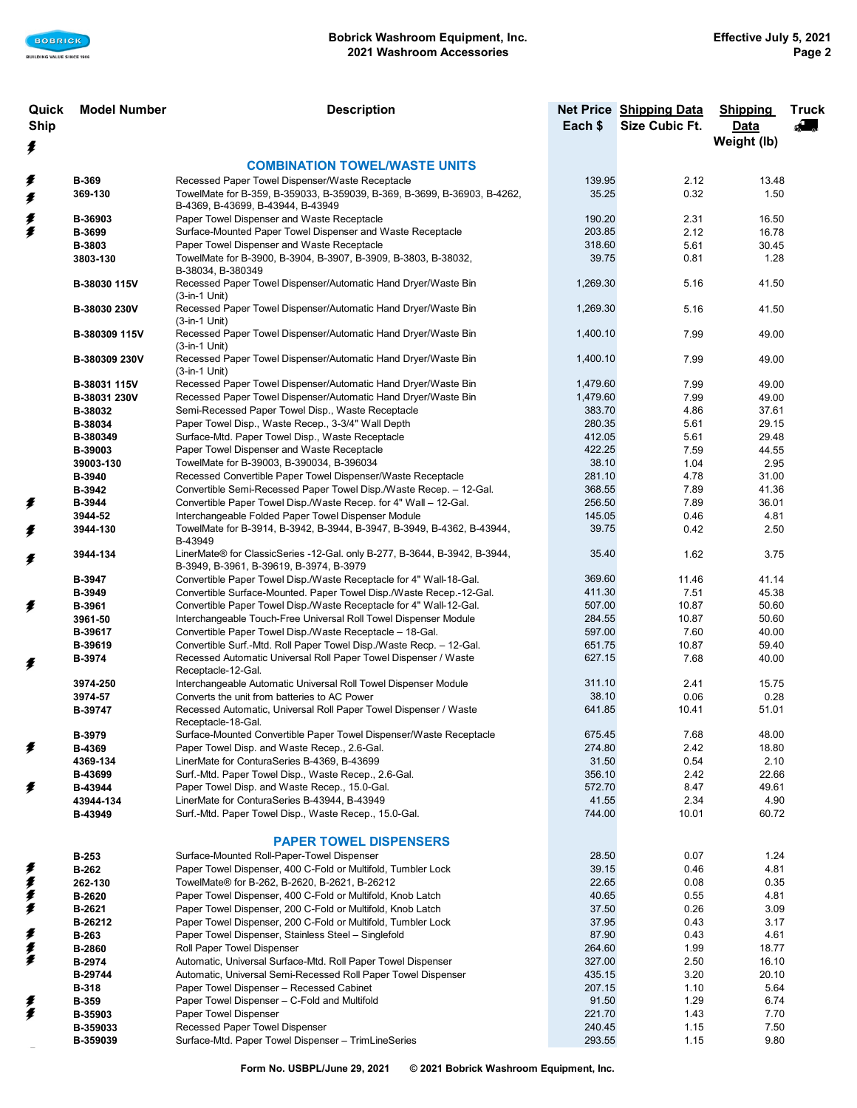| Quick<br><b>Ship</b> | <b>Model Number</b>     | <b>Description</b>                                                                                                           |                    | <b>Net Price Shipping Data</b><br>Size Cubic Ft. | <b>Shipping</b><br>Data | <b>Truck</b><br>Æ |
|----------------------|-------------------------|------------------------------------------------------------------------------------------------------------------------------|--------------------|--------------------------------------------------|-------------------------|-------------------|
|                      |                         |                                                                                                                              | Each \$            |                                                  | Weight (lb)             |                   |
| ≸                    |                         | <b>COMBINATION TOWEL/WASTE UNITS</b>                                                                                         |                    |                                                  |                         |                   |
| ≸                    | <b>B-369</b>            | Recessed Paper Towel Dispenser/Waste Receptacle                                                                              | 139.95             | 2.12                                             | 13.48                   |                   |
| ≸                    | 369-130                 | TowelMate for B-359, B-359033, B-359039, B-369, B-3699, B-36903, B-4262,                                                     | 35.25              | 0.32                                             | 1.50                    |                   |
|                      |                         | B-4369, B-43699, B-43944, B-43949                                                                                            |                    |                                                  |                         |                   |
| 美                    | B-36903                 | Paper Towel Dispenser and Waste Receptacle                                                                                   | 190.20             | 2.31                                             | 16.50                   |                   |
|                      | B-3699                  | Surface-Mounted Paper Towel Dispenser and Waste Receptacle                                                                   | 203.85             | 2.12                                             | 16.78                   |                   |
|                      | B-3803<br>3803-130      | Paper Towel Dispenser and Waste Receptacle<br>TowelMate for B-3900, B-3904, B-3907, B-3909, B-3803, B-38032,                 | 318.60<br>39.75    | 5.61<br>0.81                                     | 30.45<br>1.28           |                   |
|                      |                         | B-38034, B-380349                                                                                                            |                    |                                                  |                         |                   |
|                      | B-38030 115V            | Recessed Paper Towel Dispenser/Automatic Hand Dryer/Waste Bin<br>(3-in-1 Unit)                                               | 1,269.30           | 5.16                                             | 41.50                   |                   |
|                      | B-38030 230V            | Recessed Paper Towel Dispenser/Automatic Hand Dryer/Waste Bin<br>$(3-in-1$ Unit)                                             | 1,269.30           | 5.16                                             | 41.50                   |                   |
|                      | B-380309 115V           | Recessed Paper Towel Dispenser/Automatic Hand Dryer/Waste Bin<br>(3-in-1 Unit)                                               | 1,400.10           | 7.99                                             | 49.00                   |                   |
|                      | B-380309 230V           | Recessed Paper Towel Dispenser/Automatic Hand Dryer/Waste Bin<br>(3-in-1 Unit)                                               | 1,400.10           | 7.99                                             | 49.00                   |                   |
|                      | B-38031 115V            | Recessed Paper Towel Dispenser/Automatic Hand Dryer/Waste Bin                                                                | 1,479.60           | 7.99                                             | 49.00<br>49.00          |                   |
|                      | B-38031 230V<br>B-38032 | Recessed Paper Towel Dispenser/Automatic Hand Dryer/Waste Bin<br>Semi-Recessed Paper Towel Disp., Waste Receptacle           | 1,479.60<br>383.70 | 7.99<br>4.86                                     | 37.61                   |                   |
|                      | B-38034                 | Paper Towel Disp., Waste Recep., 3-3/4" Wall Depth                                                                           | 280.35             | 5.61                                             | 29.15                   |                   |
|                      | B-380349                | Surface-Mtd. Paper Towel Disp., Waste Receptacle                                                                             | 412.05             | 5.61                                             | 29.48                   |                   |
|                      | B-39003                 | Paper Towel Dispenser and Waste Receptacle                                                                                   | 422.25             | 7.59                                             | 44.55                   |                   |
|                      | 39003-130               | TowelMate for B-39003, B-390034, B-396034                                                                                    | 38.10              | 1.04                                             | 2.95                    |                   |
|                      | B-3940                  | Recessed Convertible Paper Towel Dispenser/Waste Receptacle                                                                  | 281.10             | 4.78                                             | 31.00                   |                   |
|                      | B-3942                  | Convertible Semi-Recessed Paper Towel Disp./Waste Recep. - 12-Gal.                                                           | 368.55             | 7.89                                             | 41.36                   |                   |
| ≸                    | B-3944<br>3944-52       | Convertible Paper Towel Disp./Waste Recep. for 4" Wall - 12-Gal.<br>Interchangeable Folded Paper Towel Dispenser Module      | 256.50<br>145.05   | 7.89<br>0.46                                     | 36.01<br>4.81           |                   |
| ≸                    | 3944-130                | TowelMate for B-3914, B-3942, B-3944, B-3947, B-3949, B-4362, B-43944,<br>B-43949                                            | 39.75              | 0.42                                             | 2.50                    |                   |
| ≸                    | 3944-134                | LinerMate® for ClassicSeries -12-Gal. only B-277, B-3644, B-3942, B-3944,<br>B-3949, B-3961, B-39619, B-3974, B-3979         | 35.40              | 1.62                                             | 3.75                    |                   |
|                      | B-3947                  | Convertible Paper Towel Disp./Waste Receptacle for 4" Wall-18-Gal.                                                           | 369.60             | 11.46                                            | 41.14                   |                   |
|                      | B-3949                  | Convertible Surface-Mounted. Paper Towel Disp./Waste Recep.-12-Gal.                                                          | 411.30             | 7.51                                             | 45.38                   |                   |
| ≸                    | B-3961                  | Convertible Paper Towel Disp./Waste Receptacle for 4" Wall-12-Gal.                                                           | 507.00             | 10.87                                            | 50.60                   |                   |
|                      | 3961-50<br>B-39617      | Interchangeable Touch-Free Universal Roll Towel Dispenser Module<br>Convertible Paper Towel Disp./Waste Receptacle - 18-Gal. | 284.55<br>597.00   | 10.87<br>7.60                                    | 50.60<br>40.00          |                   |
|                      | B-39619                 | Convertible Surf.-Mtd. Roll Paper Towel Disp./Waste Recp. - 12-Gal.                                                          | 651.75             | 10.87                                            | 59.40                   |                   |
| ≸                    | B-3974                  | Recessed Automatic Universal Roll Paper Towel Dispenser / Waste<br>Receptacle-12-Gal.                                        | 627.15             | 7.68                                             | 40.00                   |                   |
|                      | 3974-250                | Interchangeable Automatic Universal Roll Towel Dispenser Module                                                              | 311.10             | 2.41                                             | 15.75                   |                   |
|                      | 3974-57                 | Converts the unit from batteries to AC Power                                                                                 | 38.10              | 0.06                                             | 0.28                    |                   |
|                      | B-39747                 | Recessed Automatic, Universal Roll Paper Towel Dispenser / Waste<br>Receptacle-18-Gal.                                       | 641.85             | 10.41                                            | 51.01                   |                   |
| ≸                    | <b>B-3979</b><br>B-4369 | Surface-Mounted Convertible Paper Towel Dispenser/Waste Receptacle<br>Paper Towel Disp. and Waste Recep., 2.6-Gal.           | 675.45<br>274.80   | 7.68<br>2.42                                     | 48.00<br>18.80          |                   |
|                      | 4369-134                | LinerMate for ConturaSeries B-4369, B-43699                                                                                  | 31.50              | 0.54                                             | 2.10                    |                   |
|                      | B-43699                 | Surf.-Mtd. Paper Towel Disp., Waste Recep., 2.6-Gal.                                                                         | 356.10             | 2.42                                             | 22.66                   |                   |
| ≸                    | B-43944                 | Paper Towel Disp. and Waste Recep., 15.0-Gal.                                                                                | 572.70             | 8.47                                             | 49.61                   |                   |
|                      | 43944-134               | LinerMate for ConturaSeries B-43944, B-43949                                                                                 | 41.55              | 2.34                                             | 4.90                    |                   |
|                      | B-43949                 | Surf.-Mtd. Paper Towel Disp., Waste Recep., 15.0-Gal.                                                                        | 744.00             | 10.01                                            | 60.72                   |                   |
|                      |                         | <b>PAPER TOWEL DISPENSERS</b>                                                                                                |                    |                                                  |                         |                   |
| ŧ                    | <b>B-253</b>            | Surface-Mounted Roll-Paper-Towel Dispenser                                                                                   | 28.50              | 0.07                                             | 1.24                    |                   |
| ≸                    | <b>B-262</b><br>262-130 | Paper Towel Dispenser, 400 C-Fold or Multifold, Tumbler Lock<br>TowelMate® for B-262, B-2620, B-2621, B-26212                | 39.15<br>22.65     | 0.46<br>0.08                                     | 4.81<br>0.35            |                   |
| ≸                    | B-2620                  | Paper Towel Dispenser, 400 C-Fold or Multifold, Knob Latch                                                                   | 40.65              | 0.55                                             | 4.81                    |                   |
| ≸                    | B-2621                  | Paper Towel Dispenser, 200 C-Fold or Multifold, Knob Latch                                                                   | 37.50              | 0.26                                             | 3.09                    |                   |
|                      | B-26212                 | Paper Towel Dispenser, 200 C-Fold or Multifold, Tumbler Lock                                                                 | 37.95              | 0.43                                             | 3.17                    |                   |
| ≸                    | <b>B-263</b>            | Paper Towel Dispenser, Stainless Steel - Singlefold                                                                          | 87.90              | 0.43                                             | 4.61                    |                   |
| 美                    | <b>B-2860</b>           | Roll Paper Towel Dispenser                                                                                                   | 264.60             | 1.99                                             | 18.77                   |                   |
|                      | B-2974                  | Automatic, Universal Surface-Mtd. Roll Paper Towel Dispenser                                                                 | 327.00             | 2.50                                             | 16.10                   |                   |
|                      | B-29744                 | Automatic, Universal Semi-Recessed Roll Paper Towel Dispenser                                                                | 435.15             | 3.20                                             | 20.10                   |                   |
|                      | <b>B-318</b>            | Paper Towel Dispenser - Recessed Cabinet<br>Paper Towel Dispenser - C-Fold and Multifold                                     | 207.15<br>91.50    | 1.10<br>1.29                                     | 5.64<br>6.74            |                   |
| 更<br>€               | <b>B-359</b><br>B-35903 | Paper Towel Dispenser                                                                                                        | 221.70             | 1.43                                             | 7.70                    |                   |
|                      | B-359033                | Recessed Paper Towel Dispenser                                                                                               | 240.45             | 1.15                                             | 7.50                    |                   |
|                      | B-359039                | Surface-Mtd. Paper Towel Dispenser - TrimLineSeries                                                                          | 293.55             | 1.15                                             | 9.80                    |                   |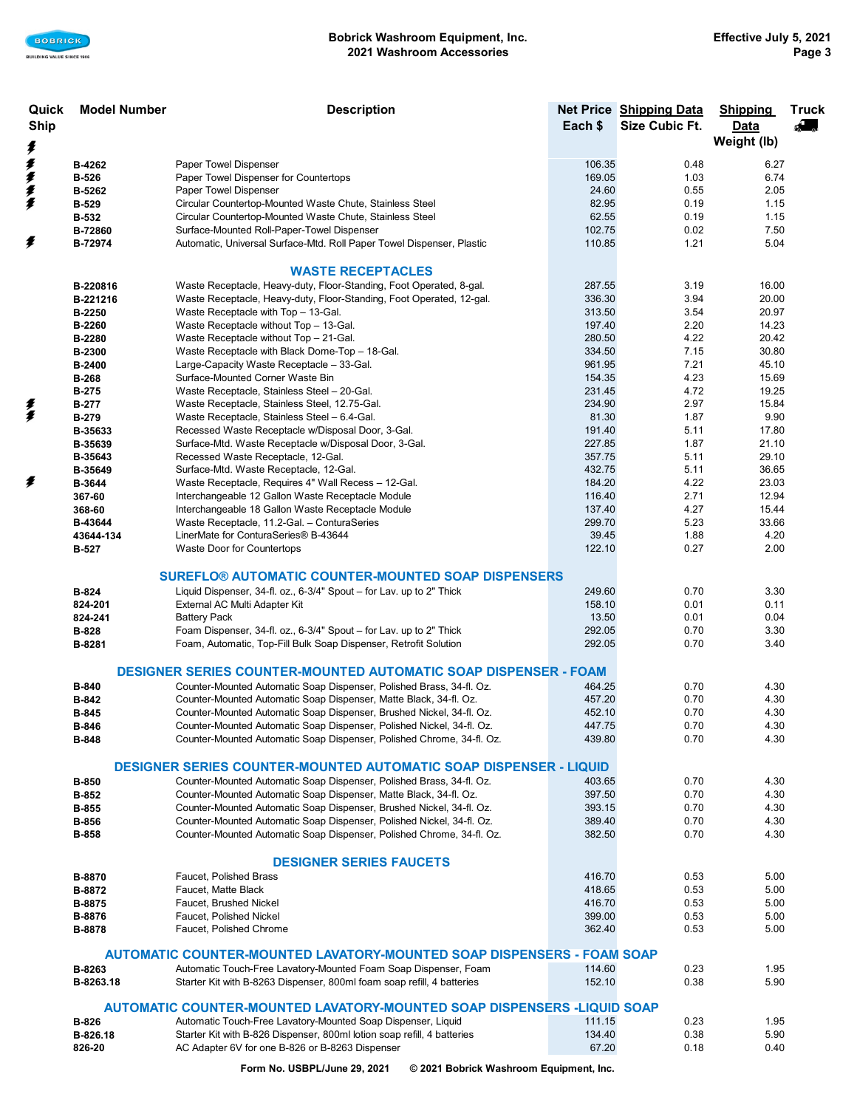| Quick       | <b>Model Number</b><br><b>Description</b>                              |                                                                          |         | Net Price Shipping Data | <b>Shipping</b> | <b>Truck</b> |
|-------------|------------------------------------------------------------------------|--------------------------------------------------------------------------|---------|-------------------------|-----------------|--------------|
| <b>Ship</b> |                                                                        |                                                                          | Each \$ | Size Cubic Ft.          | <b>Data</b>     | Æ            |
|             |                                                                        |                                                                          |         |                         | Weight (lb)     |              |
| ŧ           |                                                                        |                                                                          |         |                         |                 |              |
| ≸           | B-4262                                                                 | Paper Towel Dispenser                                                    | 106.35  | 0.48                    | 6.27            |              |
| 重重重         | <b>B-526</b>                                                           | Paper Towel Dispenser for Countertops                                    | 169.05  | 1.03                    | 6.74            |              |
|             | B-5262                                                                 | Paper Towel Dispenser                                                    | 24.60   | 0.55                    | 2.05            |              |
|             | <b>B-529</b>                                                           | Circular Countertop-Mounted Waste Chute, Stainless Steel                 | 82.95   | 0.19                    | 1.15            |              |
|             | <b>B-532</b>                                                           | Circular Countertop-Mounted Waste Chute, Stainless Steel                 | 62.55   | 0.19                    | 1.15            |              |
|             | B-72860                                                                | Surface-Mounted Roll-Paper-Towel Dispenser                               | 102.75  | 0.02                    | 7.50            |              |
| ≸           | B-72974                                                                | Automatic, Universal Surface-Mtd. Roll Paper Towel Dispenser, Plastic    | 110.85  | 1.21                    | 5.04            |              |
|             |                                                                        |                                                                          |         |                         |                 |              |
|             |                                                                        | <b>WASTE RECEPTACLES</b>                                                 |         |                         |                 |              |
|             |                                                                        |                                                                          |         |                         |                 |              |
|             | B-220816                                                               | Waste Receptacle, Heavy-duty, Floor-Standing, Foot Operated, 8-gal.      | 287.55  | 3.19                    | 16.00           |              |
|             | B-221216                                                               | Waste Receptacle, Heavy-duty, Floor-Standing, Foot Operated, 12-gal.     | 336.30  | 3.94                    | 20.00           |              |
|             | B-2250                                                                 | Waste Receptacle with Top - 13-Gal.                                      | 313.50  | 3.54                    | 20.97           |              |
|             | <b>B-2260</b>                                                          | Waste Receptacle without Top - 13-Gal.                                   | 197.40  | 2.20                    | 14.23           |              |
|             | B-2280                                                                 | Waste Receptacle without Top - 21-Gal.                                   | 280.50  | 4.22                    | 20.42           |              |
|             | <b>B-2300</b>                                                          | Waste Receptacle with Black Dome-Top - 18-Gal.                           | 334.50  | 7.15                    | 30.80           |              |
|             | B-2400                                                                 | Large-Capacity Waste Receptacle - 33-Gal.                                | 961.95  | 7.21                    | 45.10           |              |
|             | <b>B-268</b>                                                           | Surface-Mounted Corner Waste Bin                                         | 154.35  | 4.23                    | 15.69           |              |
|             | <b>B-275</b>                                                           | Waste Receptacle, Stainless Steel - 20-Gal.                              | 231.45  | 4.72                    | 19.25           |              |
| 美           | <b>B-277</b>                                                           | Waste Receptacle, Stainless Steel, 12.75-Gal.                            | 234.90  | 2.97                    | 15.84           |              |
|             | <b>B-279</b>                                                           | Waste Receptacle, Stainless Steel - 6.4-Gal.                             | 81.30   | 1.87                    | 9.90            |              |
|             | B-35633                                                                | Recessed Waste Receptacle w/Disposal Door, 3-Gal.                        | 191.40  | 5.11                    | 17.80           |              |
|             | B-35639                                                                | Surface-Mtd. Waste Receptacle w/Disposal Door, 3-Gal.                    | 227.85  | 1.87                    | 21.10           |              |
|             | B-35643                                                                | Recessed Waste Receptacle, 12-Gal.                                       | 357.75  | 5.11                    | 29.10           |              |
|             | B-35649                                                                | Surface-Mtd. Waste Receptacle, 12-Gal.                                   | 432.75  | 5.11                    | 36.65           |              |
| ≸           | <b>B-3644</b>                                                          | Waste Receptacle, Requires 4" Wall Recess - 12-Gal.                      | 184.20  | 4.22                    | 23.03           |              |
|             | 367-60                                                                 | Interchangeable 12 Gallon Waste Receptacle Module                        | 116.40  | 2.71                    | 12.94           |              |
|             | 368-60                                                                 | Interchangeable 18 Gallon Waste Receptacle Module                        | 137.40  | 4.27                    | 15.44           |              |
|             | B-43644                                                                | Waste Receptacle, 11.2-Gal. - ConturaSeries                              | 299.70  | 5.23                    | 33.66           |              |
|             | 43644-134                                                              | LinerMate for ConturaSeries® B-43644                                     | 39.45   | 1.88                    | 4.20            |              |
|             | <b>B-527</b>                                                           | Waste Door for Countertops                                               | 122.10  | 0.27                    | 2.00            |              |
|             |                                                                        |                                                                          |         |                         |                 |              |
|             |                                                                        | <b>SUREFLO® AUTOMATIC COUNTER-MOUNTED SOAP DISPENSERS</b>                |         |                         |                 |              |
|             |                                                                        |                                                                          |         |                         |                 |              |
|             | B-824                                                                  | Liquid Dispenser, 34-fl. oz., 6-3/4" Spout - for Lav. up to 2" Thick     | 249.60  | 0.70                    | 3.30            |              |
|             | 824-201                                                                | External AC Multi Adapter Kit                                            | 158.10  | 0.01                    | 0.11            |              |
|             | 824-241                                                                | <b>Battery Pack</b>                                                      | 13.50   | 0.01                    | 0.04            |              |
|             | B-828                                                                  | Foam Dispenser, 34-fl. oz., 6-3/4" Spout - for Lav. up to 2" Thick       | 292.05  | 0.70                    | 3.30            |              |
|             | B-8281                                                                 | Foam, Automatic, Top-Fill Bulk Soap Dispenser, Retrofit Solution         | 292.05  | 0.70                    | 3.40            |              |
|             |                                                                        |                                                                          |         |                         |                 |              |
|             |                                                                        | <b>DESIGNER SERIES COUNTER-MOUNTED AUTOMATIC SOAP DISPENSER - FOAM</b>   |         |                         |                 |              |
|             | <b>B-840</b>                                                           | Counter-Mounted Automatic Soap Dispenser, Polished Brass, 34-fl. Oz.     | 464.25  | 0.70                    | 4.30            |              |
|             | B-842                                                                  | Counter-Mounted Automatic Soap Dispenser, Matte Black, 34-fl. Oz.        | 457.20  | 0.70                    | 4.30            |              |
|             | B-845                                                                  | Counter-Mounted Automatic Soap Dispenser, Brushed Nickel, 34-fl. Oz.     | 452.10  | 0.70                    | 4.30            |              |
|             | <b>B-846</b>                                                           | Counter-Mounted Automatic Soap Dispenser, Polished Nickel, 34-fl. Oz.    | 447.75  | 0.70                    | 4.30            |              |
|             | <b>B-848</b>                                                           | Counter-Mounted Automatic Soap Dispenser, Polished Chrome, 34-fl. Oz.    | 439.80  | 0.70                    | 4.30            |              |
|             |                                                                        |                                                                          |         |                         |                 |              |
|             |                                                                        | <b>DESIGNER SERIES COUNTER-MOUNTED AUTOMATIC SOAP DISPENSER - LIQUID</b> |         |                         |                 |              |
|             | <b>B-850</b>                                                           | Counter-Mounted Automatic Soap Dispenser, Polished Brass, 34-fl. Oz.     | 403.65  | 0.70                    | 4.30            |              |
|             | B-852                                                                  | Counter-Mounted Automatic Soap Dispenser, Matte Black, 34-fl. Oz.        | 397.50  | 0.70                    | 4.30            |              |
|             | <b>B-855</b>                                                           | Counter-Mounted Automatic Soap Dispenser, Brushed Nickel, 34-fl. Oz.     | 393.15  | 0.70                    | 4.30            |              |
|             | <b>B-856</b>                                                           | Counter-Mounted Automatic Soap Dispenser, Polished Nickel, 34-fl. Oz.    | 389.40  | 0.70                    | 4.30            |              |
|             |                                                                        | Counter-Mounted Automatic Soap Dispenser, Polished Chrome, 34-fl. Oz.    | 382.50  | 0.70                    | 4.30            |              |
|             | <b>B-858</b>                                                           |                                                                          |         |                         |                 |              |
|             |                                                                        |                                                                          |         |                         |                 |              |
|             |                                                                        | <b>DESIGNER SERIES FAUCETS</b>                                           |         |                         |                 |              |
|             | B-8870                                                                 | <b>Faucet. Polished Brass</b>                                            | 416.70  | 0.53                    | 5.00            |              |
|             | B-8872                                                                 | Faucet, Matte Black                                                      | 418.65  | 0.53                    | 5.00            |              |
|             | B-8875                                                                 | Faucet, Brushed Nickel                                                   | 416.70  | 0.53                    | 5.00            |              |
|             | B-8876                                                                 | Faucet, Polished Nickel                                                  | 399.00  | 0.53                    | 5.00            |              |
|             | B-8878                                                                 | Faucet, Polished Chrome                                                  | 362.40  | 0.53                    | 5.00            |              |
|             |                                                                        |                                                                          |         |                         |                 |              |
|             | AUTOMATIC COUNTER-MOUNTED LAVATORY-MOUNTED SOAP DISPENSERS - FOAM SOAP |                                                                          |         |                         |                 |              |
|             | B-8263                                                                 | Automatic Touch-Free Lavatory-Mounted Foam Soap Dispenser, Foam          | 114.60  | 0.23                    | 1.95            |              |
|             | B-8263.18                                                              | Starter Kit with B-8263 Dispenser, 800ml foam soap refill, 4 batteries   | 152.10  | 0.38                    | 5.90            |              |
|             |                                                                        |                                                                          |         |                         |                 |              |
|             |                                                                        | AUTOMATIC COUNTER-MOUNTED LAVATORY-MOUNTED SOAP DISPENSERS -LIQUID SOAP  |         |                         |                 |              |
|             | B-826                                                                  | Automatic Touch-Free Lavatory-Mounted Soap Dispenser, Liquid             | 111.15  | 0.23                    | 1.95            |              |
|             | B-826.18                                                               | Starter Kit with B-826 Dispenser, 800ml lotion soap refill, 4 batteries  | 134.40  | 0.38                    | 5.90            |              |
|             | 826-20                                                                 | AC Adapter 6V for one B-826 or B-8263 Dispenser                          | 67.20   | 0.18                    | 0.40            |              |

**Form No. USBPL/June 29, 2021 © 2021 Bobrick Washroom Equipment, Inc.**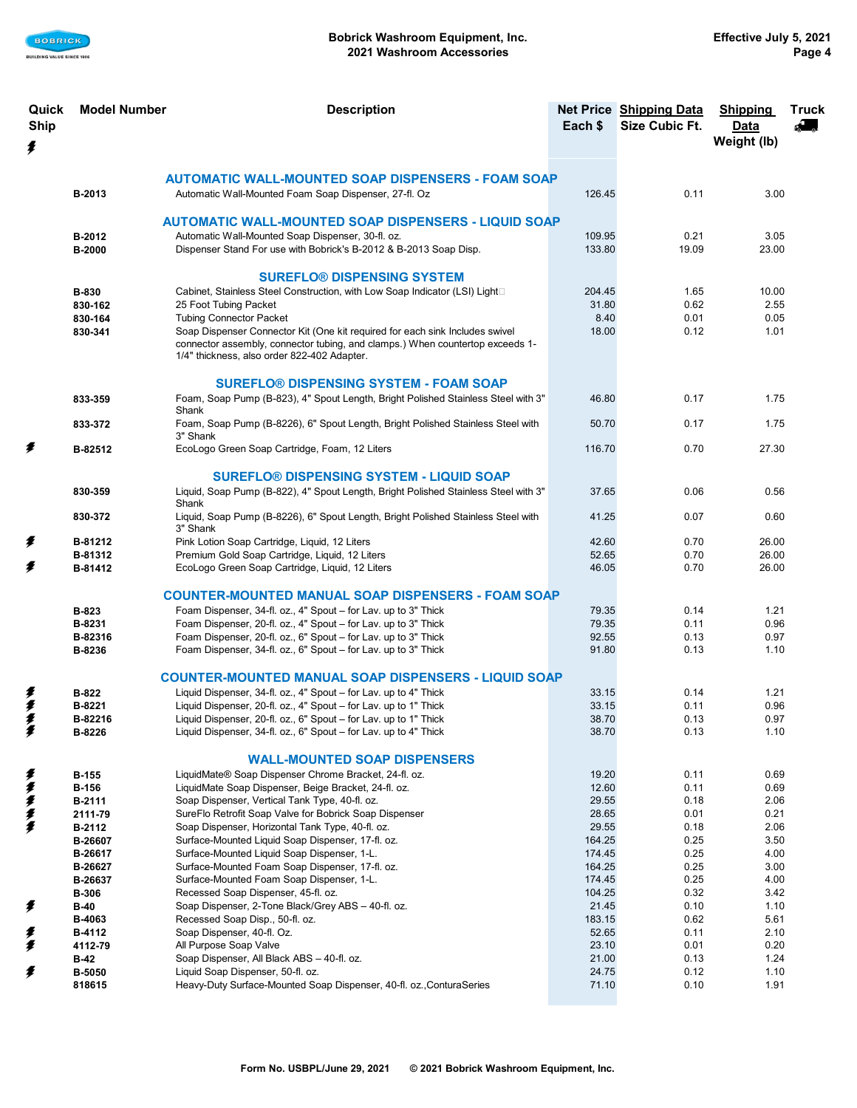

| Quick       | <b>Model Number</b> | <b>Description</b>                                                                                    |                 | Net Price Shipping Data | <b>Shipping</b> | <b>Truck</b>                                                                 |
|-------------|---------------------|-------------------------------------------------------------------------------------------------------|-----------------|-------------------------|-----------------|------------------------------------------------------------------------------|
| <b>Ship</b> |                     |                                                                                                       | Each \$         | <b>Size Cubic Ft.</b>   | Data            | $\begin{array}{c} \begin{array}{c} \begin{array}{c} \end{array} \end{array}$ |
| ≸           |                     |                                                                                                       |                 |                         | Weight (lb)     |                                                                              |
|             |                     |                                                                                                       |                 |                         |                 |                                                                              |
|             |                     | <b>AUTOMATIC WALL-MOUNTED SOAP DISPENSERS - FOAM SOAP</b>                                             |                 |                         |                 |                                                                              |
|             | B-2013              | Automatic Wall-Mounted Foam Soap Dispenser, 27-fl. Oz                                                 | 126.45          | 0.11                    | 3.00            |                                                                              |
|             |                     |                                                                                                       |                 |                         |                 |                                                                              |
|             |                     | AUTOMATIC WALL-MOUNTED SOAP DISPENSERS - LIQUID SOAP                                                  |                 |                         |                 |                                                                              |
|             | B-2012              | Automatic Wall-Mounted Soap Dispenser, 30-fl. oz.                                                     | 109.95          | 0.21                    | 3.05            |                                                                              |
|             | B-2000              | Dispenser Stand For use with Bobrick's B-2012 & B-2013 Soap Disp.                                     | 133.80          | 19.09                   | 23.00           |                                                                              |
|             |                     | <b>SUREFLO® DISPENSING SYSTEM</b>                                                                     |                 |                         |                 |                                                                              |
|             | <b>B-830</b>        | Cabinet, Stainless Steel Construction, with Low Soap Indicator (LSI) Light <sup>[1]</sup>             | 204.45          | 1.65                    | 10.00           |                                                                              |
|             | 830-162             | 25 Foot Tubing Packet                                                                                 | 31.80           | 0.62                    | 2.55            |                                                                              |
|             | 830-164             | <b>Tubing Connector Packet</b>                                                                        | 8.40            | 0.01                    | 0.05            |                                                                              |
|             | 830-341             | Soap Dispenser Connector Kit (One kit required for each sink Includes swivel                          | 18.00           | 0.12                    | 1.01            |                                                                              |
|             |                     | connector assembly, connector tubing, and clamps.) When countertop exceeds 1-                         |                 |                         |                 |                                                                              |
|             |                     | 1/4" thickness, also order 822-402 Adapter.                                                           |                 |                         |                 |                                                                              |
|             |                     | <b>SUREFLO® DISPENSING SYSTEM - FOAM SOAP</b>                                                         |                 |                         |                 |                                                                              |
|             |                     | Foam, Soap Pump (B-823), 4" Spout Length, Bright Polished Stainless Steel with 3"                     | 46.80           | 0.17                    | 1.75            |                                                                              |
|             | 833-359             | Shank                                                                                                 |                 |                         |                 |                                                                              |
|             | 833-372             | Foam, Soap Pump (B-8226), 6" Spout Length, Bright Polished Stainless Steel with                       | 50.70           | 0.17                    | 1.75            |                                                                              |
|             |                     | 3" Shank                                                                                              |                 |                         |                 |                                                                              |
| ≸           | B-82512             | EcoLogo Green Soap Cartridge, Foam, 12 Liters                                                         | 116.70          | 0.70                    | 27.30           |                                                                              |
|             |                     | <b>SUREFLO® DISPENSING SYSTEM - LIQUID SOAP</b>                                                       |                 |                         |                 |                                                                              |
|             | 830-359             | Liquid, Soap Pump (B-822), 4" Spout Length, Bright Polished Stainless Steel with 3"                   | 37.65           | 0.06                    | 0.56            |                                                                              |
|             |                     | Shank                                                                                                 |                 |                         |                 |                                                                              |
|             | 830-372             | Liquid, Soap Pump (B-8226), 6" Spout Length, Bright Polished Stainless Steel with                     | 41.25           | 0.07                    | 0.60            |                                                                              |
|             |                     | 3" Shank                                                                                              |                 |                         |                 |                                                                              |
| ≸           | B-81212             | Pink Lotion Soap Cartridge, Liquid, 12 Liters                                                         | 42.60           | 0.70                    | 26.00           |                                                                              |
| ŧ           | B-81312<br>B-81412  | Premium Gold Soap Cartridge, Liquid, 12 Liters<br>EcoLogo Green Soap Cartridge, Liquid, 12 Liters     | 52.65<br>46.05  | 0.70<br>0.70            | 26.00<br>26.00  |                                                                              |
|             |                     |                                                                                                       |                 |                         |                 |                                                                              |
|             |                     | <b>COUNTER-MOUNTED MANUAL SOAP DISPENSERS - FOAM SOAP</b>                                             |                 |                         |                 |                                                                              |
|             | B-823               | Foam Dispenser, 34-fl. oz., 4" Spout - for Lav. up to 3" Thick                                        | 79.35           | 0.14                    | 1.21            |                                                                              |
|             | B-8231              | Foam Dispenser, 20-fl. oz., 4" Spout - for Lav. up to 3" Thick                                        | 79.35           | 0.11                    | 0.96            |                                                                              |
|             | B-82316             | Foam Dispenser, 20-fl. oz., 6" Spout - for Lav. up to 3" Thick                                        | 92.55           | 0.13                    | 0.97            |                                                                              |
|             | B-8236              | Foam Dispenser, 34-fl. oz., 6" Spout - for Lav. up to 3" Thick                                        | 91.80           | 0.13                    | 1.10            |                                                                              |
|             |                     | <b>COUNTER-MOUNTED MANUAL SOAP DISPENSERS - LIQUID SOAP</b>                                           |                 |                         |                 |                                                                              |
|             | B-822               | Liquid Dispenser, 34-fl. oz., 4" Spout - for Lav. up to 4" Thick                                      | 33.15           | 0.14                    | 1.21            |                                                                              |
| 多多多         | B-8221              | Liquid Dispenser, 20-fl. oz., 4" Spout - for Lav. up to 1" Thick                                      | 33.15           | 0.11                    | 0.96            |                                                                              |
|             | B-82216             | Liquid Dispenser, 20-fl. oz., 6" Spout – for Lav. up to 1" Thick                                      | 38.70           | 0.13                    | 0.97            |                                                                              |
| ≸           | B-8226              | Liquid Dispenser, 34-fl. oz., 6" Spout - for Lav. up to 4" Thick                                      | 38.70           | 0.13                    | 1.10            |                                                                              |
|             |                     |                                                                                                       |                 |                         |                 |                                                                              |
|             |                     | <b>WALL-MOUNTED SOAP DISPENSERS</b>                                                                   |                 |                         |                 |                                                                              |
| ≸           | <b>B-155</b>        | LiquidMate® Soap Dispenser Chrome Bracket, 24-fl. oz.                                                 | 19.20           | 0.11                    | 0.69            |                                                                              |
| ≸           | <b>B-156</b>        | LiquidMate Soap Dispenser, Beige Bracket, 24-fl. oz.                                                  | 12.60           | 0.11                    | 0.69            |                                                                              |
| 多多多         | B-2111              | Soap Dispenser, Vertical Tank Type, 40-fl. oz.                                                        | 29.55           | 0.18                    | 2.06            |                                                                              |
|             | 2111-79             | SureFlo Retrofit Soap Valve for Bobrick Soap Dispenser                                                | 28.65           | 0.01                    | 0.21            |                                                                              |
|             | B-2112              | Soap Dispenser, Horizontal Tank Type, 40-fl. oz.<br>Surface-Mounted Liquid Soap Dispenser, 17-fl. oz. | 29.55<br>164.25 | 0.18<br>0.25            | 2.06<br>3.50    |                                                                              |
|             | B-26607<br>B-26617  | Surface-Mounted Liquid Soap Dispenser, 1-L.                                                           | 174.45          | 0.25                    | 4.00            |                                                                              |
|             | B-26627             | Surface-Mounted Foam Soap Dispenser, 17-fl. oz.                                                       | 164.25          | 0.25                    | 3.00            |                                                                              |
|             | B-26637             | Surface-Mounted Foam Soap Dispenser, 1-L.                                                             | 174.45          | 0.25                    | 4.00            |                                                                              |
|             | <b>B-306</b>        | Recessed Soap Dispenser, 45-fl. oz.                                                                   | 104.25          | 0.32                    | 3.42            |                                                                              |
| ≸           | <b>B-40</b>         | Soap Dispenser, 2-Tone Black/Grey ABS - 40-fl. oz.                                                    | 21.45           | 0.10                    | 1.10            |                                                                              |
|             | B-4063              | Recessed Soap Disp., 50-fl. oz.                                                                       | 183.15          | 0.62                    | 5.61            |                                                                              |
| ≸           | B-4112              | Soap Dispenser, 40-fl. Oz.                                                                            | 52.65           | 0.11                    | 2.10            |                                                                              |
| ≸           | 4112-79             | All Purpose Soap Valve                                                                                | 23.10           | 0.01                    | 0.20            |                                                                              |
|             | <b>B-42</b>         | Soap Dispenser, All Black ABS - 40-fl. oz.                                                            | 21.00           | 0.13                    | 1.24            |                                                                              |
| ≸           | B-5050              | Liquid Soap Dispenser, 50-fl. oz.                                                                     | 24.75           | 0.12                    | 1.10            |                                                                              |
|             | 818615              | Heavy-Duty Surface-Mounted Soap Dispenser, 40-fl. oz., ConturaSeries                                  | 71.10           | 0.10                    | 1.91            |                                                                              |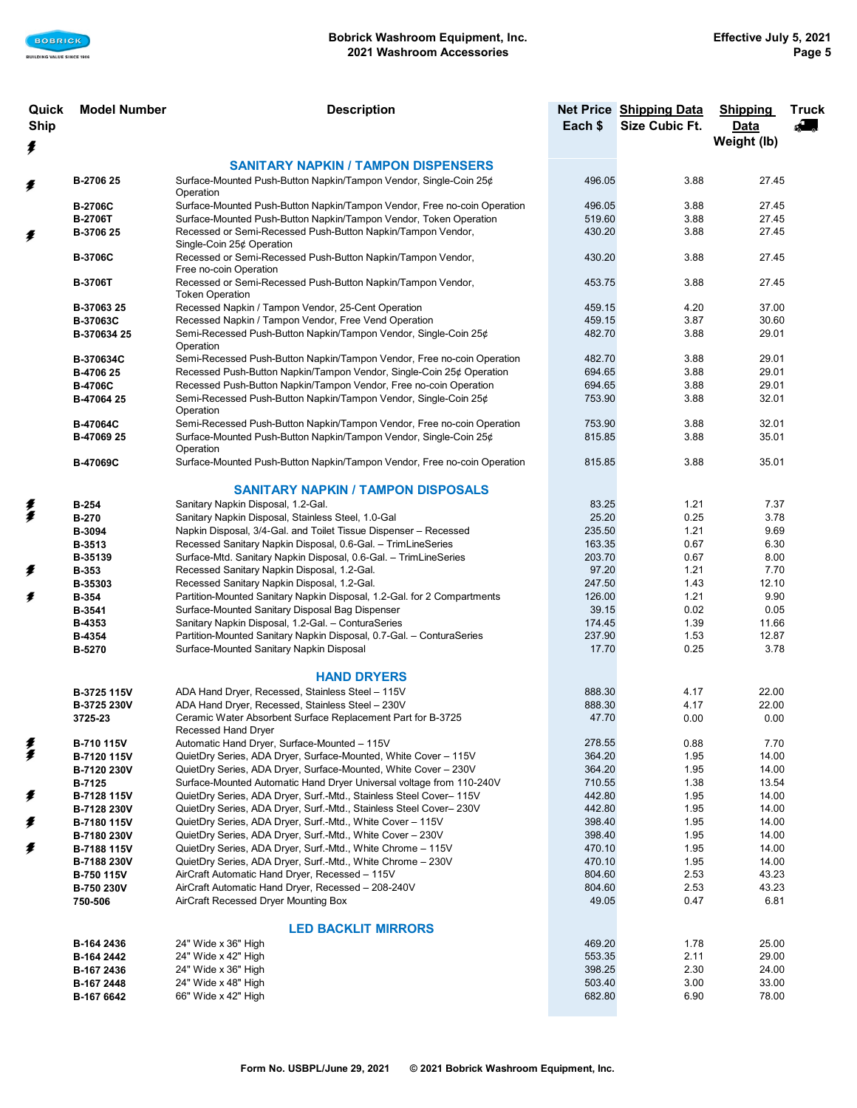| Quick<br><b>Ship</b> | <b>Model Number</b><br><b>Description</b> |                                                                                                                                             | Each \$          | Net Price Shipping Data<br>Size Cubic Ft. | <b>Shipping</b><br>Data | <b>Truck</b> |
|----------------------|-------------------------------------------|---------------------------------------------------------------------------------------------------------------------------------------------|------------------|-------------------------------------------|-------------------------|--------------|
| ŧ                    |                                           |                                                                                                                                             |                  |                                           | Weight (lb)             |              |
|                      |                                           | <b>SANITARY NAPKIN / TAMPON DISPENSERS</b>                                                                                                  |                  |                                           |                         |              |
| ≸                    | B-2706 25                                 | Surface-Mounted Push-Button Napkin/Tampon Vendor, Single-Coin 25¢<br>Operation                                                              | 496.05           | 3.88                                      | 27.45                   |              |
|                      | <b>B-2706C</b>                            | Surface-Mounted Push-Button Napkin/Tampon Vendor, Free no-coin Operation                                                                    | 496.05           | 3.88                                      | 27.45                   |              |
|                      | <b>B-2706T</b>                            | Surface-Mounted Push-Button Napkin/Tampon Vendor, Token Operation                                                                           | 519.60           | 3.88                                      | 27.45                   |              |
| ≸                    | B-3706 25                                 | Recessed or Semi-Recessed Push-Button Napkin/Tampon Vendor,<br>Single-Coin 25¢ Operation                                                    | 430.20           | 3.88                                      | 27.45                   |              |
|                      | <b>B-3706C</b>                            | Recessed or Semi-Recessed Push-Button Napkin/Tampon Vendor,<br>Free no-coin Operation                                                       | 430.20           | 3.88                                      | 27.45                   |              |
|                      | <b>B-3706T</b>                            | Recessed or Semi-Recessed Push-Button Napkin/Tampon Vendor,<br><b>Token Operation</b>                                                       | 453.75           | 3.88                                      | 27.45                   |              |
|                      | B-37063 25                                | Recessed Napkin / Tampon Vendor, 25-Cent Operation                                                                                          | 459.15           | 4.20                                      | 37.00                   |              |
|                      | <b>B-37063C</b>                           | Recessed Napkin / Tampon Vendor, Free Vend Operation                                                                                        | 459.15           | 3.87                                      | 30.60                   |              |
|                      | B-370634 25                               | Semi-Recessed Push-Button Napkin/Tampon Vendor, Single-Coin 25¢<br>Operation                                                                | 482.70           | 3.88                                      | 29.01                   |              |
|                      | B-370634C                                 | Semi-Recessed Push-Button Napkin/Tampon Vendor, Free no-coin Operation                                                                      | 482.70           | 3.88                                      | 29.01                   |              |
|                      | B-4706 25                                 | Recessed Push-Button Napkin/Tampon Vendor, Single-Coin 25¢ Operation                                                                        | 694.65           | 3.88                                      | 29.01                   |              |
|                      | <b>B-4706C</b>                            | Recessed Push-Button Napkin/Tampon Vendor, Free no-coin Operation                                                                           | 694.65           | 3.88                                      | 29.01                   |              |
|                      | B-47064 25                                | Semi-Recessed Push-Button Napkin/Tampon Vendor, Single-Coin 25¢<br>Operation                                                                | 753.90           | 3.88                                      | 32.01                   |              |
|                      | <b>B-47064C</b>                           | Semi-Recessed Push-Button Napkin/Tampon Vendor, Free no-coin Operation                                                                      | 753.90           | 3.88                                      | 32.01                   |              |
|                      | B-47069 25                                | Surface-Mounted Push-Button Napkin/Tampon Vendor, Single-Coin 25¢<br>Operation                                                              | 815.85           | 3.88                                      | 35.01                   |              |
|                      | B-47069C                                  | Surface-Mounted Push-Button Napkin/Tampon Vendor, Free no-coin Operation                                                                    | 815.85           | 3.88                                      | 35.01                   |              |
|                      |                                           | <b>SANITARY NAPKIN / TAMPON DISPOSALS</b>                                                                                                   |                  |                                           |                         |              |
| 美                    | <b>B-254</b>                              | Sanitary Napkin Disposal, 1.2-Gal.                                                                                                          | 83.25            | 1.21                                      | 7.37                    |              |
|                      | <b>B-270</b>                              | Sanitary Napkin Disposal, Stainless Steel, 1.0-Gal                                                                                          | 25.20            | 0.25                                      | 3.78                    |              |
|                      | B-3094                                    | Napkin Disposal, 3/4-Gal. and Toilet Tissue Dispenser - Recessed                                                                            | 235.50           | 1.21                                      | 9.69                    |              |
|                      | B-3513                                    | Recessed Sanitary Napkin Disposal, 0.6-Gal. - TrimLineSeries                                                                                | 163.35           | 0.67                                      | 6.30                    |              |
|                      | B-35139                                   | Surface-Mtd. Sanitary Napkin Disposal, 0.6-Gal. - TrimLineSeries                                                                            | 203.70           | 0.67                                      | 8.00                    |              |
| ≸                    | <b>B-353</b>                              | Recessed Sanitary Napkin Disposal, 1.2-Gal.                                                                                                 | 97.20            | 1.21                                      | 7.70                    |              |
|                      | B-35303                                   | Recessed Sanitary Napkin Disposal, 1.2-Gal.                                                                                                 | 247.50           | 1.43                                      | 12.10                   |              |
| ≸                    | <b>B-354</b>                              | Partition-Mounted Sanitary Napkin Disposal, 1.2-Gal. for 2 Compartments                                                                     | 126.00           | 1.21                                      | 9.90                    |              |
|                      | B-3541<br>B-4353                          | Surface-Mounted Sanitary Disposal Bag Dispenser<br>Sanitary Napkin Disposal, 1.2-Gal. - ConturaSeries                                       | 39.15<br>174.45  | 0.02<br>1.39                              | 0.05<br>11.66           |              |
|                      | <b>B-4354</b>                             | Partition-Mounted Sanitary Napkin Disposal, 0.7-Gal. - ConturaSeries                                                                        | 237.90           | 1.53                                      | 12.87                   |              |
|                      | B-5270                                    | Surface-Mounted Sanitary Napkin Disposal                                                                                                    | 17.70            | 0.25                                      | 3.78                    |              |
|                      |                                           | <b>HAND DRYERS</b>                                                                                                                          |                  |                                           |                         |              |
|                      | B-3725 115V                               | ADA Hand Dryer, Recessed, Stainless Steel - 115V                                                                                            | 888.30           | 4.17                                      | 22.00                   |              |
|                      | B-3725 230V                               | ADA Hand Dryer, Recessed, Stainless Steel - 230V                                                                                            | 888.30           | 4.17                                      | 22.00                   |              |
|                      | 3725-23                                   | Ceramic Water Absorbent Surface Replacement Part for B-3725<br>Recessed Hand Dryer                                                          | 47.70            | 0.00                                      | 0.00                    |              |
| 美                    | B-710 115V                                | Automatic Hand Dryer, Surface-Mounted - 115V                                                                                                | 278.55           | 0.88                                      | 7.70                    |              |
|                      | B-7120 115V                               | QuietDry Series, ADA Dryer, Surface-Mounted, White Cover - 115V                                                                             | 364.20           | 1.95                                      | 14.00                   |              |
|                      | B-7120 230V                               | QuietDry Series, ADA Dryer, Surface-Mounted, White Cover - 230V                                                                             | 364.20           | 1.95                                      | 14.00                   |              |
| ≸                    | <b>B-7125</b>                             | Surface-Mounted Automatic Hand Dryer Universal voltage from 110-240V<br>QuietDry Series, ADA Dryer, Surf.-Mtd., Stainless Steel Cover- 115V | 710.55<br>442.80 | 1.38<br>1.95                              | 13.54<br>14.00          |              |
|                      | B-7128 115V<br>B-7128 230V                | QuietDry Series, ADA Dryer, Surf.-Mtd., Stainless Steel Cover- 230V                                                                         | 442.80           | 1.95                                      | 14.00                   |              |
| ≸                    | B-7180 115V                               | QuietDry Series, ADA Dryer, Surf.-Mtd., White Cover - 115V                                                                                  | 398.40           | 1.95                                      | 14.00                   |              |
|                      | B-7180 230V                               | QuietDry Series, ADA Dryer, Surf.-Mtd., White Cover - 230V                                                                                  | 398.40           | 1.95                                      | 14.00                   |              |
| ≸                    | B-7188 115V                               | QuietDry Series, ADA Dryer, Surf.-Mtd., White Chrome - 115V                                                                                 | 470.10           | 1.95                                      | 14.00                   |              |
|                      | B-7188 230V                               | QuietDry Series, ADA Dryer, Surf.-Mtd., White Chrome - 230V                                                                                 | 470.10           | 1.95                                      | 14.00                   |              |
|                      | B-750 115V                                | AirCraft Automatic Hand Dryer, Recessed - 115V                                                                                              | 804.60           | 2.53                                      | 43.23                   |              |
|                      | B-750 230V                                | AirCraft Automatic Hand Dryer, Recessed - 208-240V                                                                                          | 804.60           | 2.53                                      | 43.23                   |              |
|                      | 750-506                                   | AirCraft Recessed Dryer Mounting Box                                                                                                        | 49.05            | 0.47                                      | 6.81                    |              |
|                      |                                           | <b>LED BACKLIT MIRRORS</b>                                                                                                                  |                  |                                           |                         |              |
|                      | B-164 2436                                | 24" Wide x 36" High                                                                                                                         | 469.20           | 1.78                                      | 25.00                   |              |
|                      | B-164 2442                                | 24" Wide x 42" High                                                                                                                         | 553.35           | 2.11                                      | 29.00                   |              |
|                      | B-167 2436                                | 24" Wide x 36" High<br>24" Wide x 48" High                                                                                                  | 398.25<br>503.40 | 2.30<br>3.00                              | 24.00<br>33.00          |              |
|                      | B-167 2448                                | 66" Wide x 42" High                                                                                                                         | 682.80           | 6.90                                      | 78.00                   |              |
|                      | B-167 6642                                |                                                                                                                                             |                  |                                           |                         |              |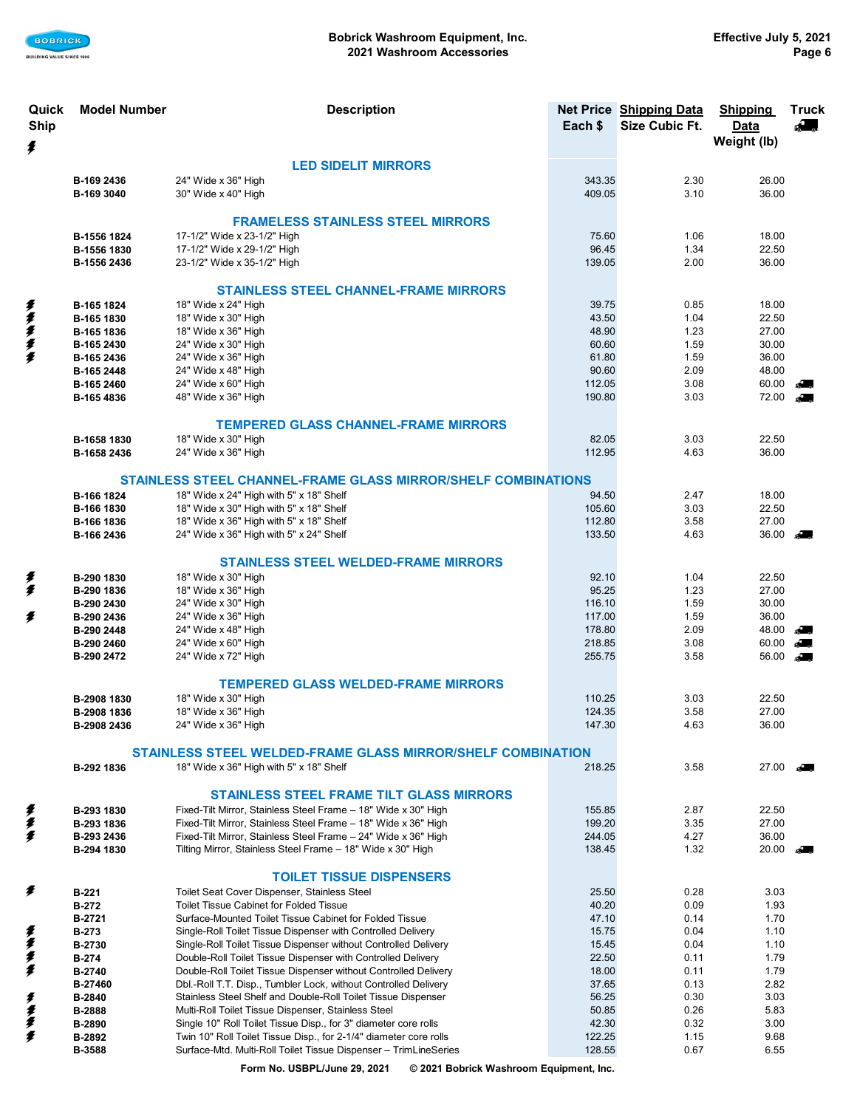

| Quick<br><b>Ship</b> | <b>Model Number</b>        | <b>Description</b>                                                                                                              | Each \$          | Net Price Shipping Data<br>Size Cubic Ft. | <b>Shipping</b><br>Data<br>Weight (lb) | <b>Truck</b><br>A.     |
|----------------------|----------------------------|---------------------------------------------------------------------------------------------------------------------------------|------------------|-------------------------------------------|----------------------------------------|------------------------|
| ŧ                    |                            |                                                                                                                                 |                  |                                           |                                        |                        |
|                      |                            | <b>LED SIDELIT MIRRORS</b>                                                                                                      | 343.35           |                                           |                                        |                        |
|                      | B-169 2436<br>B-169 3040   | 24" Wide x 36" High<br>30" Wide x 40" High                                                                                      | 409.05           | 2.30<br>3.10                              | 26.00<br>36.00                         |                        |
|                      |                            |                                                                                                                                 |                  |                                           |                                        |                        |
|                      |                            | <b>FRAMELESS STAINLESS STEEL MIRRORS</b>                                                                                        |                  |                                           |                                        |                        |
|                      | B-1556 1824<br>B-1556 1830 | 17-1/2" Wide x 23-1/2" High<br>17-1/2" Wide x 29-1/2" High                                                                      | 75.60<br>96.45   | 1.06<br>1.34                              | 18.00<br>22.50                         |                        |
|                      | B-1556 2436                | 23-1/2" Wide x 35-1/2" High                                                                                                     | 139.05           | 2.00                                      | 36.00                                  |                        |
|                      |                            |                                                                                                                                 |                  |                                           |                                        |                        |
|                      |                            | <b>STAINLESS STEEL CHANNEL-FRAME MIRRORS</b>                                                                                    |                  |                                           |                                        |                        |
| ≸                    | B-165 1824                 | 18" Wide x 24" High                                                                                                             | 39.75            | 0.85                                      | 18.00                                  |                        |
| ≸<br>≸               | B-165 1830<br>B-165 1836   | 18" Wide x 30" High<br>18" Wide x 36" High                                                                                      | 43.50<br>48.90   | 1.04<br>1.23                              | 22.50<br>27.00                         |                        |
|                      | B-165 2430                 | 24" Wide x 30" High                                                                                                             | 60.60            | 1.59                                      | 30.00                                  |                        |
| $\frac{1}{2}$        | B-165 2436                 | 24" Wide x 36" High                                                                                                             | 61.80            | 1.59                                      | 36.00                                  |                        |
|                      | B-165 2448                 | 24" Wide x 48" High                                                                                                             | 90.60            | 2.09                                      | 48.00                                  |                        |
|                      | B-165 2460                 | 24" Wide x 60" High                                                                                                             | 112.05           | 3.08                                      | 60.00                                  | Company                |
|                      | B-165 4836                 | 48" Wide x 36" High                                                                                                             | 190.80           | 3.03                                      | 72.00                                  | $\mathbb{R}^{\bullet}$ |
|                      |                            | <b>TEMPERED GLASS CHANNEL-FRAME MIRRORS</b>                                                                                     |                  |                                           |                                        |                        |
|                      | B-1658 1830                | 18" Wide x 30" High                                                                                                             | 82.05            | 3.03                                      | 22.50                                  |                        |
|                      | B-1658 2436                | 24" Wide x 36" High                                                                                                             | 112.95           | 4.63                                      | 36.00                                  |                        |
|                      |                            |                                                                                                                                 |                  |                                           |                                        |                        |
|                      | B-166 1824                 | STAINLESS STEEL CHANNEL-FRAME GLASS MIRROR/SHELF COMBINATIONS<br>18" Wide x 24" High with 5" x 18" Shelf                        | 94.50            | 2.47                                      | 18.00                                  |                        |
|                      | B-166 1830                 | 18" Wide x 30" High with 5" x 18" Shelf                                                                                         | 105.60           | 3.03                                      | 22.50                                  |                        |
|                      | B-166 1836                 | 18" Wide x 36" High with 5" x 18" Shelf                                                                                         | 112.80           | 3.58                                      | 27.00                                  |                        |
|                      | B-166 2436                 | 24" Wide x 36" High with 5" x 24" Shelf                                                                                         | 133.50           | 4.63                                      | 36.00                                  | $\mathbb{R}$           |
|                      |                            | <b>STAINLESS STEEL WELDED-FRAME MIRRORS</b>                                                                                     |                  |                                           |                                        |                        |
| ≸                    | B-290 1830                 | 18" Wide x 30" High                                                                                                             | 92.10            | 1.04                                      | 22.50                                  |                        |
| ≸                    | B-290 1836                 | 18" Wide x 36" High                                                                                                             | 95.25            | 1.23                                      | 27.00                                  |                        |
|                      | B-290 2430                 | 24" Wide x 30" High                                                                                                             | 116.10           | 1.59                                      | 30.00                                  |                        |
| ≸                    | B-290 2436                 | 24" Wide x 36" High                                                                                                             | 117.00           | 1.59                                      | 36.00                                  |                        |
|                      | B-290 2448                 | 24" Wide x 48" High                                                                                                             | 178.80           | 2.09                                      | 48.00                                  | $\mathbb{R}$           |
|                      | B-290 2460<br>B-290 2472   | 24" Wide x 60" High<br>24" Wide x 72" High                                                                                      | 218.85<br>255.75 | 3.08<br>3.58                              | 60.00<br>$56.00$ $\blacksquare$        | $\mathbb{R}$           |
|                      |                            |                                                                                                                                 |                  |                                           |                                        |                        |
|                      |                            | <b>TEMPERED GLASS WELDED-FRAME MIRRORS</b>                                                                                      |                  |                                           |                                        |                        |
|                      | B-2908 1830                | 18" Wide x 30" High                                                                                                             | 110.25           | 3.03                                      | 22.50                                  |                        |
|                      | B-2908 1836<br>B-2908 2436 | 18" Wide x 36" High<br>24" Wide x 36" High                                                                                      | 124.35<br>147.30 | 3.58<br>4.63                              | 27.00<br>36.00                         |                        |
|                      |                            |                                                                                                                                 |                  |                                           |                                        |                        |
|                      |                            | STAINLESS STEEL WELDED-FRAME GLASS MIRROR/SHELF COMBINATION                                                                     |                  |                                           |                                        |                        |
|                      | B-292 1836                 | 18" Wide x 36" High with 5" x 18" Shelf                                                                                         | 218.25           | 3.58                                      | 27.00                                  | $\mathcal{L}$          |
|                      |                            | <b>STAINLESS STEEL FRAME TILT GLASS MIRRORS</b>                                                                                 |                  |                                           |                                        |                        |
| ≸                    | B-293 1830                 | Fixed-Tilt Mirror, Stainless Steel Frame - 18" Wide x 30" High                                                                  | 155.85           | 2.87                                      | 22.50                                  |                        |
|                      | B-293 1836                 | Fixed-Tilt Mirror, Stainless Steel Frame - 18" Wide x 36" High                                                                  | 199.20           | 3.35                                      | 27.00                                  |                        |
| $\frac{1}{2}$        | B-293 2436                 | Fixed-Tilt Mirror, Stainless Steel Frame - 24" Wide x 36" High                                                                  | 244.05           | 4.27                                      | 36.00                                  |                        |
|                      | B-294 1830                 | Tilting Mirror, Stainless Steel Frame - 18" Wide x 30" High                                                                     | 138.45           | 1.32                                      | 20.00                                  | Company                |
|                      |                            | <b>TOILET TISSUE DISPENSERS</b>                                                                                                 |                  |                                           |                                        |                        |
| ≸                    | <b>B-221</b>               | Toilet Seat Cover Dispenser, Stainless Steel                                                                                    | 25.50            | 0.28                                      | 3.03                                   |                        |
|                      | <b>B-272</b>               | Toilet Tissue Cabinet for Folded Tissue                                                                                         | 40.20            | 0.09                                      | 1.93                                   |                        |
|                      | B-2721                     | Surface-Mounted Toilet Tissue Cabinet for Folded Tissue                                                                         | 47.10            | 0.14                                      | 1.70                                   |                        |
| 美美                   | <b>B-273</b>               | Single-Roll Toilet Tissue Dispenser with Controlled Delivery                                                                    | 15.75            | 0.04                                      | 1.10                                   |                        |
|                      | B-2730                     | Single-Roll Toilet Tissue Dispenser without Controlled Delivery                                                                 | 15.45            | 0.04                                      | 1.10                                   |                        |
| 复                    | <b>B-274</b><br>B-2740     | Double-Roll Toilet Tissue Dispenser with Controlled Delivery<br>Double-Roll Toilet Tissue Dispenser without Controlled Delivery | 22.50<br>18.00   | 0.11<br>0.11                              | 1.79<br>1.79                           |                        |
|                      | B-27460                    | Dbl.-Roll T.T. Disp., Tumbler Lock, without Controlled Delivery                                                                 | 37.65            | 0.13                                      | 2.82                                   |                        |
|                      | <b>B-2840</b>              | Stainless Steel Shelf and Double-Roll Toilet Tissue Dispenser                                                                   | 56.25            | 0.30                                      | 3.03                                   |                        |
| 美拿拿手                 | B-2888                     | Multi-Roll Toilet Tissue Dispenser, Stainless Steel                                                                             | 50.85            | 0.26                                      | 5.83                                   |                        |
|                      | <b>B-2890</b>              | Single 10" Roll Toilet Tissue Disp., for 3" diameter core rolls                                                                 | 42.30            | 0.32                                      | 3.00                                   |                        |
|                      | B-2892                     | Twin 10" Roll Toilet Tissue Disp., for 2-1/4" diameter core rolls                                                               | 122.25           | 1.15                                      | 9.68                                   |                        |
|                      | B-3588                     | Surface-Mtd. Multi-Roll Toilet Tissue Dispenser - TrimLineSeries                                                                | 128.55           | 0.67                                      | 6.55                                   |                        |

**Form No. USBPL/June 29, 2021 © 2021 Bobrick Washroom Equipment, Inc.**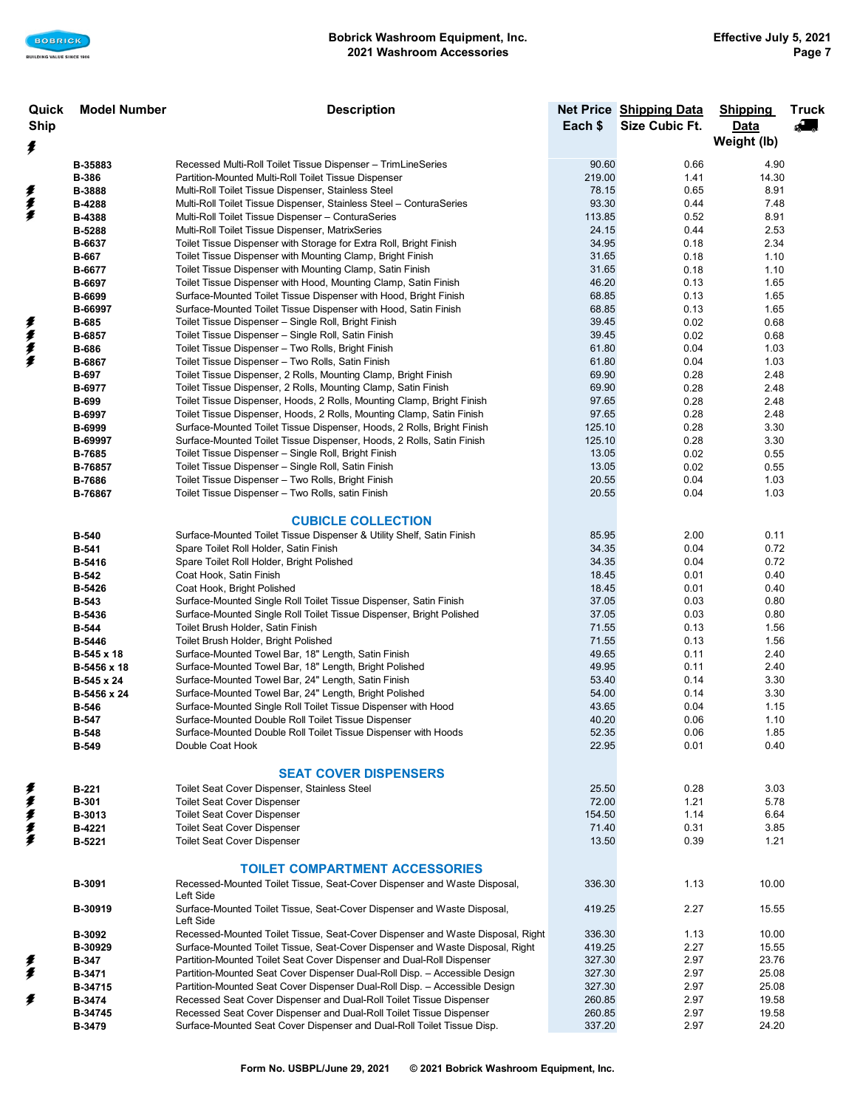| Quick       | <b>Model Number</b>     | <b>Description</b>                                                                                                                                |                  | Net Price Shipping Data | <b>Shipping</b> | <b>Truck</b>  |
|-------------|-------------------------|---------------------------------------------------------------------------------------------------------------------------------------------------|------------------|-------------------------|-----------------|---------------|
| <b>Ship</b> |                         |                                                                                                                                                   | Each \$          | Size Cubic Ft.          | Data            | $\mathcal{L}$ |
| ŧ           |                         |                                                                                                                                                   |                  |                         | Weight (lb)     |               |
|             | B-35883                 | Recessed Multi-Roll Toilet Tissue Dispenser - TrimLineSeries                                                                                      | 90.60            | 0.66                    | 4.90            |               |
|             | <b>B-386</b>            | Partition-Mounted Multi-Roll Toilet Tissue Dispenser                                                                                              | 219.00           | 1.41                    | 14.30           |               |
| 多多多         | B-3888                  | Multi-Roll Toilet Tissue Dispenser, Stainless Steel                                                                                               | 78.15            | 0.65                    | 8.91            |               |
|             | B-4288                  | Multi-Roll Toilet Tissue Dispenser, Stainless Steel - ConturaSeries                                                                               | 93.30            | 0.44                    | 7.48            |               |
|             | <b>B-4388</b>           | Multi-Roll Toilet Tissue Dispenser - ConturaSeries                                                                                                | 113.85           | 0.52                    | 8.91            |               |
|             | <b>B-5288</b>           | Multi-Roll Toilet Tissue Dispenser, MatrixSeries                                                                                                  | 24.15            | 0.44                    | 2.53            |               |
|             | B-6637                  | Toilet Tissue Dispenser with Storage for Extra Roll, Bright Finish<br>Toilet Tissue Dispenser with Mounting Clamp, Bright Finish                  | 34.95<br>31.65   | 0.18<br>0.18            | 2.34<br>1.10    |               |
|             | <b>B-667</b><br>B-6677  | Toilet Tissue Dispenser with Mounting Clamp, Satin Finish                                                                                         | 31.65            | 0.18                    | 1.10            |               |
|             | B-6697                  | Toilet Tissue Dispenser with Hood, Mounting Clamp, Satin Finish                                                                                   | 46.20            | 0.13                    | 1.65            |               |
|             | B-6699                  | Surface-Mounted Toilet Tissue Dispenser with Hood, Bright Finish                                                                                  | 68.85            | 0.13                    | 1.65            |               |
|             | B-66997                 | Surface-Mounted Toilet Tissue Dispenser with Hood, Satin Finish                                                                                   | 68.85            | 0.13                    | 1.65            |               |
|             | <b>B-685</b>            | Toilet Tissue Dispenser - Single Roll, Bright Finish                                                                                              | 39.45            | 0.02                    | 0.68            |               |
| 美拿季季        | B-6857                  | Toilet Tissue Dispenser - Single Roll, Satin Finish                                                                                               | 39.45            | 0.02                    | 0.68            |               |
|             | <b>B-686</b>            | Toilet Tissue Dispenser - Two Rolls, Bright Finish                                                                                                | 61.80            | 0.04                    | 1.03            |               |
|             | B-6867                  | Toilet Tissue Dispenser - Two Rolls, Satin Finish                                                                                                 | 61.80            | 0.04                    | 1.03            |               |
|             | <b>B-697</b>            | Toilet Tissue Dispenser, 2 Rolls, Mounting Clamp, Bright Finish                                                                                   | 69.90            | 0.28                    | 2.48            |               |
|             | B-6977                  | Toilet Tissue Dispenser, 2 Rolls, Mounting Clamp, Satin Finish                                                                                    | 69.90            | 0.28                    | 2.48            |               |
|             | <b>B-699</b>            | Toilet Tissue Dispenser, Hoods, 2 Rolls, Mounting Clamp, Bright Finish                                                                            | 97.65            | 0.28                    | 2.48            |               |
|             | B-6997<br><b>B-6999</b> | Toilet Tissue Dispenser, Hoods, 2 Rolls, Mounting Clamp, Satin Finish                                                                             | 97.65<br>125.10  | 0.28<br>0.28            | 2.48<br>3.30    |               |
|             | B-69997                 | Surface-Mounted Toilet Tissue Dispenser, Hoods, 2 Rolls, Bright Finish<br>Surface-Mounted Toilet Tissue Dispenser, Hoods, 2 Rolls, Satin Finish   | 125.10           | 0.28                    | 3.30            |               |
|             | <b>B-7685</b>           | Toilet Tissue Dispenser - Single Roll, Bright Finish                                                                                              | 13.05            | 0.02                    | 0.55            |               |
|             | B-76857                 | Toilet Tissue Dispenser - Single Roll, Satin Finish                                                                                               | 13.05            | 0.02                    | 0.55            |               |
|             | B-7686                  | Toilet Tissue Dispenser - Two Rolls, Bright Finish                                                                                                | 20.55            | 0.04                    | 1.03            |               |
|             | B-76867                 | Toilet Tissue Dispenser - Two Rolls, satin Finish                                                                                                 | 20.55            | 0.04                    | 1.03            |               |
|             |                         |                                                                                                                                                   |                  |                         |                 |               |
|             |                         | <b>CUBICLE COLLECTION</b>                                                                                                                         |                  |                         |                 |               |
|             | <b>B-540</b>            | Surface-Mounted Toilet Tissue Dispenser & Utility Shelf, Satin Finish                                                                             | 85.95            | 2.00                    | 0.11            |               |
|             | <b>B-541</b>            | Spare Toilet Roll Holder, Satin Finish                                                                                                            | 34.35            | 0.04                    | 0.72            |               |
|             | B-5416                  | Spare Toilet Roll Holder, Bright Polished                                                                                                         | 34.35<br>18.45   | 0.04<br>0.01            | 0.72<br>0.40    |               |
|             | <b>B-542</b><br>B-5426  | Coat Hook, Satin Finish<br>Coat Hook, Bright Polished                                                                                             | 18.45            | 0.01                    | 0.40            |               |
|             | <b>B-543</b>            | Surface-Mounted Single Roll Toilet Tissue Dispenser, Satin Finish                                                                                 | 37.05            | 0.03                    | 0.80            |               |
|             | B-5436                  | Surface-Mounted Single Roll Toilet Tissue Dispenser, Bright Polished                                                                              | 37.05            | 0.03                    | 0.80            |               |
|             | <b>B-544</b>            | Toilet Brush Holder, Satin Finish                                                                                                                 | 71.55            | 0.13                    | 1.56            |               |
|             | <b>B-5446</b>           | Toilet Brush Holder, Bright Polished                                                                                                              | 71.55            | 0.13                    | 1.56            |               |
|             | B-545 x 18              | Surface-Mounted Towel Bar, 18" Length, Satin Finish                                                                                               | 49.65            | 0.11                    | 2.40            |               |
|             | B-5456 x 18             | Surface-Mounted Towel Bar, 18" Length, Bright Polished                                                                                            | 49.95            | 0.11                    | 2.40            |               |
|             | B-545 x 24              | Surface-Mounted Towel Bar, 24" Length, Satin Finish                                                                                               | 53.40            | 0.14                    | 3.30            |               |
|             | B-5456 x 24             | Surface-Mounted Towel Bar, 24" Length, Bright Polished                                                                                            | 54.00            | 0.14                    | 3.30            |               |
|             | <b>B-546</b>            | Surface-Mounted Single Roll Toilet Tissue Dispenser with Hood                                                                                     | 43.65            | 0.04                    | 1.15            |               |
|             | <b>B-547</b><br>B-548   | Surface-Mounted Double Roll Toilet Tissue Dispenser<br>Surface-Mounted Double Roll Toilet Tissue Dispenser with Hoods                             | 40.20<br>52.35   | 0.06<br>0.06            | 1.10<br>1.85    |               |
|             | <b>B-549</b>            | Double Coat Hook                                                                                                                                  | 22.95            | 0.01                    | 0.40            |               |
|             |                         |                                                                                                                                                   |                  |                         |                 |               |
|             |                         | <b>SEAT COVER DISPENSERS</b>                                                                                                                      |                  |                         |                 |               |
|             | <b>B-221</b>            | Toilet Seat Cover Dispenser, Stainless Steel                                                                                                      | 25.50            | 0.28                    | 3.03            |               |
|             | <b>B-301</b>            | <b>Toilet Seat Cover Dispenser</b>                                                                                                                | 72.00            | 1.21                    | 5.78            |               |
| 多多多多多       | B-3013                  | <b>Toilet Seat Cover Dispenser</b>                                                                                                                | 154.50           | 1.14                    | 6.64            |               |
|             | B-4221                  | <b>Toilet Seat Cover Dispenser</b>                                                                                                                | 71.40            | 0.31                    | 3.85            |               |
|             | B-5221                  | <b>Toilet Seat Cover Dispenser</b>                                                                                                                | 13.50            | 0.39                    | 1.21            |               |
|             |                         | <b>TOILET COMPARTMENT ACCESSORIES</b>                                                                                                             |                  |                         |                 |               |
|             | B-3091                  | Recessed-Mounted Toilet Tissue, Seat-Cover Dispenser and Waste Disposal,                                                                          | 336.30           | 1.13                    | 10.00           |               |
|             |                         | Left Side                                                                                                                                         |                  |                         |                 |               |
|             | B-30919                 | Surface-Mounted Toilet Tissue, Seat-Cover Dispenser and Waste Disposal,<br>Left Side                                                              | 419.25           | 2.27                    | 15.55           |               |
|             | B-3092                  | Recessed-Mounted Toilet Tissue, Seat-Cover Dispenser and Waste Disposal, Right                                                                    | 336.30           | 1.13                    | 10.00           |               |
|             | B-30929                 | Surface-Mounted Toilet Tissue, Seat-Cover Dispenser and Waste Disposal, Right                                                                     | 419.25           | 2.27                    | 15.55           |               |
| ≸           | <b>B-347</b>            | Partition-Mounted Toilet Seat Cover Dispenser and Dual-Roll Dispenser                                                                             | 327.30           | 2.97                    | 23.76           |               |
| ≸           | B-3471                  | Partition-Mounted Seat Cover Dispenser Dual-Roll Disp. - Accessible Design                                                                        | 327.30           | 2.97                    | 25.08           |               |
| ≸           | B-34715<br>B-3474       | Partition-Mounted Seat Cover Dispenser Dual-Roll Disp. - Accessible Design<br>Recessed Seat Cover Dispenser and Dual-Roll Toilet Tissue Dispenser | 327.30<br>260.85 | 2.97<br>2.97            | 25.08<br>19.58  |               |
|             | B-34745                 | Recessed Seat Cover Dispenser and Dual-Roll Toilet Tissue Dispenser                                                                               | 260.85           | 2.97                    | 19.58           |               |
|             | B-3479                  | Surface-Mounted Seat Cover Dispenser and Dual-Roll Toilet Tissue Disp.                                                                            | 337.20           | 2.97                    | 24.20           |               |
|             |                         |                                                                                                                                                   |                  |                         |                 |               |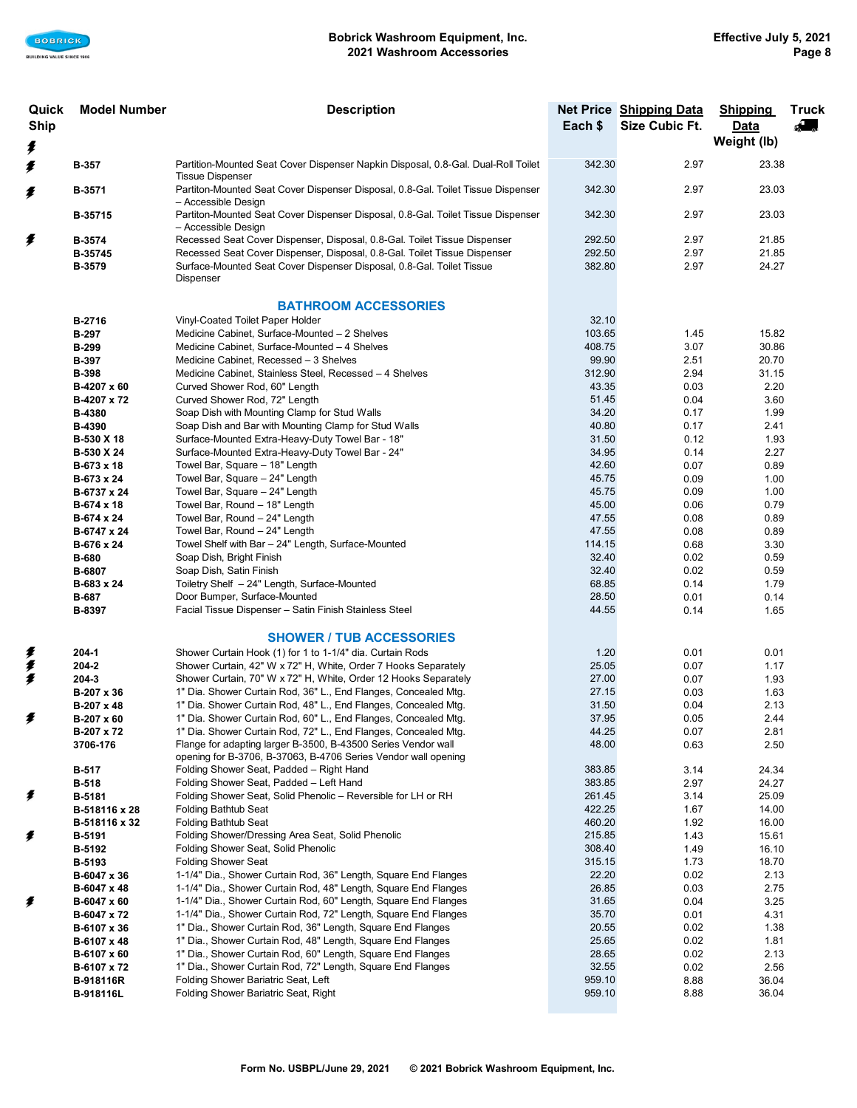| Quick       | <b>Model Number</b>        | <b>Description</b>                                                                                                                                     |                  | Net Price Shipping Data | <b>Shipping</b> | <b>Truck</b> |
|-------------|----------------------------|--------------------------------------------------------------------------------------------------------------------------------------------------------|------------------|-------------------------|-----------------|--------------|
| <b>Ship</b> |                            |                                                                                                                                                        | Each \$          | Size Cubic Ft.          | Data            | 43,          |
|             |                            |                                                                                                                                                        |                  |                         | Weight (lb)     |              |
| ŧ           |                            |                                                                                                                                                        |                  |                         |                 |              |
| ≸           | <b>B-357</b>               | Partition-Mounted Seat Cover Dispenser Napkin Disposal, 0.8-Gal. Dual-Roll Toilet                                                                      | 342.30           | 2.97                    | 23.38           |              |
|             |                            | <b>Tissue Dispenser</b>                                                                                                                                |                  |                         |                 |              |
| B-3571<br>≸ |                            | Partiton-Mounted Seat Cover Dispenser Disposal, 0.8-Gal. Toilet Tissue Dispenser                                                                       | 342.30           | 2.97                    | 23.03           |              |
|             |                            | - Accessible Design                                                                                                                                    |                  |                         |                 |              |
|             | B-35715                    | Partiton-Mounted Seat Cover Dispenser Disposal, 0.8-Gal. Toilet Tissue Dispenser                                                                       | 342.30           | 2.97                    | 23.03           |              |
|             |                            | - Accessible Design                                                                                                                                    |                  |                         |                 |              |
| ≸           | B-3574                     | Recessed Seat Cover Dispenser, Disposal, 0.8-Gal. Toilet Tissue Dispenser<br>Recessed Seat Cover Dispenser, Disposal, 0.8-Gal. Toilet Tissue Dispenser | 292.50           | 2.97                    | 21.85           |              |
|             | B-35745                    | Surface-Mounted Seat Cover Dispenser Disposal, 0.8-Gal. Toilet Tissue                                                                                  | 292.50<br>382.80 | 2.97<br>2.97            | 21.85<br>24.27  |              |
|             | B-3579                     | Dispenser                                                                                                                                              |                  |                         |                 |              |
|             |                            |                                                                                                                                                        |                  |                         |                 |              |
|             |                            | <b>BATHROOM ACCESSORIES</b>                                                                                                                            |                  |                         |                 |              |
|             | B-2716                     | Vinyl-Coated Toilet Paper Holder                                                                                                                       | 32.10            |                         |                 |              |
|             | <b>B-297</b>               | Medicine Cabinet, Surface-Mounted - 2 Shelves                                                                                                          | 103.65           | 1.45                    | 15.82           |              |
|             | <b>B-299</b>               | Medicine Cabinet, Surface-Mounted - 4 Shelves                                                                                                          | 408.75           | 3.07                    | 30.86           |              |
|             | <b>B-397</b>               | Medicine Cabinet, Recessed - 3 Shelves                                                                                                                 | 99.90            | 2.51                    | 20.70           |              |
|             | <b>B-398</b>               | Medicine Cabinet, Stainless Steel, Recessed - 4 Shelves                                                                                                | 312.90           | 2.94                    | 31.15           |              |
|             | B-4207 x 60                | Curved Shower Rod, 60" Length                                                                                                                          | 43.35            | 0.03                    | 2.20            |              |
|             | B-4207 x 72                | Curved Shower Rod, 72" Length                                                                                                                          | 51.45            | 0.04                    | 3.60            |              |
|             | B-4380                     | Soap Dish with Mounting Clamp for Stud Walls                                                                                                           | 34.20            | 0.17                    | 1.99            |              |
|             | B-4390                     | Soap Dish and Bar with Mounting Clamp for Stud Walls                                                                                                   | 40.80            | 0.17                    | 2.41            |              |
|             | B-530 X 18                 | Surface-Mounted Extra-Heavy-Duty Towel Bar - 18"                                                                                                       | 31.50            | 0.12                    | 1.93            |              |
|             | B-530 X 24                 | Surface-Mounted Extra-Heavy-Duty Towel Bar - 24"                                                                                                       | 34.95            | 0.14                    | 2.27            |              |
|             | B-673 x 18                 | Towel Bar, Square - 18" Length                                                                                                                         | 42.60            | 0.07                    | 0.89            |              |
|             | B-673 x 24                 | Towel Bar, Square - 24" Length                                                                                                                         | 45.75            | 0.09                    | 1.00            |              |
|             | B-6737 x 24                | Towel Bar, Square - 24" Length                                                                                                                         | 45.75            | 0.09                    | 1.00            |              |
|             | B-674 x 18                 | Towel Bar, Round - 18" Length                                                                                                                          | 45.00            | 0.06                    | 0.79            |              |
|             | B-674 x 24                 | Towel Bar, Round - 24" Length                                                                                                                          | 47.55            | 0.08                    | 0.89            |              |
|             | B-6747 x 24                | Towel Bar, Round - 24" Length                                                                                                                          | 47.55            | 0.08                    | 0.89            |              |
|             | B-676 x 24                 | Towel Shelf with Bar - 24" Length, Surface-Mounted                                                                                                     | 114.15           | 0.68                    | 3.30            |              |
|             | <b>B-680</b>               | Soap Dish, Bright Finish                                                                                                                               | 32.40            | 0.02                    | 0.59            |              |
|             | B-6807                     | Soap Dish, Satin Finish                                                                                                                                | 32.40            | 0.02                    | 0.59            |              |
|             | B-683 x 24                 | Toiletry Shelf - 24" Length, Surface-Mounted                                                                                                           | 68.85            | 0.14                    | 1.79            |              |
|             | <b>B-687</b>               | Door Bumper, Surface-Mounted                                                                                                                           | 28.50            | 0.01                    | 0.14            |              |
|             | B-8397                     | Facial Tissue Dispenser - Satin Finish Stainless Steel                                                                                                 | 44.55            | 0.14                    | 1.65            |              |
|             |                            |                                                                                                                                                        |                  |                         |                 |              |
|             |                            | <b>SHOWER / TUB ACCESSORIES</b>                                                                                                                        |                  |                         |                 |              |
| 美美          | 204-1                      | Shower Curtain Hook (1) for 1 to 1-1/4" dia. Curtain Rods                                                                                              | 1.20             | 0.01                    | 0.01            |              |
| ≸           | 204-2                      | Shower Curtain, 42" W x 72" H, White, Order 7 Hooks Separately<br>Shower Curtain, 70" W x 72" H, White, Order 12 Hooks Separately                      | 25.05<br>27.00   | 0.07                    | 1.17            |              |
|             | $204 - 3$<br>B-207 x 36    | 1" Dia. Shower Curtain Rod, 36" L., End Flanges, Concealed Mtg.                                                                                        | 27.15            | 0.07<br>0.03            | 1.93<br>1.63    |              |
|             | B-207 x 48                 | 1" Dia. Shower Curtain Rod, 48" L., End Flanges, Concealed Mtg.                                                                                        | 31.50            | 0.04                    | 2.13            |              |
| ŧ           | B-207 x 60                 | 1" Dia. Shower Curtain Rod, 60" L., End Flanges, Concealed Mtg.                                                                                        | 37.95            | 0.05                    | 2.44            |              |
|             | B-207 x 72                 | 1" Dia. Shower Curtain Rod, 72" L., End Flanges, Concealed Mtg.                                                                                        | 44.25            | 0.07                    | 2.81            |              |
|             | 3706-176                   | Flange for adapting larger B-3500, B-43500 Series Vendor wall                                                                                          | 48.00            | 0.63                    | 2.50            |              |
|             |                            | opening for B-3706, B-37063, B-4706 Series Vendor wall opening                                                                                         |                  |                         |                 |              |
|             | B-517                      | Folding Shower Seat, Padded - Right Hand                                                                                                               | 383.85           | 3.14                    | 24.34           |              |
|             | <b>B-518</b>               | Folding Shower Seat, Padded - Left Hand                                                                                                                | 383.85           | 2.97                    | 24.27           |              |
| ≸           | B-5181                     | Folding Shower Seat, Solid Phenolic - Reversible for LH or RH                                                                                          | 261.45           | 3.14                    | 25.09           |              |
|             | B-518116 x 28              | Folding Bathtub Seat                                                                                                                                   | 422.25           | 1.67                    | 14.00           |              |
|             | B-518116 x 32              | <b>Folding Bathtub Seat</b>                                                                                                                            | 460.20           | 1.92                    | 16.00           |              |
| ŧ           | B-5191                     | Folding Shower/Dressing Area Seat, Solid Phenolic                                                                                                      | 215.85           | 1.43                    | 15.61           |              |
|             | B-5192                     | Folding Shower Seat, Solid Phenolic                                                                                                                    | 308.40           | 1.49                    | 16.10           |              |
|             | <b>B-5193</b>              | <b>Folding Shower Seat</b>                                                                                                                             | 315.15           | 1.73                    | 18.70           |              |
|             | B-6047 x 36                | 1-1/4" Dia., Shower Curtain Rod, 36" Length, Square End Flanges                                                                                        | 22.20            | 0.02                    | 2.13            |              |
|             | B-6047 x 48                | 1-1/4" Dia., Shower Curtain Rod, 48" Length, Square End Flanges                                                                                        | 26.85            | 0.03                    | 2.75            |              |
| ≸           | B-6047 x 60                | 1-1/4" Dia., Shower Curtain Rod, 60" Length, Square End Flanges                                                                                        | 31.65            | 0.04                    | 3.25            |              |
|             | B-6047 x 72                | 1-1/4" Dia., Shower Curtain Rod, 72" Length, Square End Flanges                                                                                        | 35.70            | 0.01                    | 4.31            |              |
|             | B-6107 x 36                | 1" Dia., Shower Curtain Rod, 36" Length, Square End Flanges                                                                                            | 20.55            | 0.02                    | 1.38            |              |
|             | B-6107 x 48                | 1" Dia., Shower Curtain Rod, 48" Length, Square End Flanges                                                                                            | 25.65            | 0.02<br>0.02            | 1.81<br>2.13    |              |
|             | B-6107 x 60<br>B-6107 x 72 | 1" Dia., Shower Curtain Rod, 60" Length, Square End Flanges<br>1" Dia., Shower Curtain Rod, 72" Length, Square End Flanges                             | 28.65<br>32.55   | 0.02                    | 2.56            |              |
|             | B-918116R                  | Folding Shower Bariatric Seat, Left                                                                                                                    | 959.10           | 8.88                    | 36.04           |              |
|             | B-918116L                  | Folding Shower Bariatric Seat, Right                                                                                                                   | 959.10           | 8.88                    | 36.04           |              |
|             |                            |                                                                                                                                                        |                  |                         |                 |              |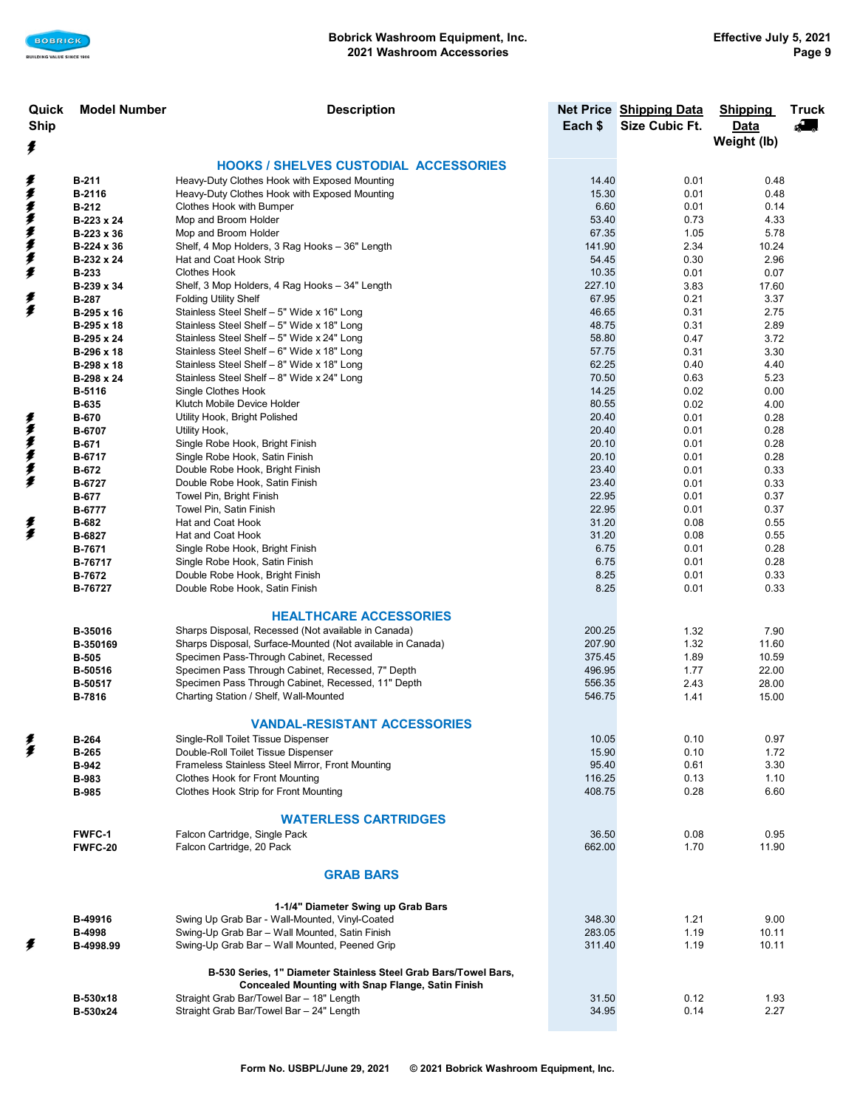| Quick       | <b>Model Number</b>          | <b>Description</b>                                              |                  | Net Price Shipping Data | <b>Shipping</b> | <b>Truck</b> |
|-------------|------------------------------|-----------------------------------------------------------------|------------------|-------------------------|-----------------|--------------|
| <b>Ship</b> |                              |                                                                 | Each \$          | Size Cubic Ft.          | <b>Data</b>     | Æ            |
| ≸           |                              |                                                                 |                  |                         | Weight (lb)     |              |
|             |                              | <b>HOOKS / SHELVES CUSTODIAL ACCESSORIES</b>                    |                  |                         |                 |              |
| ≸           | <b>B-211</b>                 | Heavy-Duty Clothes Hook with Exposed Mounting                   | 14.40            | 0.01                    | 0.48            |              |
|             | B-2116                       | Heavy-Duty Clothes Hook with Exposed Mounting                   | 15.30            | 0.01                    | 0.48            |              |
| 多季季季季季      | B-212                        | Clothes Hook with Bumper                                        | 6.60             | 0.01                    | 0.14            |              |
|             | B-223 x 24                   | Mop and Broom Holder                                            | 53.40            | 0.73                    | 4.33            |              |
|             | B-223 x 36                   | Mop and Broom Holder                                            | 67.35            | 1.05                    | 5.78            |              |
|             | B-224 x 36                   | Shelf, 4 Mop Holders, 3 Rag Hooks - 36" Length                  | 141.90           | 2.34                    | 10.24           |              |
|             | B-232 x 24                   | Hat and Coat Hook Strip                                         | 54.45            | 0.30                    | 2.96            |              |
|             | <b>B-233</b>                 | <b>Clothes Hook</b>                                             | 10.35            | 0.01                    | 0.07            |              |
|             | B-239 x 34                   | Shelf, 3 Mop Holders, 4 Rag Hooks - 34" Length                  | 227.10           | 3.83                    | 17.60           |              |
| ≸           | <b>B-287</b>                 | <b>Folding Utility Shelf</b>                                    | 67.95            | 0.21                    | 3.37            |              |
| €           | B-295 x 16                   | Stainless Steel Shelf - 5" Wide x 16" Long                      | 46.65            | 0.31                    | 2.75            |              |
|             | B-295 x 18                   | Stainless Steel Shelf - 5" Wide x 18" Long                      | 48.75            | 0.31                    | 2.89            |              |
|             | B-295 x 24                   | Stainless Steel Shelf - 5" Wide x 24" Long                      | 58.80            | 0.47                    | 3.72            |              |
|             | B-296 x 18                   | Stainless Steel Shelf - 6" Wide x 18" Long                      | 57.75            | 0.31                    | 3.30            |              |
|             | B-298 x 18                   | Stainless Steel Shelf - 8" Wide x 18" Long                      | 62.25            | 0.40                    | 4.40            |              |
|             | B-298 x 24                   | Stainless Steel Shelf - 8" Wide x 24" Long                      | 70.50            | 0.63                    | 5.23            |              |
|             | B-5116                       | Single Clothes Hook<br>Klutch Mobile Device Holder              | 14.25<br>80.55   | 0.02                    | 0.00            |              |
|             | <b>B-635</b><br><b>B-670</b> | Utility Hook, Bright Polished                                   | 20.40            | 0.02<br>0.01            | 4.00<br>0.28    |              |
| 美女女女女女      | B-6707                       | Utility Hook,                                                   | 20.40            | 0.01                    | 0.28            |              |
|             | B-671                        | Single Robe Hook, Bright Finish                                 | 20.10            | 0.01                    | 0.28            |              |
|             | B-6717                       | Single Robe Hook, Satin Finish                                  | 20.10            | 0.01                    | 0.28            |              |
|             | B-672                        | Double Robe Hook, Bright Finish                                 | 23.40            | 0.01                    | 0.33            |              |
|             | B-6727                       | Double Robe Hook, Satin Finish                                  | 23.40            | 0.01                    | 0.33            |              |
|             | <b>B-677</b>                 | Towel Pin, Bright Finish                                        | 22.95            | 0.01                    | 0.37            |              |
|             | <b>B-6777</b>                | Towel Pin, Satin Finish                                         | 22.95            | 0.01                    | 0.37            |              |
| 美           | B-682                        | Hat and Coat Hook                                               | 31.20            | 0.08                    | 0.55            |              |
|             | B-6827                       | Hat and Coat Hook                                               | 31.20            | 0.08                    | 0.55            |              |
|             | B-7671                       | Single Robe Hook, Bright Finish                                 | 6.75             | 0.01                    | 0.28            |              |
|             | B-76717                      | Single Robe Hook, Satin Finish                                  | 6.75             | 0.01                    | 0.28            |              |
|             | B-7672                       | Double Robe Hook, Bright Finish                                 | 8.25             | 0.01                    | 0.33            |              |
|             | B-76727                      | Double Robe Hook, Satin Finish                                  | 8.25             | 0.01                    | 0.33            |              |
|             |                              |                                                                 |                  |                         |                 |              |
|             |                              | <b>HEALTHCARE ACCESSORIES</b>                                   |                  |                         |                 |              |
|             | B-35016                      | Sharps Disposal, Recessed (Not available in Canada)             | 200.25           | 1.32                    | 7.90            |              |
|             | B-350169                     | Sharps Disposal, Surface-Mounted (Not available in Canada)      | 207.90           | 1.32                    | 11.60           |              |
|             | <b>B-505</b>                 | Specimen Pass-Through Cabinet, Recessed                         | 375.45           | 1.89                    | 10.59           |              |
|             | B-50516                      | Specimen Pass Through Cabinet, Recessed, 7" Depth               | 496.95           | 1.77                    | 22.00           |              |
|             | B-50517                      | Specimen Pass Through Cabinet, Recessed, 11" Depth              | 556.35<br>546.75 | 2.43                    | 28.00           |              |
|             | B-7816                       | Charting Station / Shelf, Wall-Mounted                          |                  | 1.41                    | 15.00           |              |
|             |                              | <b>VANDAL-RESISTANT ACCESSORIES</b>                             |                  |                         |                 |              |
|             | <b>B-264</b>                 | Single-Roll Toilet Tissue Dispenser                             | 10.05            | 0.10                    | 0.97            |              |
| 美           | <b>B-265</b>                 | Double-Roll Toilet Tissue Dispenser                             | 15.90            | 0.10                    | 1.72            |              |
|             | <b>B-942</b>                 | Frameless Stainless Steel Mirror, Front Mounting                | 95.40            | 0.61                    | 3.30            |              |
|             | <b>B-983</b>                 | <b>Clothes Hook for Front Mounting</b>                          | 116.25           | 0.13                    | 1.10            |              |
|             | <b>B-985</b>                 | <b>Clothes Hook Strip for Front Mounting</b>                    | 408.75           | 0.28                    | 6.60            |              |
|             |                              |                                                                 |                  |                         |                 |              |
|             |                              | <b>WATERLESS CARTRIDGES</b>                                     |                  |                         |                 |              |
|             | <b>FWFC-1</b>                | Falcon Cartridge, Single Pack                                   | 36.50            | 0.08                    | 0.95            |              |
|             | FWFC-20                      | Falcon Cartridge, 20 Pack                                       | 662.00           | 1.70                    | 11.90           |              |
|             |                              |                                                                 |                  |                         |                 |              |
|             |                              | <b>GRAB BARS</b>                                                |                  |                         |                 |              |
|             |                              |                                                                 |                  |                         |                 |              |
|             |                              | 1-1/4" Diameter Swing up Grab Bars                              |                  |                         |                 |              |
|             | B-49916                      | Swing Up Grab Bar - Wall-Mounted, Vinyl-Coated                  | 348.30           | 1.21                    | 9.00            |              |
|             | <b>B-4998</b>                | Swing-Up Grab Bar - Wall Mounted, Satin Finish                  | 283.05           | 1.19                    | 10.11           |              |
| ŧ           | B-4998.99                    | Swing-Up Grab Bar - Wall Mounted, Peened Grip                   | 311.40           | 1.19                    | 10.11           |              |
|             |                              |                                                                 |                  |                         |                 |              |
|             |                              | B-530 Series, 1" Diameter Stainless Steel Grab Bars/Towel Bars, |                  |                         |                 |              |
|             |                              | <b>Concealed Mounting with Snap Flange, Satin Finish</b>        |                  |                         |                 |              |
|             | B-530x18                     | Straight Grab Bar/Towel Bar - 18" Length                        | 31.50            | 0.12                    | 1.93            |              |
|             | B-530x24                     | Straight Grab Bar/Towel Bar - 24" Length                        | 34.95            | 0.14                    | 2.27            |              |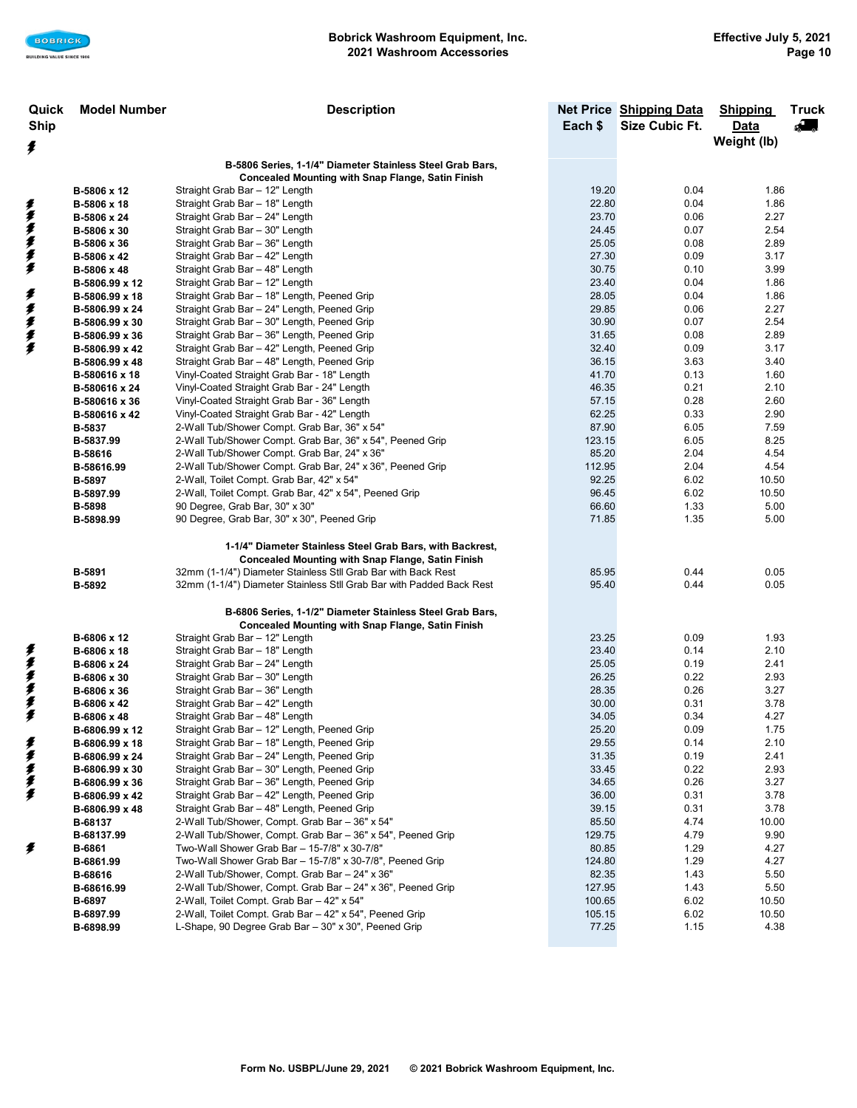| Quick       | <b>Model Number</b> | <b>Description</b>                                                                                        |                 | <b>Net Price Shipping Data</b> | <b>Shipping</b> | <b>Truck</b>             |
|-------------|---------------------|-----------------------------------------------------------------------------------------------------------|-----------------|--------------------------------|-----------------|--------------------------|
| <b>Ship</b> |                     |                                                                                                           |                 | Size Cubic Ft.                 | Data            | $\overline{\phantom{a}}$ |
|             |                     |                                                                                                           |                 |                                | Weight (lb)     |                          |
| ŧ           |                     |                                                                                                           |                 |                                |                 |                          |
|             |                     | B-5806 Series, 1-1/4" Diameter Stainless Steel Grab Bars,                                                 |                 |                                |                 |                          |
|             |                     | <b>Concealed Mounting with Snap Flange, Satin Finish</b>                                                  |                 |                                |                 |                          |
|             | B-5806 x 12         | Straight Grab Bar - 12" Length                                                                            | 19.20           | 0.04                           | 1.86            |                          |
|             | B-5806 x 18         | Straight Grab Bar - 18" Length                                                                            | 22.80           | 0.04                           | 1.86            |                          |
|             | B-5806 x 24         | Straight Grab Bar - 24" Length                                                                            | 23.70           | 0.06                           | 2.27            |                          |
|             | B-5806 x 30         | Straight Grab Bar - 30" Length                                                                            | 24.45           | 0.07                           | 2.54            |                          |
|             | B-5806 x 36         | Straight Grab Bar - 36" Length                                                                            | 25.05           | 0.08                           | 2.89            |                          |
| 美拿拿拿拿拿      | B-5806 x 42         | Straight Grab Bar - 42" Length                                                                            | 27.30           | 0.09                           | 3.17            |                          |
|             | B-5806 x 48         | Straight Grab Bar - 48" Length                                                                            | 30.75           | 0.10                           | 3.99            |                          |
|             | B-5806.99 x 12      | Straight Grab Bar - 12" Length                                                                            | 23.40           | 0.04                           | 1.86            |                          |
| ≸           | B-5806.99 x 18      | Straight Grab Bar - 18" Length, Peened Grip                                                               | 28.05           | 0.04                           | 1.86            |                          |
| 多多多多        | B-5806.99 x 24      | Straight Grab Bar - 24" Length, Peened Grip                                                               | 29.85           | 0.06                           | 2.27            |                          |
|             | B-5806.99 x 30      | Straight Grab Bar - 30" Length, Peened Grip                                                               | 30.90           | 0.07                           | 2.54            |                          |
|             | B-5806.99 x 36      | Straight Grab Bar - 36" Length, Peened Grip                                                               | 31.65           | 0.08                           | 2.89            |                          |
|             | B-5806.99 x 42      | Straight Grab Bar - 42" Length, Peened Grip                                                               | 32.40           | 0.09                           | 3.17            |                          |
|             | B-5806.99 x 48      | Straight Grab Bar - 48" Length, Peened Grip                                                               | 36.15           | 3.63                           | 3.40            |                          |
|             | B-580616 x 18       | Vinyl-Coated Straight Grab Bar - 18" Length                                                               | 41.70           | 0.13                           | 1.60            |                          |
|             | B-580616 x 24       | Vinyl-Coated Straight Grab Bar - 24" Length                                                               | 46.35           | 0.21                           | 2.10            |                          |
|             | B-580616 x 36       | Vinyl-Coated Straight Grab Bar - 36" Length                                                               | 57.15           | 0.28                           | 2.60            |                          |
|             | B-580616 x 42       | Vinyl-Coated Straight Grab Bar - 42" Length                                                               | 62.25           | 0.33                           | 2.90            |                          |
|             | B-5837              | 2-Wall Tub/Shower Compt. Grab Bar, 36" x 54"                                                              | 87.90           | 6.05                           | 7.59            |                          |
|             | B-5837.99           | 2-Wall Tub/Shower Compt. Grab Bar, 36" x 54", Peened Grip                                                 | 123.15<br>85.20 | 6.05                           | 8.25            |                          |
|             | B-58616             | 2-Wall Tub/Shower Compt. Grab Bar, 24" x 36"<br>2-Wall Tub/Shower Compt. Grab Bar, 24" x 36", Peened Grip | 112.95          | 2.04<br>2.04                   | 4.54<br>4.54    |                          |
|             | B-58616.99          | 2-Wall, Toilet Compt. Grab Bar, 42" x 54"                                                                 | 92.25           | 6.02                           | 10.50           |                          |
|             | B-5897<br>B-5897.99 | 2-Wall, Toilet Compt. Grab Bar, 42" x 54", Peened Grip                                                    | 96.45           | 6.02                           | 10.50           |                          |
|             | <b>B-5898</b>       | 90 Degree, Grab Bar, 30" x 30"                                                                            | 66.60           | 1.33                           | 5.00            |                          |
|             | B-5898.99           | 90 Degree, Grab Bar, 30" x 30", Peened Grip                                                               | 71.85           | 1.35                           | 5.00            |                          |
|             |                     |                                                                                                           |                 |                                |                 |                          |
|             |                     | 1-1/4" Diameter Stainless Steel Grab Bars, with Backrest,                                                 |                 |                                |                 |                          |
|             |                     | <b>Concealed Mounting with Snap Flange, Satin Finish</b>                                                  |                 |                                |                 |                          |
|             | B-5891              | 32mm (1-1/4") Diameter Stainless Stll Grab Bar with Back Rest                                             | 85.95           | 0.44                           | 0.05            |                          |
|             | B-5892              | 32mm (1-1/4") Diameter Stainless Stll Grab Bar with Padded Back Rest                                      | 95.40           | 0.44                           | 0.05            |                          |
|             |                     |                                                                                                           |                 |                                |                 |                          |
|             |                     | B-6806 Series, 1-1/2" Diameter Stainless Steel Grab Bars,                                                 |                 |                                |                 |                          |
|             |                     | <b>Concealed Mounting with Snap Flange, Satin Finish</b>                                                  |                 |                                |                 |                          |
|             | B-6806 x 12         | Straight Grab Bar - 12" Length                                                                            | 23.25           | 0.09                           | 1.93            |                          |
| ŧ           | B-6806 x 18         | Straight Grab Bar - 18" Length                                                                            | 23.40           | 0.14                           | 2.10            |                          |
|             | B-6806 x 24         | Straight Grab Bar - 24" Length                                                                            | 25.05           | 0.19                           | 2.41            |                          |
|             | B-6806 x 30         | Straight Grab Bar - 30" Length                                                                            | 26.25           | 0.22                           | 2.93            |                          |
|             | B-6806 x 36         | Straight Grab Bar - 36" Length                                                                            | 28.35           | 0.26                           | 3.27            |                          |
| まままま        | B-6806 x 42         | Straight Grab Bar - 42" Length                                                                            | 30.00           | 0.31                           | 3.78            |                          |
|             | B-6806 x 48         | Straight Grab Bar - 48" Length                                                                            | 34.05           | 0.34                           | 4.27            |                          |
|             | B-6806.99 x 12      | Straight Grab Bar - 12" Length, Peened Grip                                                               | 25.20           | 0.09                           | 1.75            |                          |
| ≸           | B-6806.99 x 18      | Straight Grab Bar - 18" Length, Peened Grip                                                               | 29.55           | 0.14                           | 2.10            |                          |
| ≸           | B-6806.99 x 24      | Straight Grab Bar - 24" Length, Peened Grip                                                               | 31.35           | 0.19                           | 2.41            |                          |
| 复复          | B-6806.99 x 30      | Straight Grab Bar - 30" Length, Peened Grip                                                               | 33.45           | 0.22                           | 2.93            |                          |
|             | B-6806.99 x 36      | Straight Grab Bar - 36" Length, Peened Grip                                                               | 34.65           | 0.26                           | 3.27            |                          |
| ≸           | B-6806.99 x 42      | Straight Grab Bar - 42" Length, Peened Grip                                                               | 36.00           | 0.31                           | 3.78            |                          |
|             | B-6806.99 x 48      | Straight Grab Bar - 48" Length, Peened Grip                                                               | 39.15           | 0.31                           | 3.78            |                          |
|             | B-68137             | 2-Wall Tub/Shower, Compt. Grab Bar - 36" x 54"                                                            | 85.50           | 4.74                           | 10.00           |                          |
|             | B-68137.99          | 2-Wall Tub/Shower, Compt. Grab Bar - 36" x 54", Peened Grip                                               | 129.75          | 4.79                           | 9.90            |                          |
| ŧ           | B-6861              | Two-Wall Shower Grab Bar - 15-7/8" x 30-7/8"                                                              | 80.85           | 1.29                           | 4.27            |                          |
|             | B-6861.99           | Two-Wall Shower Grab Bar - 15-7/8" x 30-7/8", Peened Grip                                                 | 124.80          | 1.29                           | 4.27            |                          |
|             | B-68616             | 2-Wall Tub/Shower, Compt. Grab Bar - 24" x 36"                                                            | 82.35           | 1.43                           | 5.50            |                          |
|             | B-68616.99          | 2-Wall Tub/Shower, Compt. Grab Bar - 24" x 36", Peened Grip                                               | 127.95          | 1.43                           | 5.50            |                          |
|             | B-6897              | 2-Wall. Toilet Compt. Grab Bar - 42" x 54"                                                                | 100.65          | 6.02                           | 10.50           |                          |
|             | B-6897.99           | 2-Wall, Toilet Compt. Grab Bar - 42" x 54", Peened Grip                                                   | 105.15          | 6.02                           | 10.50           |                          |
|             | B-6898.99           | L-Shape, 90 Degree Grab Bar - 30" x 30", Peened Grip                                                      | 77.25           | 1.15                           | 4.38            |                          |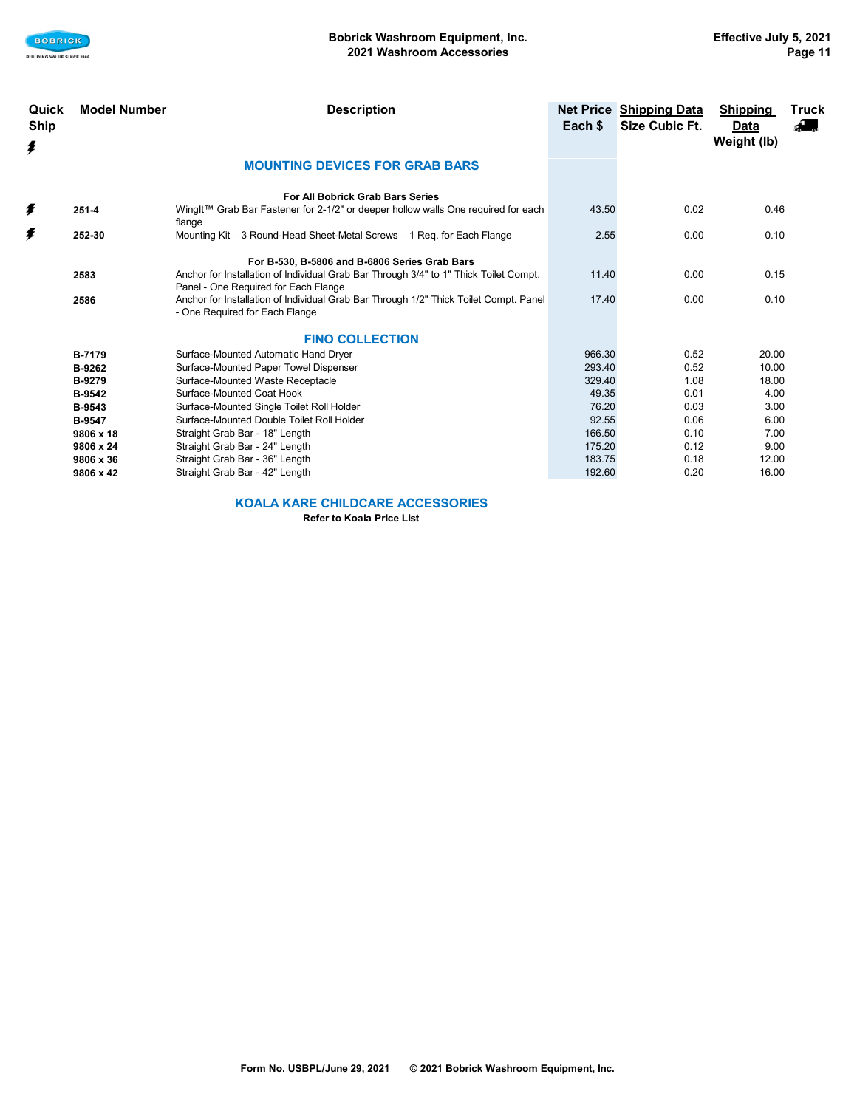

| Quick<br><b>Ship</b><br>ŧ | <b>Model Number</b> | <b>Description</b>                                                                                                            | Each \$ | <b>Net Price Shipping Data</b><br>Size Cubic Ft. | <b>Shipping</b><br>Data<br>Weight (lb) | Truck<br>A. |
|---------------------------|---------------------|-------------------------------------------------------------------------------------------------------------------------------|---------|--------------------------------------------------|----------------------------------------|-------------|
|                           |                     | <b>MOUNTING DEVICES FOR GRAB BARS</b>                                                                                         |         |                                                  |                                        |             |
|                           |                     | For All Bobrick Grab Bars Series                                                                                              |         |                                                  |                                        |             |
| ≸                         | $251 - 4$           | WingIt™ Grab Bar Fastener for 2-1/2" or deeper hollow walls One required for each<br>flange                                   | 43.50   | 0.02                                             | 0.46                                   |             |
| ŧ                         | 252-30              | Mounting Kit - 3 Round-Head Sheet-Metal Screws - 1 Reg. for Each Flange                                                       | 2.55    | 0.00                                             | 0.10                                   |             |
|                           |                     | For B-530, B-5806 and B-6806 Series Grab Bars                                                                                 |         |                                                  |                                        |             |
|                           | 2583                | Anchor for Installation of Individual Grab Bar Through 3/4" to 1" Thick Toilet Compt.<br>Panel - One Required for Each Flange | 11.40   | 0.00                                             | 0.15                                   |             |
|                           | 2586                | Anchor for Installation of Individual Grab Bar Through 1/2" Thick Toilet Compt. Panel<br>- One Required for Each Flange       | 17.40   | 0.00                                             | 0.10                                   |             |
|                           |                     | <b>FINO COLLECTION</b>                                                                                                        |         |                                                  |                                        |             |
|                           | <b>B-7179</b>       | Surface-Mounted Automatic Hand Dryer                                                                                          | 966.30  | 0.52                                             | 20.00                                  |             |
|                           | B-9262              | Surface-Mounted Paper Towel Dispenser                                                                                         | 293.40  | 0.52                                             | 10.00                                  |             |
|                           | <b>B-9279</b>       | Surface-Mounted Waste Receptacle                                                                                              | 329.40  | 1.08                                             | 18.00                                  |             |
|                           | <b>B-9542</b>       | Surface-Mounted Coat Hook                                                                                                     | 49.35   | 0.01                                             | 4.00                                   |             |
|                           | <b>B-9543</b>       | Surface-Mounted Single Toilet Roll Holder                                                                                     | 76.20   | 0.03                                             | 3.00                                   |             |
|                           | <b>B-9547</b>       | Surface-Mounted Double Toilet Roll Holder                                                                                     | 92.55   | 0.06                                             | 6.00                                   |             |
|                           | 9806 x 18           | Straight Grab Bar - 18" Length                                                                                                | 166.50  | 0.10                                             | 7.00                                   |             |
|                           | 9806 x 24           | Straight Grab Bar - 24" Length                                                                                                | 175.20  | 0.12                                             | 9.00                                   |             |
|                           | 9806 x 36           | Straight Grab Bar - 36" Length                                                                                                | 183.75  | 0.18                                             | 12.00                                  |             |
|                           | 9806 x 42           | Straight Grab Bar - 42" Length                                                                                                | 192.60  | 0.20                                             | 16.00                                  |             |

**KOALA KARE CHILDCARE ACCESSORIES**

**Refer to Koala Price LIst**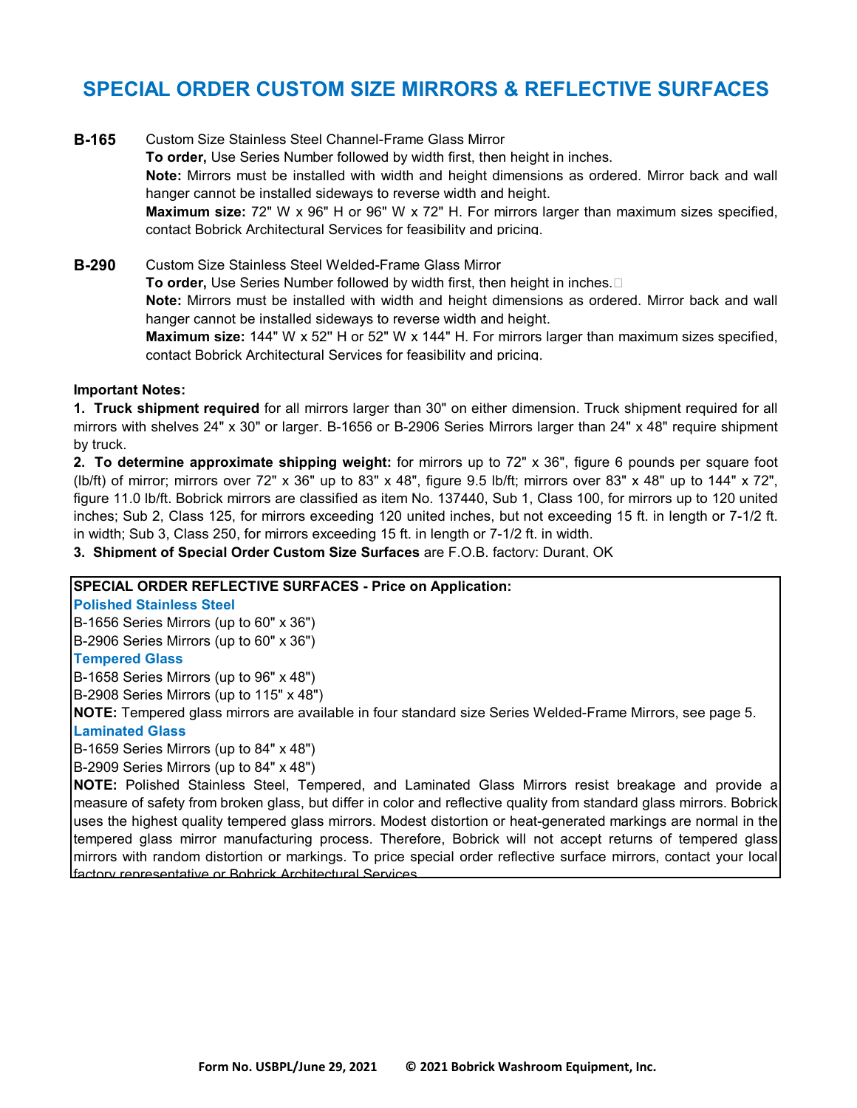# **SPECIAL ORDER CUSTOM SIZE MIRRORS & REFLECTIVE SURFACES**

- **B-165** Custom Size Stainless Steel Channel-Frame Glass Mirror **To order,** Use Series Number followed by width first, then height in inches. **Note:** Mirrors must be installed with width and height dimensions as ordered. Mirror back and wall hanger cannot be installed sideways to reverse width and height. **Maximum size:** 72" W x 96" H or 96" W x 72" H. For mirrors larger than maximum sizes specified, contact Bobrick Architectural Services for feasibility and pricing.
- **B-290** Custom Size Stainless Steel Welded-Frame Glass Mirror **To order,** Use Series Number followed by width first, then height in inches. **Note:** Mirrors must be installed with width and height dimensions as ordered. Mirror back and wall hanger cannot be installed sideways to reverse width and height. **Maximum size:** 144" W x 52'' H or 52" W x 144" H. For mirrors larger than maximum sizes specified, contact Bobrick Architectural Services for feasibility and pricing.

### **Important Notes:**

**1. Truck shipment required** for all mirrors larger than 30" on either dimension. Truck shipment required for all mirrors with shelves 24" x 30" or larger. B-1656 or B-2906 Series Mirrors larger than 24" x 48" require shipment by truck.

**2. To determine approximate shipping weight:** for mirrors up to 72" x 36", figure 6 pounds per square foot (lb/ft) of mirror; mirrors over 72" x 36" up to 83" x 48", figure 9.5 lb/ft; mirrors over 83" x 48" up to 144" x 72", figure 11.0 lb/ft. Bobrick mirrors are classified as item No. 137440, Sub 1, Class 100, for mirrors up to 120 united inches; Sub 2, Class 125, for mirrors exceeding 120 united inches, but not exceeding 15 ft. in length or 7-1/2 ft. in width; Sub 3, Class 250, for mirrors exceeding 15 ft. in length or 7-1/2 ft. in width.

**3. Shipment of Special Order Custom Size Surfaces** are F.O.B. factory: Durant, OK

## **SPECIAL ORDER REFLECTIVE SURFACES - Price on Application:**

**Polished Stainless Steel**

B-1656 Series Mirrors (up to 60" x 36")

B-2906 Series Mirrors (up to 60" x 36")

### **Tempered Glass**

B-1658 Series Mirrors (up to 96" x 48")

B-2908 Series Mirrors (up to 115" x 48")

**NOTE:** Tempered glass mirrors are available in four standard size Series Welded-Frame Mirrors, see page 5. **Laminated Glass**

B-1659 Series Mirrors (up to 84" x 48")

B-2909 Series Mirrors (up to 84" x 48")

**NOTE:** Polished Stainless Steel, Tempered, and Laminated Glass Mirrors resist breakage and provide a measure of safety from broken glass, but differ in color and reflective quality from standard glass mirrors. Bobrick uses the highest quality tempered glass mirrors. Modest distortion or heat-generated markings are normal in the tempered glass mirror manufacturing process. Therefore, Bobrick will not accept returns of tempered glass mirrors with random distortion or markings. To price special order reflective surface mirrors, contact your local factory representative or Bobrick Architectural Services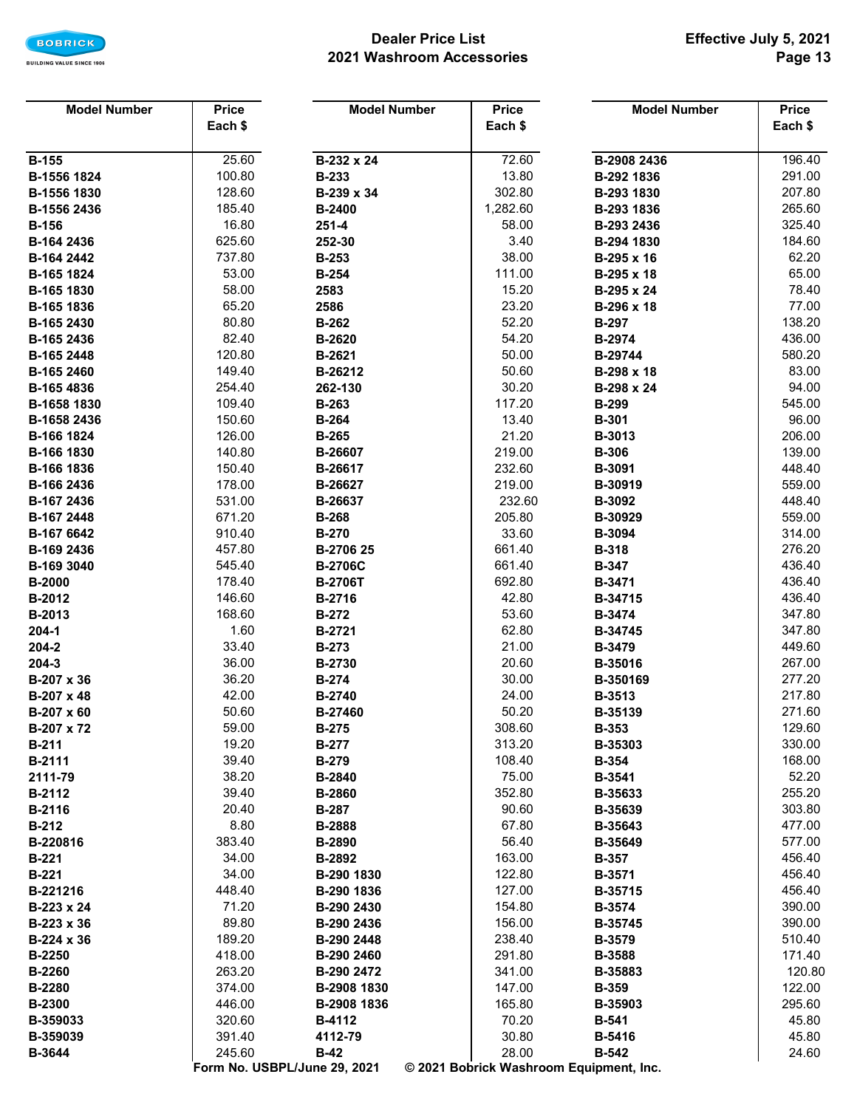

## **Dealer Price List 2021 Washroom Accessories**

| <b>Model Number</b>      | <b>Price</b>     | <b>Model Number</b>          | <b>Price</b>     | <b>Model Number</b>                     | <b>Price</b>     |
|--------------------------|------------------|------------------------------|------------------|-----------------------------------------|------------------|
|                          | Each \$          |                              | Each \$          |                                         | Each \$          |
|                          |                  |                              |                  |                                         |                  |
| <b>B-155</b>             | 25.60            | B-232 x 24                   | 72.60            | B-2908 2436                             | 196.40           |
| B-1556 1824              | 100.80           | <b>B-233</b>                 | 13.80            | B-292 1836                              | 291.00           |
| B-1556 1830              | 128.60           | B-239 x 34                   | 302.80           | B-293 1830                              | 207.80           |
| B-1556 2436              | 185.40           | <b>B-2400</b>                | 1,282.60         | B-293 1836                              | 265.60           |
| <b>B-156</b>             | 16.80            | $251 - 4$                    | 58.00            | B-293 2436                              | 325.40           |
| B-164 2436               | 625.60           | 252-30                       | 3.40             | B-294 1830                              | 184.60           |
| B-164 2442               | 737.80           | <b>B-253</b>                 | 38.00            | B-295 x 16                              | 62.20            |
| B-165 1824               | 53.00            | <b>B-254</b>                 | 111.00           | B-295 x 18                              | 65.00            |
| B-165 1830               | 58.00            | 2583                         | 15.20            | B-295 x 24                              | 78.40            |
| B-165 1836               | 65.20            | 2586                         | 23.20            | B-296 x 18                              | 77.00            |
| B-165 2430               | 80.80            | <b>B-262</b>                 | 52.20            | <b>B-297</b>                            | 138.20           |
| B-165 2436               | 82.40            | B-2620                       | 54.20            | B-2974                                  | 436.00           |
| B-165 2448               | 120.80           | B-2621                       | 50.00            | B-29744                                 | 580.20           |
| B-165 2460               | 149.40           | B-26212                      | 50.60            | B-298 x 18                              | 83.00            |
| B-165 4836               | 254.40           | 262-130                      | 30.20            | B-298 x 24                              | 94.00            |
| B-1658 1830              | 109.40           | <b>B-263</b>                 | 117.20           | <b>B-299</b>                            | 545.00           |
| B-1658 2436              | 150.60           | <b>B-264</b>                 | 13.40            | <b>B-301</b>                            | 96.00            |
| B-166 1824               | 126.00           | <b>B-265</b>                 | 21.20            | B-3013                                  | 206.00           |
| B-166 1830               | 140.80           | B-26607                      | 219.00           | <b>B-306</b>                            | 139.00           |
| B-166 1836               | 150.40<br>178.00 | B-26617                      | 232.60<br>219.00 | B-3091                                  | 448.40<br>559.00 |
| B-166 2436<br>B-167 2436 | 531.00           | B-26627<br>B-26637           | 232.60           | B-30919<br>B-3092                       | 448.40           |
| B-167 2448               | 671.20           | <b>B-268</b>                 | 205.80           | B-30929                                 | 559.00           |
| B-167 6642               | 910.40           | <b>B-270</b>                 | 33.60            | B-3094                                  | 314.00           |
| B-169 2436               | 457.80           | B-2706 25                    | 661.40           | <b>B-318</b>                            | 276.20           |
| B-169 3040               | 545.40           | <b>B-2706C</b>               | 661.40           | <b>B-347</b>                            | 436.40           |
| <b>B-2000</b>            | 178.40           | <b>B-2706T</b>               | 692.80           | B-3471                                  | 436.40           |
| B-2012                   | 146.60           | B-2716                       | 42.80            | B-34715                                 | 436.40           |
| B-2013                   | 168.60           | <b>B-272</b>                 | 53.60            | B-3474                                  | 347.80           |
| $204 - 1$                | 1.60             | <b>B-2721</b>                | 62.80            | B-34745                                 | 347.80           |
| 204-2                    | 33.40            | <b>B-273</b>                 | 21.00            | B-3479                                  | 449.60           |
| 204-3                    | 36.00            | B-2730                       | 20.60            | B-35016                                 | 267.00           |
| B-207 x 36               | 36.20            | <b>B-274</b>                 | 30.00            | B-350169                                | 277.20           |
| B-207 x 48               | 42.00            | B-2740                       | 24.00            | <b>B-3513</b>                           | 217.80           |
| B-207 x 60               | 50.60            | B-27460                      | 50.20            | B-35139                                 | 271.60           |
| B-207 x 72               | 59.00            | <b>B-275</b>                 | 308.60           | <b>B-353</b>                            | 129.60           |
| <b>B-211</b>             | 19.20            | <b>B-277</b>                 | 313.20           | B-35303                                 | 330.00           |
| B-2111                   | 39.40            | <b>B-279</b>                 | 108.40           | <b>B-354</b>                            | 168.00           |
| 2111-79                  | 38.20            | B-2840                       | 75.00            | B-3541                                  | 52.20            |
| B-2112                   | 39.40            | B-2860                       | 352.80           | B-35633                                 | 255.20           |
| B-2116                   | 20.40            | <b>B-287</b>                 | 90.60            | B-35639                                 | 303.80           |
| <b>B-212</b>             | 8.80             | B-2888                       | 67.80            | B-35643                                 | 477.00           |
| B-220816                 | 383.40           | B-2890                       | 56.40            | B-35649                                 | 577.00           |
| <b>B-221</b>             | 34.00            | B-2892                       | 163.00           | <b>B-357</b>                            | 456.40           |
| <b>B-221</b>             | 34.00            | B-290 1830                   | 122.80           | B-3571                                  | 456.40           |
| B-221216                 | 448.40           | B-290 1836                   | 127.00           | B-35715                                 | 456.40           |
| B-223 x 24               | 71.20            | B-290 2430                   | 154.80           | <b>B-3574</b>                           | 390.00           |
| $B-223 \times 36$        | 89.80            | B-290 2436                   | 156.00           | B-35745                                 | 390.00           |
| B-224 x 36               | 189.20           | B-290 2448                   | 238.40           | B-3579                                  | 510.40           |
| B-2250                   | 418.00           | B-290 2460                   | 291.80           | <b>B-3588</b>                           | 171.40           |
| <b>B-2260</b>            | 263.20           | B-290 2472                   | 341.00           | B-35883                                 | 120.80           |
| <b>B-2280</b>            | 374.00           | B-2908 1830                  | 147.00           | <b>B-359</b>                            | 122.00           |
| <b>B-2300</b>            | 446.00           | B-2908 1836                  | 165.80           | B-35903                                 | 295.60           |
| B-359033                 | 320.60<br>391.40 | B-4112                       | 70.20<br>30.80   | <b>B-541</b>                            | 45.80<br>45.80   |
| B-359039<br>B-3644       | 245.60           | 4112-79<br>$B-42$            | 28.00            | B-5416<br><b>B-542</b>                  | 24.60            |
|                          |                  | Form No. USBPL/June 29, 2021 |                  | © 2021 Bobrick Washroom Equipment, Inc. |                  |
|                          |                  |                              |                  |                                         |                  |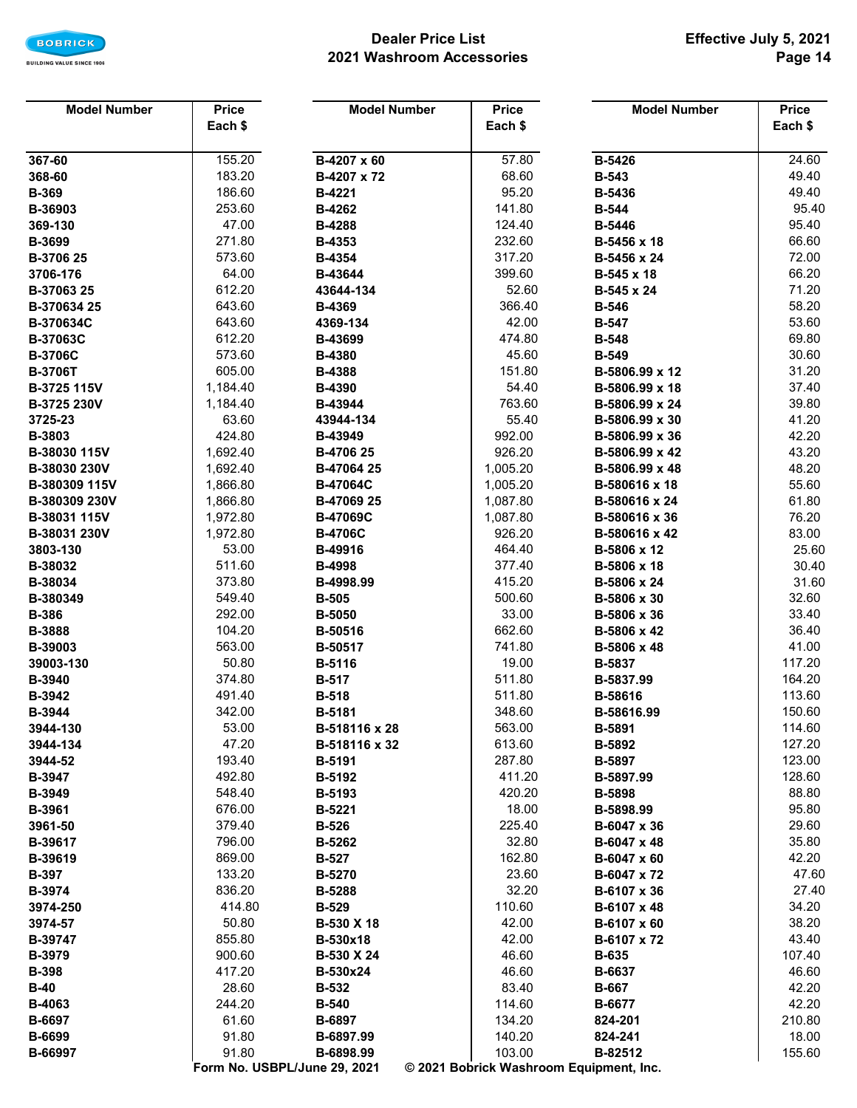

## **Dealer Price List 2021 Washroom Accessories**

| <b>Model Number</b>    | <b>Price</b>      | <b>Model Number</b>          | <b>Price</b>                            | <b>Model Number</b>              | <b>Price</b>   |
|------------------------|-------------------|------------------------------|-----------------------------------------|----------------------------------|----------------|
|                        | Each \$           |                              | Each \$                                 |                                  | Each \$        |
|                        |                   |                              |                                         |                                  |                |
| 367-60                 | 155.20            | B-4207 x 60                  | 57.80                                   | <b>B-5426</b>                    | 24.60          |
| 368-60                 | 183.20            | B-4207 x 72                  | 68.60                                   | <b>B-543</b>                     | 49.40          |
| <b>B-369</b>           | 186.60            | <b>B-4221</b>                | 95.20                                   | B-5436                           | 49.40          |
| B-36903                | 253.60            | B-4262                       | 141.80                                  | <b>B-544</b>                     | 95.40          |
| 369-130                | 47.00             | B-4288                       | 124.40                                  | <b>B-5446</b>                    | 95.40          |
| B-3699                 | 271.80            | B-4353                       | 232.60                                  | B-5456 x 18                      | 66.60          |
| B-3706 25              | 573.60            | B-4354                       | 317.20                                  | B-5456 x 24                      | 72.00          |
| 3706-176               | 64.00             | B-43644                      | 399.60                                  | B-545 x 18                       | 66.20          |
| B-37063 25             | 612.20            | 43644-134                    | 52.60                                   | B-545 x 24                       | 71.20          |
| B-370634 25            | 643.60            | <b>B-4369</b>                | 366.40                                  | <b>B-546</b>                     | 58.20          |
| B-370634C              | 643.60            | 4369-134                     | 42.00                                   | <b>B-547</b>                     | 53.60          |
| B-37063C               | 612.20            | B-43699                      | 474.80                                  | <b>B-548</b>                     | 69.80          |
| <b>B-3706C</b>         | 573.60            | <b>B-4380</b>                | 45.60                                   | <b>B-549</b>                     | 30.60          |
| <b>B-3706T</b>         | 605.00            | <b>B-4388</b>                | 151.80                                  | B-5806.99 x 12                   | 31.20          |
| B-3725 115V            | 1,184.40          | B-4390                       | 54.40                                   | B-5806.99 x 18                   | 37.40          |
| B-3725 230V            | 1,184.40<br>63.60 | B-43944                      | 763.60<br>55.40                         | B-5806.99 x 24<br>B-5806.99 x 30 | 39.80<br>41.20 |
| 3725-23                | 424.80            | 43944-134                    | 992.00                                  | B-5806.99 x 36                   | 42.20          |
| B-3803<br>B-38030 115V | 1,692.40          | B-43949<br>B-4706 25         | 926.20                                  | B-5806.99 x 42                   | 43.20          |
| B-38030 230V           | 1,692.40          | B-47064 25                   | 1,005.20                                | B-5806.99 x 48                   | 48.20          |
| B-380309 115V          | 1,866.80          | <b>B-47064C</b>              | 1,005.20                                | B-580616 x 18                    | 55.60          |
| B-380309 230V          | 1,866.80          | B-47069 25                   | 1,087.80                                | B-580616 x 24                    | 61.80          |
| B-38031 115V           | 1,972.80          | <b>B-47069C</b>              | 1,087.80                                | B-580616 x 36                    | 76.20          |
| B-38031 230V           | 1,972.80          | <b>B-4706C</b>               | 926.20                                  | B-580616 x 42                    | 83.00          |
| 3803-130               | 53.00             | B-49916                      | 464.40                                  | B-5806 x 12                      | 25.60          |
| B-38032                | 511.60            | <b>B-4998</b>                | 377.40                                  | B-5806 x 18                      | 30.40          |
| B-38034                | 373.80            | B-4998.99                    | 415.20                                  | B-5806 x 24                      | 31.60          |
| B-380349               | 549.40            | <b>B-505</b>                 | 500.60                                  | B-5806 x 30                      | 32.60          |
| <b>B-386</b>           | 292.00            | <b>B-5050</b>                | 33.00                                   | B-5806 x 36                      | 33.40          |
| <b>B-3888</b>          | 104.20            | B-50516                      | 662.60                                  | B-5806 x 42                      | 36.40          |
| B-39003                | 563.00            | B-50517                      | 741.80                                  | B-5806 x 48                      | 41.00          |
| 39003-130              | 50.80             | B-5116                       | 19.00                                   | B-5837                           | 117.20         |
| <b>B-3940</b>          | 374.80            | <b>B-517</b>                 | 511.80                                  | B-5837.99                        | 164.20         |
| B-3942                 | 491.40            | <b>B-518</b>                 | 511.80                                  | B-58616                          | 113.60         |
| B-3944                 | 342.00            | <b>B-5181</b>                | 348.60                                  | B-58616.99                       | 150.60         |
| 3944-130               | 53.00             | B-518116 x 28                | 563.00                                  | B-5891                           | 114.60         |
| 3944-134               | 47.20             | B-518116 x 32                | 613.60                                  | B-5892                           | 127.20         |
| 3944-52                | 193.40            | <b>B-5191</b>                | 287.80                                  | <b>B-5897</b>                    | 123.00         |
| <b>B-3947</b>          | 492.80            | B-5192                       | 411.20                                  | B-5897.99                        | 128.60         |
| B-3949                 | 548.40            | B-5193                       | 420.20                                  | <b>B-5898</b>                    | 88.80          |
| B-3961                 | 676.00            | B-5221                       | 18.00                                   | B-5898.99                        | 95.80          |
| 3961-50                | 379.40            | <b>B-526</b>                 | 225.40                                  | B-6047 x 36                      | 29.60          |
| B-39617                | 796.00            | B-5262                       | 32.80                                   | B-6047 x 48                      | 35.80          |
| B-39619                | 869.00            | <b>B-527</b>                 | 162.80                                  | B-6047 x 60                      | 42.20          |
| <b>B-397</b>           | 133.20            | B-5270                       | 23.60                                   | B-6047 x 72                      | 47.60          |
| B-3974                 | 836.20            | <b>B-5288</b>                | 32.20<br>110.60                         | B-6107 x 36                      | 27.40          |
| 3974-250               | 414.80<br>50.80   | <b>B-529</b>                 | 42.00                                   | B-6107 x 48                      | 34.20<br>38.20 |
| 3974-57<br>B-39747     | 855.80            | B-530 X 18<br>B-530x18       | 42.00                                   | B-6107 x 60<br>B-6107 x 72       | 43.40          |
| <b>B-3979</b>          | 900.60            | B-530 X 24                   | 46.60                                   | <b>B-635</b>                     | 107.40         |
| <b>B-398</b>           | 417.20            | B-530x24                     | 46.60                                   | B-6637                           | 46.60          |
| $B-40$                 | 28.60             | <b>B-532</b>                 | 83.40                                   | <b>B-667</b>                     | 42.20          |
| B-4063                 | 244.20            | <b>B-540</b>                 | 114.60                                  | B-6677                           | 42.20          |
| <b>B-6697</b>          | 61.60             | B-6897                       | 134.20                                  | 824-201                          | 210.80         |
| B-6699                 | 91.80             | B-6897.99                    | 140.20                                  | 824-241                          | 18.00          |
| B-66997                | 91.80             | B-6898.99                    | 103.00                                  | B-82512                          | 155.60         |
|                        |                   | Form No. USBPL/June 29, 2021 | © 2021 Bobrick Washroom Equipment, Inc. |                                  |                |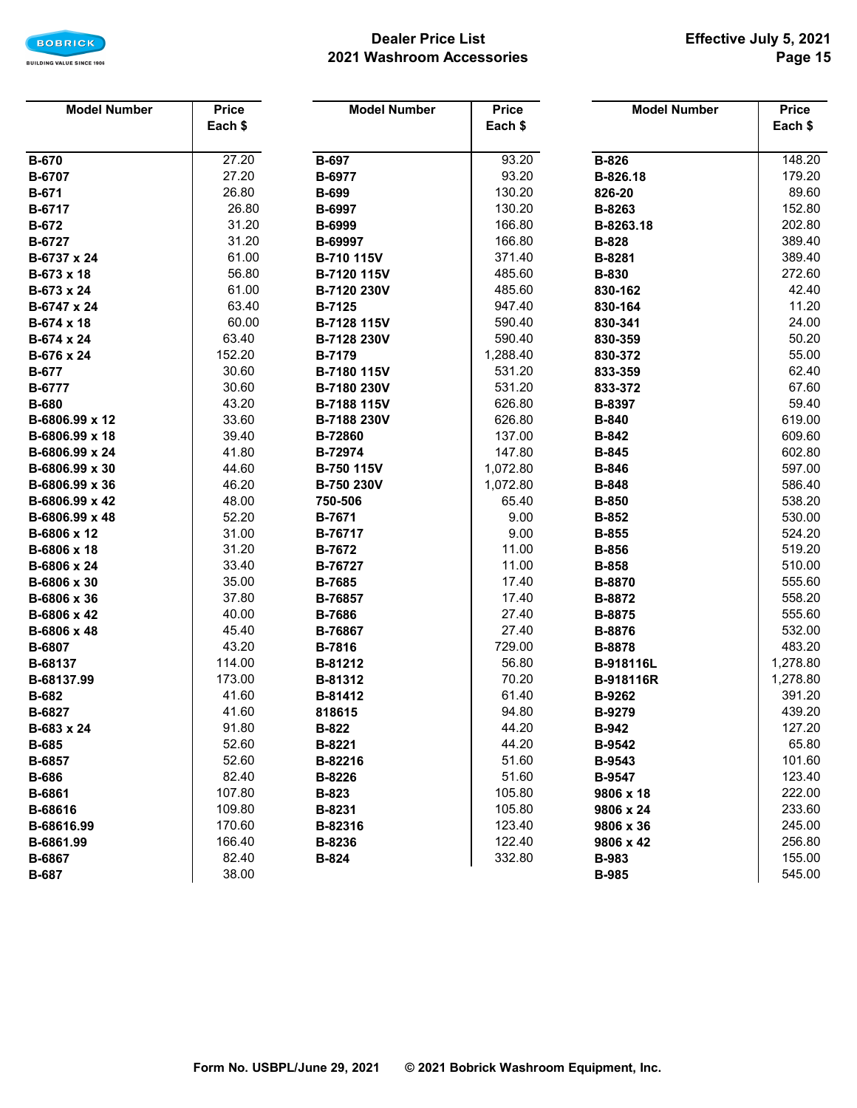

## **Dealer Price List 2021 Washroom Accessories**

| <b>Model Number</b> | <b>Price</b> | <b>Model Number</b> | <b>Price</b> | <b>Model Number</b> | <b>Price</b> |
|---------------------|--------------|---------------------|--------------|---------------------|--------------|
|                     | Each \$      |                     | Each \$      |                     | Each \$      |
|                     |              |                     |              |                     |              |
| <b>B-670</b>        | 27.20        | <b>B-697</b>        | 93.20        | <b>B-826</b>        | 148.20       |
| B-6707              | 27.20        | B-6977              | 93.20        | B-826.18            | 179.20       |
| <b>B-671</b>        | 26.80        | <b>B-699</b>        | 130.20       | 826-20              | 89.60        |
| B-6717              | 26.80        | B-6997              | 130.20       | B-8263              | 152.80       |
| <b>B-672</b>        | 31.20        | B-6999              | 166.80       | B-8263.18           | 202.80       |
| B-6727              | 31.20        | B-69997             | 166.80       | <b>B-828</b>        | 389.40       |
| B-6737 x 24         | 61.00        | B-710 115V          | 371.40       | B-8281              | 389.40       |
| B-673 x 18          | 56.80        | B-7120 115V         | 485.60       | <b>B-830</b>        | 272.60       |
| B-673 x 24          | 61.00        | B-7120 230V         | 485.60       | 830-162             | 42.40        |
| B-6747 x 24         | 63.40        | <b>B-7125</b>       | 947.40       | 830-164             | 11.20        |
| B-674 x 18          | 60.00        | B-7128 115V         | 590.40       | 830-341             | 24.00        |
| B-674 x 24          | 63.40        | B-7128 230V         | 590.40       | 830-359             | 50.20        |
| B-676 x 24          | 152.20       | <b>B-7179</b>       | 1,288.40     | 830-372             | 55.00        |
| <b>B-677</b>        | 30.60        | B-7180 115V         | 531.20       | 833-359             | 62.40        |
| B-6777              | 30.60        | B-7180 230V         | 531.20       | 833-372             | 67.60        |
| <b>B-680</b>        | 43.20        | B-7188 115V         | 626.80       | B-8397              | 59.40        |
| B-6806.99 x 12      | 33.60        | B-7188 230V         | 626.80       | <b>B-840</b>        | 619.00       |
| B-6806.99 x 18      | 39.40        | B-72860             | 137.00       | <b>B-842</b>        | 609.60       |
| B-6806.99 x 24      | 41.80        | B-72974             | 147.80       | <b>B-845</b>        | 602.80       |
| B-6806.99 x 30      | 44.60        | B-750 115V          | 1,072.80     | <b>B-846</b>        | 597.00       |
| B-6806.99 x 36      | 46.20        | B-750 230V          | 1,072.80     | <b>B-848</b>        | 586.40       |
| B-6806.99 x 42      | 48.00        | 750-506             | 65.40        | <b>B-850</b>        | 538.20       |
| B-6806.99 x 48      | 52.20        | B-7671              | 9.00         | <b>B-852</b>        | 530.00       |
| B-6806 x 12         | 31.00        | B-76717             | 9.00         | <b>B-855</b>        | 524.20       |
| B-6806 x 18         | 31.20        | B-7672              | 11.00        | <b>B-856</b>        | 519.20       |
| B-6806 x 24         | 33.40        | B-76727             | 11.00        | <b>B-858</b>        | 510.00       |
| B-6806 x 30         | 35.00        | <b>B-7685</b>       | 17.40        | B-8870              | 555.60       |
| B-6806 x 36         | 37.80        | B-76857             | 17.40        | B-8872              | 558.20       |
| B-6806 x 42         | 40.00        | <b>B-7686</b>       | 27.40        | B-8875              | 555.60       |
| B-6806 x 48         | 45.40        | B-76867             | 27.40        | B-8876              | 532.00       |
| B-6807              | 43.20        | B-7816              | 729.00       | <b>B-8878</b>       | 483.20       |
| B-68137             | 114.00       | B-81212             | 56.80        | B-918116L           | 1,278.80     |
| B-68137.99          | 173.00       | B-81312             | 70.20        | B-918116R           | 1,278.80     |
| <b>B-682</b>        | 41.60        | B-81412             | 61.40        | B-9262              | 391.20       |
| B-6827              | 41.60        | 818615              | 94.80        | <b>B-9279</b>       | 439.20       |
| B-683 x 24          | 91.80        | B-822               | 44.20        | <b>B-942</b>        | 127.20       |
| <b>B-685</b>        | 52.60        | B-8221              | 44.20        | <b>B-9542</b>       | 65.80        |
| B-6857              | 52.60        | B-82216             | 51.60        | B-9543              | 101.60       |
| <b>B-686</b>        | 82.40        | B-8226              | 51.60        | <b>B-9547</b>       | 123.40       |
| B-6861              | 107.80       | B-823               | 105.80       | 9806 x 18           | 222.00       |
| B-68616             | 109.80       | B-8231              | 105.80       | 9806 x 24           | 233.60       |
| B-68616.99          | 170.60       | B-82316             | 123.40       | 9806 x 36           | 245.00       |
| B-6861.99           | 166.40       | B-8236              | 122.40       | 9806 x 42           | 256.80       |
| B-6867              | 82.40        | <b>B-824</b>        | 332.80       | <b>B-983</b>        | 155.00       |
| <b>B-687</b>        | 38.00        |                     |              | <b>B-985</b>        | 545.00       |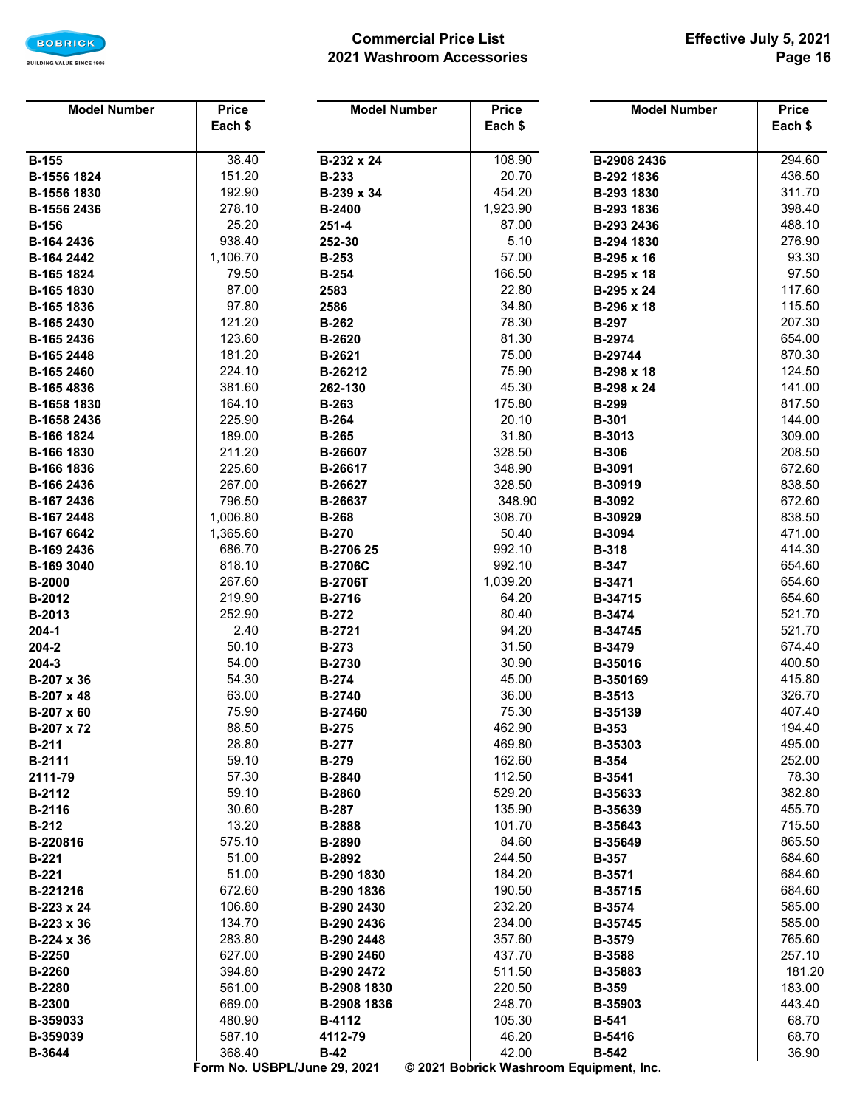

## **Commercial Price List 2021 Washroom Accessories**

| <b>Model Number</b> | <b>Price</b> | <b>Model Number</b>          | <b>Price</b>                            | <b>Model Number</b> | <b>Price</b> |
|---------------------|--------------|------------------------------|-----------------------------------------|---------------------|--------------|
|                     | Each \$      |                              | Each \$                                 |                     | Each \$      |
|                     |              |                              |                                         |                     |              |
| <b>B-155</b>        | 38.40        | B-232 x 24                   | 108.90                                  | B-2908 2436         | 294.60       |
| B-1556 1824         | 151.20       | <b>B-233</b>                 | 20.70                                   | B-292 1836          | 436.50       |
| B-1556 1830         | 192.90       | B-239 x 34                   | 454.20                                  | B-293 1830          | 311.70       |
| B-1556 2436         | 278.10       | <b>B-2400</b>                | 1,923.90                                | B-293 1836          | 398.40       |
| <b>B-156</b>        | 25.20        | $251 - 4$                    | 87.00                                   | B-293 2436          | 488.10       |
| B-164 2436          | 938.40       | 252-30                       | 5.10                                    | B-294 1830          | 276.90       |
| B-164 2442          | 1,106.70     | <b>B-253</b>                 | 57.00                                   | B-295 x 16          | 93.30        |
| B-165 1824          | 79.50        | <b>B-254</b>                 | 166.50                                  | B-295 x 18          | 97.50        |
| B-165 1830          | 87.00        | 2583                         | 22.80                                   | B-295 x 24          | 117.60       |
| B-165 1836          | 97.80        | 2586                         | 34.80                                   | B-296 x 18          | 115.50       |
| B-165 2430          | 121.20       | <b>B-262</b>                 | 78.30                                   | <b>B-297</b>        | 207.30       |
| B-165 2436          | 123.60       | B-2620                       | 81.30                                   | B-2974              | 654.00       |
| B-165 2448          | 181.20       | B-2621                       | 75.00                                   | B-29744             | 870.30       |
| B-165 2460          | 224.10       | B-26212                      | 75.90                                   | B-298 x 18          | 124.50       |
| B-165 4836          | 381.60       | 262-130                      | 45.30                                   | B-298 x 24          | 141.00       |
| B-1658 1830         | 164.10       | <b>B-263</b>                 | 175.80                                  | <b>B-299</b>        | 817.50       |
| B-1658 2436         | 225.90       | <b>B-264</b>                 | 20.10                                   | <b>B-301</b>        | 144.00       |
| B-166 1824          | 189.00       | <b>B-265</b>                 | 31.80                                   | B-3013              | 309.00       |
| B-166 1830          | 211.20       | B-26607                      | 328.50                                  | <b>B-306</b>        | 208.50       |
| B-166 1836          | 225.60       | B-26617                      | 348.90                                  | B-3091              | 672.60       |
| B-166 2436          | 267.00       | B-26627                      | 328.50                                  | B-30919             | 838.50       |
| B-167 2436          | 796.50       | B-26637                      | 348.90                                  | B-3092              | 672.60       |
| B-167 2448          | 1,006.80     | <b>B-268</b>                 | 308.70                                  | B-30929             | 838.50       |
| B-167 6642          | 1,365.60     | <b>B-270</b>                 | 50.40                                   | B-3094              | 471.00       |
| B-169 2436          | 686.70       | B-2706 25                    | 992.10                                  | <b>B-318</b>        | 414.30       |
| B-169 3040          | 818.10       | <b>B-2706C</b>               | 992.10                                  | <b>B-347</b>        | 654.60       |
| <b>B-2000</b>       | 267.60       | <b>B-2706T</b>               | 1,039.20                                | B-3471              | 654.60       |
| B-2012              | 219.90       | B-2716                       | 64.20                                   | B-34715             | 654.60       |
| B-2013              | 252.90       | <b>B-272</b>                 | 80.40                                   | B-3474              | 521.70       |
| $204 - 1$           | 2.40         | B-2721                       | 94.20                                   | B-34745             | 521.70       |
| 204-2               | 50.10        | <b>B-273</b>                 | 31.50                                   | B-3479              | 674.40       |
| 204-3               | 54.00        | B-2730                       | 30.90                                   | B-35016             | 400.50       |
| B-207 x 36          | 54.30        | <b>B-274</b>                 | 45.00                                   | B-350169            | 415.80       |
| B-207 x 48          | 63.00        | <b>B-2740</b>                | 36.00                                   | B-3513              | 326.70       |
| B-207 x 60          | 75.90        | B-27460                      | 75.30                                   | B-35139             | 407.40       |
| B-207 x 72          | 88.50        | <b>B-275</b>                 | 462.90                                  | <b>B-353</b>        | 194.40       |
| <b>B-211</b>        | 28.80        | <b>B-277</b>                 | 469.80                                  | B-35303             | 495.00       |
| <b>B-2111</b>       | 59.10        | <b>B-279</b>                 | 162.60                                  | <b>B-354</b>        | 252.00       |
| 2111-79             | 57.30        | <b>B-2840</b>                | 112.50                                  | B-3541              | 78.30        |
| <b>B-2112</b>       | 59.10        | <b>B-2860</b>                | 529.20                                  | B-35633             | 382.80       |
| <b>B-2116</b>       | 30.60        | <b>B-287</b>                 | 135.90                                  | B-35639             | 455.70       |
| <b>B-212</b>        | 13.20        | B-2888                       | 101.70                                  | B-35643             | 715.50       |
| B-220816            | 575.10       | B-2890                       | 84.60                                   | B-35649             | 865.50       |
| <b>B-221</b>        | 51.00        | B-2892                       | 244.50                                  | <b>B-357</b>        | 684.60       |
| <b>B-221</b>        | 51.00        | B-290 1830                   | 184.20                                  | B-3571              | 684.60       |
| B-221216            | 672.60       | B-290 1836                   | 190.50                                  | B-35715             | 684.60       |
| B-223 x 24          | 106.80       | B-290 2430                   | 232.20                                  | B-3574              | 585.00       |
| $B-223 \times 36$   | 134.70       | B-290 2436                   | 234.00                                  | B-35745             | 585.00       |
| B-224 x 36          | 283.80       | B-290 2448                   | 357.60                                  | B-3579              | 765.60       |
| <b>B-2250</b>       | 627.00       | B-290 2460                   | 437.70                                  | B-3588              | 257.10       |
| <b>B-2260</b>       | 394.80       | B-290 2472                   | 511.50                                  | B-35883             | 181.20       |
| <b>B-2280</b>       | 561.00       | B-2908 1830                  | 220.50                                  | <b>B-359</b>        | 183.00       |
| <b>B-2300</b>       | 669.00       | B-2908 1836                  | 248.70                                  | B-35903             | 443.40       |
| B-359033            | 480.90       | <b>B-4112</b>                | 105.30                                  | <b>B-541</b>        | 68.70        |
| B-359039            | 587.10       | 4112-79                      | 46.20                                   | B-5416              | 68.70        |
| B-3644              | 368.40       | $B-42$                       | 42.00                                   | <b>B-542</b>        | 36.90        |
|                     |              | Form No. USBPL/June 29, 2021 | © 2021 Bobrick Washroom Equipment, Inc. |                     |              |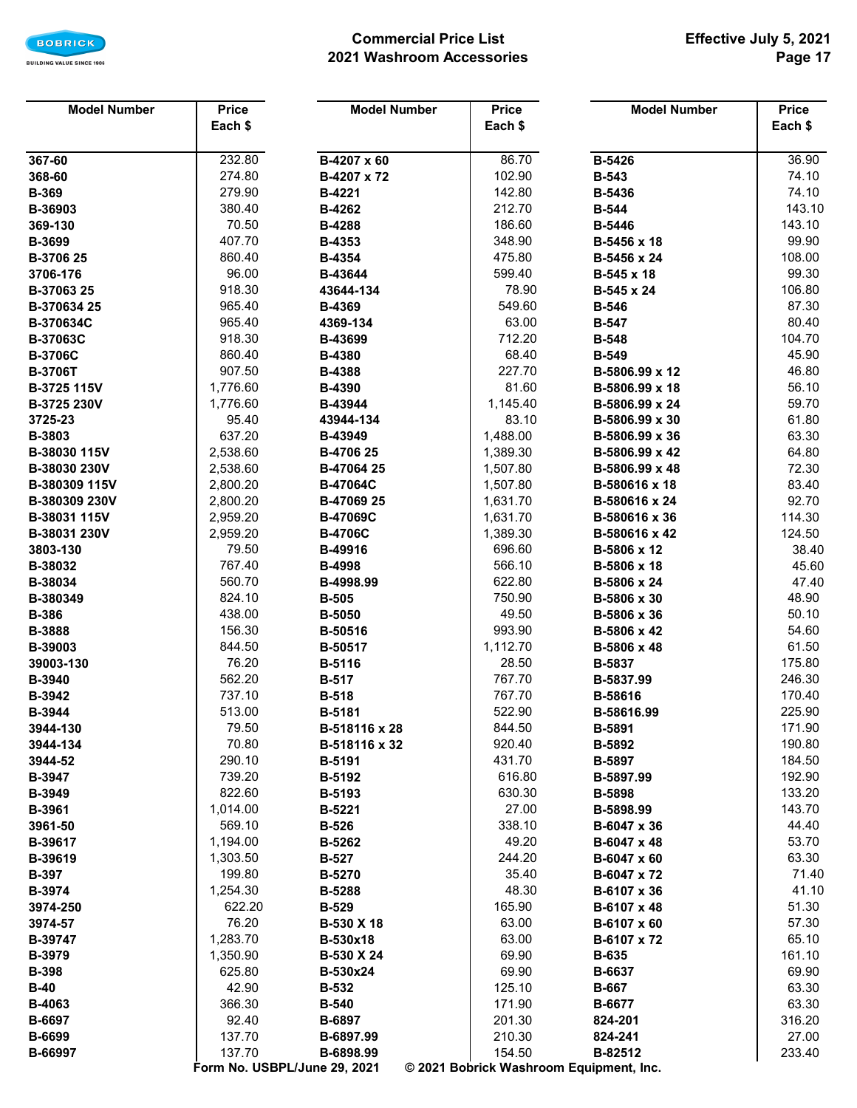

## **Commercial Price List 2021 Washroom Accessories**

| <b>Model Number</b> | <b>Price</b>                           | <b>Model Number</b> | <b>Price</b>                            | <b>Model Number</b> | <b>Price</b> |  |  |  |  |
|---------------------|----------------------------------------|---------------------|-----------------------------------------|---------------------|--------------|--|--|--|--|
|                     | Each \$                                |                     | Each \$                                 |                     | Each \$      |  |  |  |  |
|                     |                                        |                     |                                         |                     |              |  |  |  |  |
| 367-60              | 232.80                                 | B-4207 x 60         | 86.70                                   | B-5426              | 36.90        |  |  |  |  |
| 368-60              | 274.80                                 | B-4207 x 72         | 102.90                                  | <b>B-543</b>        | 74.10        |  |  |  |  |
| <b>B-369</b>        | 279.90                                 | B-4221              | 142.80                                  | B-5436              | 74.10        |  |  |  |  |
| B-36903             | 380.40                                 | B-4262              | 212.70                                  | <b>B-544</b>        | 143.10       |  |  |  |  |
| 369-130             | 70.50                                  | <b>B-4288</b>       | 186.60                                  | B-5446              | 143.10       |  |  |  |  |
| B-3699              | 407.70                                 | B-4353              | 348.90                                  | B-5456 x 18         | 99.90        |  |  |  |  |
| B-3706 25           | 860.40                                 | <b>B-4354</b>       | 475.80                                  | B-5456 x 24         | 108.00       |  |  |  |  |
| 3706-176            | 96.00                                  | B-43644             | 599.40                                  | B-545 x 18          | 99.30        |  |  |  |  |
| B-37063 25          | 918.30                                 | 43644-134           | 78.90                                   | B-545 x 24          | 106.80       |  |  |  |  |
| B-370634 25         | 965.40                                 | <b>B-4369</b>       | 549.60                                  | <b>B-546</b>        | 87.30        |  |  |  |  |
| B-370634C           | 965.40                                 | 4369-134            | 63.00                                   | <b>B-547</b>        | 80.40        |  |  |  |  |
| B-37063C            | 918.30                                 | B-43699             | 712.20                                  | <b>B-548</b>        | 104.70       |  |  |  |  |
| <b>B-3706C</b>      | 860.40                                 | B-4380              | 68.40                                   | <b>B-549</b>        | 45.90        |  |  |  |  |
| <b>B-3706T</b>      | 907.50                                 | <b>B-4388</b>       | 227.70                                  | B-5806.99 x 12      | 46.80        |  |  |  |  |
| B-3725 115V         | 1,776.60                               | B-4390              | 81.60                                   | B-5806.99 x 18      | 56.10        |  |  |  |  |
| B-3725 230V         | 1,776.60                               | B-43944             | 1,145.40                                | B-5806.99 x 24      | 59.70        |  |  |  |  |
| 3725-23             | 95.40                                  | 43944-134           | 83.10                                   | B-5806.99 x 30      | 61.80        |  |  |  |  |
| B-3803              | 637.20                                 | B-43949             | 1,488.00                                | B-5806.99 x 36      | 63.30        |  |  |  |  |
| B-38030 115V        | 2,538.60                               | B-4706 25           | 1,389.30                                | B-5806.99 x 42      | 64.80        |  |  |  |  |
| B-38030 230V        | 2,538.60                               | B-47064 25          | 1,507.80                                | B-5806.99 x 48      | 72.30        |  |  |  |  |
| B-380309 115V       | 2,800.20                               | B-47064C            | 1,507.80                                | B-580616 x 18       | 83.40        |  |  |  |  |
| B-380309 230V       | 2,800.20                               | B-47069 25          | 1,631.70                                | B-580616 x 24       | 92.70        |  |  |  |  |
| B-38031 115V        | 2,959.20                               | B-47069C            | 1,631.70                                | B-580616 x 36       | 114.30       |  |  |  |  |
| B-38031 230V        | 2,959.20                               | <b>B-4706C</b>      | 1,389.30                                | B-580616 x 42       | 124.50       |  |  |  |  |
| 3803-130            | 79.50                                  | B-49916             | 696.60                                  | B-5806 x 12         | 38.40        |  |  |  |  |
| B-38032             | 767.40                                 | <b>B-4998</b>       | 566.10                                  | B-5806 x 18         | 45.60        |  |  |  |  |
| B-38034             | 560.70                                 | B-4998.99           | 622.80                                  | B-5806 x 24         | 47.40        |  |  |  |  |
| B-380349            | 824.10                                 | <b>B-505</b>        | 750.90                                  | B-5806 x 30         | 48.90        |  |  |  |  |
| <b>B-386</b>        | 438.00                                 | <b>B-5050</b>       | 49.50                                   | B-5806 x 36         | 50.10        |  |  |  |  |
| <b>B-3888</b>       | 156.30                                 | B-50516             | 993.90                                  | B-5806 x 42         | 54.60        |  |  |  |  |
| B-39003             | 844.50                                 | B-50517             | 1,112.70                                | B-5806 x 48         | 61.50        |  |  |  |  |
| 39003-130           | 76.20                                  | B-5116              | 28.50                                   | B-5837              | 175.80       |  |  |  |  |
| B-3940              | 562.20                                 | <b>B-517</b>        | 767.70                                  | B-5837.99           | 246.30       |  |  |  |  |
| B-3942              | 737.10                                 | <b>B-518</b>        | 767.70                                  | B-58616             | 170.40       |  |  |  |  |
| <b>B-3944</b>       | 513.00                                 | <b>B-5181</b>       | 522.90                                  | B-58616.99          | 225.90       |  |  |  |  |
| 3944-130            | 79.50                                  | B-518116 x 28       | 844.50                                  | B-5891              | 171.90       |  |  |  |  |
| 3944-134            | 70.80                                  | B-518116 x 32       | 920.40                                  | <b>B-5892</b>       | 190.80       |  |  |  |  |
| 3944-52             | 290.10                                 | <b>B-5191</b>       | 431.70                                  | B-5897              | 184.50       |  |  |  |  |
| B-3947              | 739.20                                 | <b>B-5192</b>       | 616.80                                  | B-5897.99           | 192.90       |  |  |  |  |
| B-3949              | 822.60                                 | <b>B-5193</b>       | 630.30                                  | <b>B-5898</b>       | 133.20       |  |  |  |  |
| B-3961              | 1,014.00                               | B-5221              | 27.00                                   | B-5898.99           | 143.70       |  |  |  |  |
| 3961-50             | 569.10                                 | <b>B-526</b>        | 338.10                                  | B-6047 x 36         | 44.40        |  |  |  |  |
| B-39617             | 1,194.00                               | <b>B-5262</b>       | 49.20                                   | B-6047 x 48         | 53.70        |  |  |  |  |
| B-39619             | 1,303.50                               | <b>B-527</b>        | 244.20                                  | B-6047 x 60         | 63.30        |  |  |  |  |
| <b>B-397</b>        | 199.80                                 | B-5270              | 35.40                                   | B-6047 x 72         | 71.40        |  |  |  |  |
| B-3974              | 1,254.30                               | <b>B-5288</b>       | 48.30                                   | B-6107 x 36         | 41.10        |  |  |  |  |
| 3974-250            | 622.20                                 | <b>B-529</b>        | 165.90                                  | B-6107 x 48         | 51.30        |  |  |  |  |
| 3974-57             | 76.20                                  | B-530 X 18          | 63.00                                   | B-6107 x 60         | 57.30        |  |  |  |  |
| B-39747             | 1,283.70                               | B-530x18            | 63.00                                   | B-6107 x 72         | 65.10        |  |  |  |  |
| <b>B-3979</b>       | 1,350.90                               | B-530 X 24          | 69.90                                   | <b>B-635</b>        | 161.10       |  |  |  |  |
| <b>B-398</b>        | 625.80                                 | B-530x24            | 69.90                                   | B-6637              | 69.90        |  |  |  |  |
| $B-40$              | 42.90                                  | <b>B-532</b>        | 125.10                                  | <b>B-667</b>        | 63.30        |  |  |  |  |
| B-4063              | 366.30                                 | <b>B-540</b>        | 171.90                                  | B-6677              | 63.30        |  |  |  |  |
| B-6697              | 92.40                                  | B-6897              | 201.30                                  | 824-201             | 316.20       |  |  |  |  |
| B-6699              | 137.70                                 | B-6897.99           | 210.30                                  | 824-241             | 27.00        |  |  |  |  |
| B-66997             | 137.70<br>Form No. USBPL/June 29, 2021 | B-6898.99           | 154.50                                  | B-82512             | 233.40       |  |  |  |  |
|                     |                                        |                     | © 2021 Bobrick Washroom Equipment, Inc. |                     |              |  |  |  |  |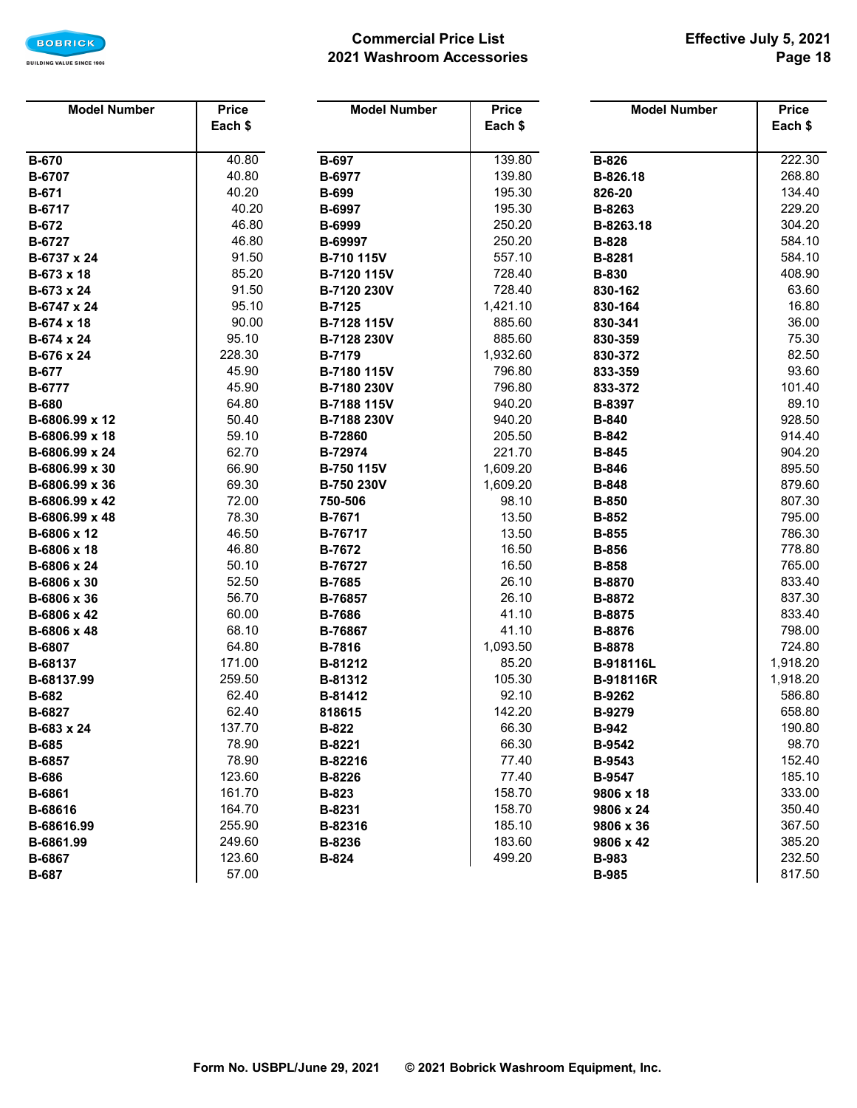

## **Commercial Price List 2021 Washroom Accessories**

| <b>Model Number</b> | <b>Price</b> | <b>Model Number</b> | <b>Price</b> | <b>Model Number</b> | <b>Price</b> |
|---------------------|--------------|---------------------|--------------|---------------------|--------------|
|                     | Each \$      |                     | Each \$      |                     | Each \$      |
|                     |              |                     |              |                     |              |
| <b>B-670</b>        | 40.80        | <b>B-697</b>        | 139.80       | <b>B-826</b>        | 222.30       |
| B-6707              | 40.80        | B-6977              | 139.80       | B-826.18            | 268.80       |
| <b>B-671</b>        | 40.20        | <b>B-699</b>        | 195.30       | 826-20              | 134.40       |
| B-6717              | 40.20        | B-6997              | 195.30       | B-8263              | 229.20       |
| <b>B-672</b>        | 46.80        | B-6999              | 250.20       | B-8263.18           | 304.20       |
| B-6727              | 46.80        | B-69997             | 250.20       | <b>B-828</b>        | 584.10       |
| B-6737 x 24         | 91.50        | B-710 115V          | 557.10       | B-8281              | 584.10       |
| B-673 x 18          | 85.20        | B-7120 115V         | 728.40       | <b>B-830</b>        | 408.90       |
| B-673 x 24          | 91.50        | B-7120 230V         | 728.40       | 830-162             | 63.60        |
| B-6747 x 24         | 95.10        | <b>B-7125</b>       | 1,421.10     | 830-164             | 16.80        |
| B-674 x 18          | 90.00        | B-7128 115V         | 885.60       | 830-341             | 36.00        |
| B-674 x 24          | 95.10        | B-7128 230V         | 885.60       | 830-359             | 75.30        |
| B-676 x 24          | 228.30       | <b>B-7179</b>       | 1,932.60     | 830-372             | 82.50        |
| <b>B-677</b>        | 45.90        | B-7180 115V         | 796.80       | 833-359             | 93.60        |
| B-6777              | 45.90        | B-7180 230V         | 796.80       | 833-372             | 101.40       |
| <b>B-680</b>        | 64.80        | B-7188 115V         | 940.20       | B-8397              | 89.10        |
| B-6806.99 x 12      | 50.40        | B-7188 230V         | 940.20       | <b>B-840</b>        | 928.50       |
| B-6806.99 x 18      | 59.10        | B-72860             | 205.50       | <b>B-842</b>        | 914.40       |
| B-6806.99 x 24      | 62.70        | B-72974             | 221.70       | <b>B-845</b>        | 904.20       |
| B-6806.99 x 30      | 66.90        | B-750 115V          | 1,609.20     | <b>B-846</b>        | 895.50       |
| B-6806.99 x 36      | 69.30        | B-750 230V          | 1,609.20     | <b>B-848</b>        | 879.60       |
| B-6806.99 x 42      | 72.00        | 750-506             | 98.10        | <b>B-850</b>        | 807.30       |
| B-6806.99 x 48      | 78.30        | B-7671              | 13.50        | <b>B-852</b>        | 795.00       |
| B-6806 x 12         | 46.50        | B-76717             | 13.50        | <b>B-855</b>        | 786.30       |
| B-6806 x 18         | 46.80        | <b>B-7672</b>       | 16.50        | <b>B-856</b>        | 778.80       |
| B-6806 x 24         | 50.10        | B-76727             | 16.50        | <b>B-858</b>        | 765.00       |
| B-6806 x 30         | 52.50        | <b>B-7685</b>       | 26.10        | B-8870              | 833.40       |
| B-6806 x 36         | 56.70        | B-76857             | 26.10        | B-8872              | 837.30       |
| B-6806 x 42         | 60.00        | <b>B-7686</b>       | 41.10        | B-8875              | 833.40       |
| B-6806 x 48         | 68.10        | B-76867             | 41.10        | B-8876              | 798.00       |
| B-6807              | 64.80        | B-7816              | 1,093.50     | B-8878              | 724.80       |
| B-68137             | 171.00       | B-81212             | 85.20        | B-918116L           | 1,918.20     |
| B-68137.99          | 259.50       | B-81312             | 105.30       | <b>B-918116R</b>    | 1,918.20     |
| <b>B-682</b>        | 62.40        | B-81412             | 92.10        | B-9262              | 586.80       |
| <b>B-6827</b>       | 62.40        | 818615              | 142.20       | B-9279              | 658.80       |
| B-683 x 24          | 137.70       | <b>B-822</b>        | 66.30        | <b>B-942</b>        | 190.80       |
| <b>B-685</b>        | 78.90        | B-8221              | 66.30        | <b>B-9542</b>       | 98.70        |
| B-6857              | 78.90        | B-82216             | 77.40        | B-9543              | 152.40       |
| <b>B-686</b>        | 123.60       | B-8226              | 77.40        | <b>B-9547</b>       | 185.10       |
| B-6861              | 161.70       | B-823               | 158.70       | 9806 x 18           | 333.00       |
| B-68616             | 164.70       | B-8231              | 158.70       | 9806 x 24           | 350.40       |
| B-68616.99          | 255.90       | B-82316             | 185.10       | 9806 x 36           | 367.50       |
| B-6861.99           | 249.60       | B-8236              | 183.60       | 9806 x 42           | 385.20       |
| B-6867              | 123.60       | <b>B-824</b>        | 499.20       | <b>B-983</b>        | 232.50       |
| <b>B-687</b>        | 57.00        |                     |              | <b>B-985</b>        | 817.50       |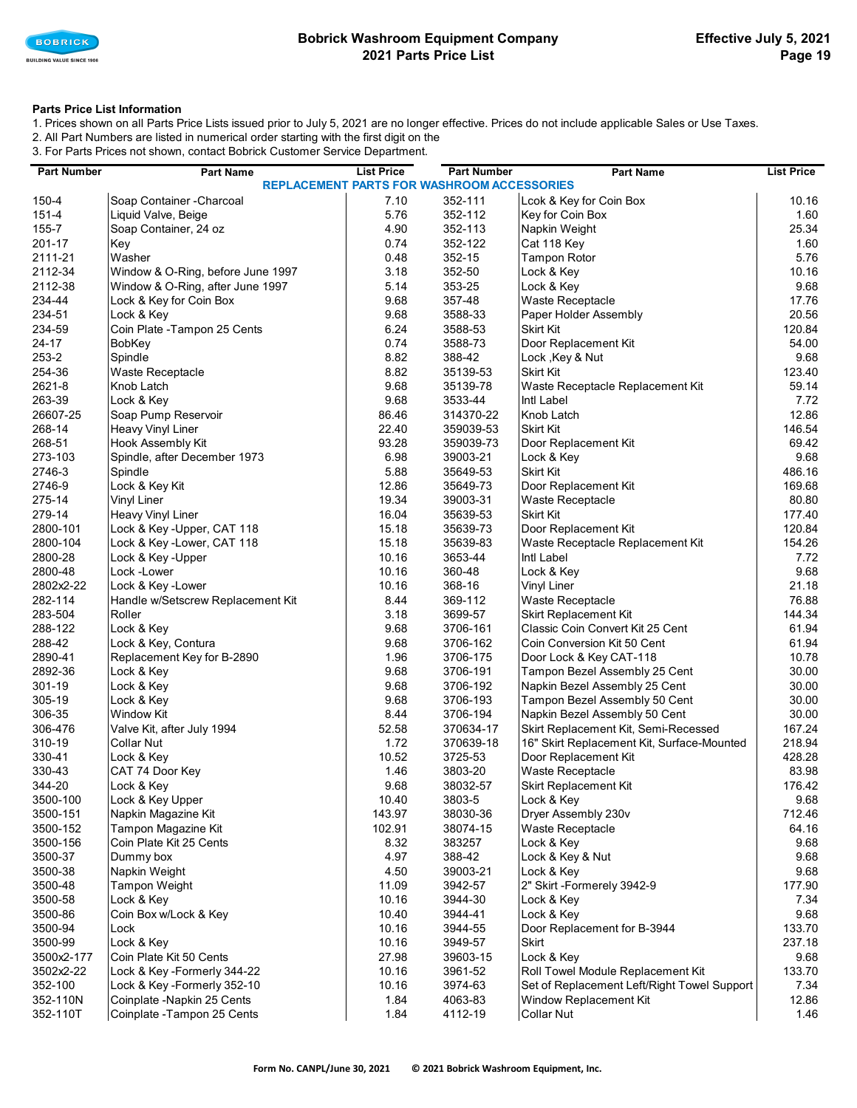

### **Bobrick Washroom Equipment Company 2021 Parts Price List**

### **Parts Price List Information**

1. Prices shown on all Parts Price Lists issued prior to July 5, 2021 are no longer effective. Prices do not include applicable Sales or Use Taxes. 2. All Part Numbers are listed in numerical order starting with the first digit on the

3. For Parts Prices not shown, contact Bobrick Customer Service Department.

| <b>Part Number</b> | <b>Part Name</b>                                  | <b>List Price</b> | <b>Part Number</b> | <b>Part Name</b>                            | <b>List Price</b> |  |  |
|--------------------|---------------------------------------------------|-------------------|--------------------|---------------------------------------------|-------------------|--|--|
|                    | <b>REPLACEMENT PARTS FOR WASHROOM ACCESSORIES</b> |                   |                    |                                             |                   |  |  |
| 150-4              | Soap Container - Charcoal                         | 7.10              | 352-111            | Lcok & Key for Coin Box                     | 10.16             |  |  |
| 151-4              | Liquid Valve, Beige                               | 5.76              | 352-112            | Key for Coin Box                            | 1.60              |  |  |
| 155-7              | Soap Container, 24 oz                             | 4.90              | 352-113            | Napkin Weight                               | 25.34             |  |  |
| 201-17             | Key                                               | 0.74              | 352-122            | Cat 118 Key                                 | 1.60              |  |  |
| 2111-21            | Washer                                            | 0.48              | 352-15             | <b>Tampon Rotor</b>                         | 5.76              |  |  |
| 2112-34            | Window & O-Ring, before June 1997                 | 3.18              | 352-50             | Lock & Key                                  | 10.16             |  |  |
| 2112-38            | Window & O-Ring, after June 1997                  | 5.14              | 353-25             | Lock & Key                                  | 9.68              |  |  |
| 234-44             | Lock & Key for Coin Box                           | 9.68              | 357-48             | Waste Receptacle                            | 17.76             |  |  |
| 234-51             | Lock & Key                                        | 9.68              | 3588-33            | Paper Holder Assembly                       | 20.56             |  |  |
| 234-59             | Coin Plate - Tampon 25 Cents                      | 6.24              | 3588-53            | <b>Skirt Kit</b>                            | 120.84            |  |  |
| 24-17              | BobKey                                            | 0.74              | 3588-73            | Door Replacement Kit                        | 54.00             |  |  |
| 253-2              | Spindle                                           | 8.82              | 388-42             | Lock , Key & Nut                            | 9.68              |  |  |
| 254-36             | Waste Receptacle                                  | 8.82              | 35139-53           | Skirt Kit                                   | 123.40            |  |  |
| 2621-8             | Knob Latch                                        | 9.68              | 35139-78           | Waste Receptacle Replacement Kit            | 59.14             |  |  |
| 263-39             | Lock & Key                                        | 9.68              | 3533-44            | Intl Label                                  | 7.72              |  |  |
| 26607-25           | Soap Pump Reservoir                               | 86.46             | 314370-22          | Knob Latch                                  | 12.86             |  |  |
| 268-14             | <b>Heavy Vinyl Liner</b>                          | 22.40             | 359039-53          | <b>Skirt Kit</b>                            | 146.54            |  |  |
| 268-51             | Hook Assembly Kit                                 | 93.28             | 359039-73          | Door Replacement Kit                        | 69.42             |  |  |
| 273-103            | Spindle, after December 1973                      | 6.98              | 39003-21           | Lock & Key                                  | 9.68              |  |  |
| 2746-3             | Spindle                                           | 5.88              | 35649-53           | Skirt Kit                                   | 486.16            |  |  |
| 2746-9             | Lock & Key Kit                                    | 12.86             | 35649-73           | Door Replacement Kit                        | 169.68            |  |  |
| 275-14             | <b>Vinyl Liner</b>                                | 19.34             | 39003-31           | Waste Receptacle                            | 80.80             |  |  |
| 279-14             | <b>Heavy Vinyl Liner</b>                          | 16.04             | 35639-53           | <b>Skirt Kit</b>                            | 177.40            |  |  |
| 2800-101           | Lock & Key-Upper, CAT 118                         | 15.18             | 35639-73           | Door Replacement Kit                        | 120.84            |  |  |
| 2800-104           | Lock & Key-Lower, CAT 118                         | 15.18             | 35639-83           | Waste Receptacle Replacement Kit            | 154.26            |  |  |
| 2800-28            | Lock & Key-Upper                                  | 10.16             | 3653-44            | Intl Label                                  | 7.72              |  |  |
| 2800-48            | Lock -Lower                                       | 10.16             | 360-48             | Lock & Key                                  | 9.68              |  |  |
| 2802x2-22          | Lock & Key-Lower                                  | 10.16             | 368-16             | <b>Vinyl Liner</b>                          | 21.18             |  |  |
| 282-114            | Handle w/Setscrew Replacement Kit                 | 8.44              | 369-112            | Waste Receptacle                            | 76.88             |  |  |
| 283-504            | Roller                                            | 3.18              | 3699-57            | <b>Skirt Replacement Kit</b>                | 144.34            |  |  |
| 288-122            | Lock & Key                                        | 9.68              | 3706-161           | Classic Coin Convert Kit 25 Cent            | 61.94             |  |  |
| 288-42             | Lock & Key, Contura                               | 9.68              | 3706-162           | Coin Conversion Kit 50 Cent                 | 61.94             |  |  |
| 2890-41            | Replacement Key for B-2890                        | 1.96              | 3706-175           | Door Lock & Key CAT-118                     | 10.78             |  |  |
| 2892-36            | Lock & Key                                        | 9.68              | 3706-191           | Tampon Bezel Assembly 25 Cent               | 30.00             |  |  |
| 301-19             | Lock & Key                                        | 9.68              | 3706-192           | Napkin Bezel Assembly 25 Cent               | 30.00             |  |  |
| 305-19             | Lock & Key                                        | 9.68              | 3706-193           | Tampon Bezel Assembly 50 Cent               | 30.00             |  |  |
| 306-35             | <b>Window Kit</b>                                 | 8.44              | 3706-194           | Napkin Bezel Assembly 50 Cent               | 30.00             |  |  |
| 306-476            | Valve Kit, after July 1994                        | 52.58             | 370634-17          | Skirt Replacement Kit, Semi-Recessed        | 167.24            |  |  |
| 310-19             | <b>Collar Nut</b>                                 | 1.72              | 370639-18          | 16" Skirt Replacement Kit, Surface-Mounted  | 218.94            |  |  |
| 330-41             | Lock & Key                                        | 10.52             | 3725-53            | Door Replacement Kit                        | 428.28            |  |  |
| 330-43             | CAT 74 Door Key                                   | 1.46              | 3803-20            | Waste Receptacle                            | 83.98             |  |  |
| 344-20             | Lock & Key                                        | 9.68              | 38032-57           | Skirt Replacement Kit                       | 176.42            |  |  |
| 3500-100           | Lock & Key Upper                                  | 10.40             | 3803-5             | Lock & Key                                  | 9.68              |  |  |
| 3500-151           | Napkin Magazine Kit                               | 143.97            | 38030-36           | Dryer Assembly 230v                         | 712.46            |  |  |
| 3500-152           | Tampon Magazine Kit                               | 102.91            | 38074-15           | Waste Receptacle                            | 64.16             |  |  |
| 3500-156           | Coin Plate Kit 25 Cents                           | 8.32              | 383257             | Lock & Key                                  | 9.68              |  |  |
| 3500-37            | Dummy box                                         | 4.97              | 388-42             | Lock & Key & Nut                            | 9.68              |  |  |
| 3500-38            | Napkin Weight                                     | 4.50              | 39003-21           | Lock & Key                                  | 9.68              |  |  |
| 3500-48            | <b>Tampon Weight</b>                              | 11.09             | 3942-57            | 2" Skirt -Formerely 3942-9                  | 177.90            |  |  |
| 3500-58            | Lock & Key                                        | 10.16             | 3944-30            | Lock & Key                                  | 7.34              |  |  |
| 3500-86            | Coin Box w/Lock & Key                             | 10.40             | 3944-41            | Lock & Key                                  | 9.68              |  |  |
| 3500-94            | Lock                                              | 10.16             | 3944-55            | Door Replacement for B-3944                 | 133.70            |  |  |
| 3500-99            | Lock & Key                                        | 10.16             | 3949-57            | <b>Skirt</b>                                | 237.18            |  |  |
| 3500x2-177         | Coin Plate Kit 50 Cents                           | 27.98             | 39603-15           | Lock & Key                                  | 9.68              |  |  |
| 3502x2-22          | Lock & Key -Formerly 344-22                       | 10.16             | 3961-52            | Roll Towel Module Replacement Kit           | 133.70            |  |  |
| 352-100            | Lock & Key-Formerly 352-10                        | 10.16             | 3974-63            | Set of Replacement Left/Right Towel Support | 7.34              |  |  |
| 352-110N           | Coinplate -Napkin 25 Cents                        | 1.84              | 4063-83            | Window Replacement Kit                      | 12.86             |  |  |
| 352-110T           | Coinplate - Tampon 25 Cents                       | 1.84              | 4112-19            | <b>Collar Nut</b>                           | 1.46              |  |  |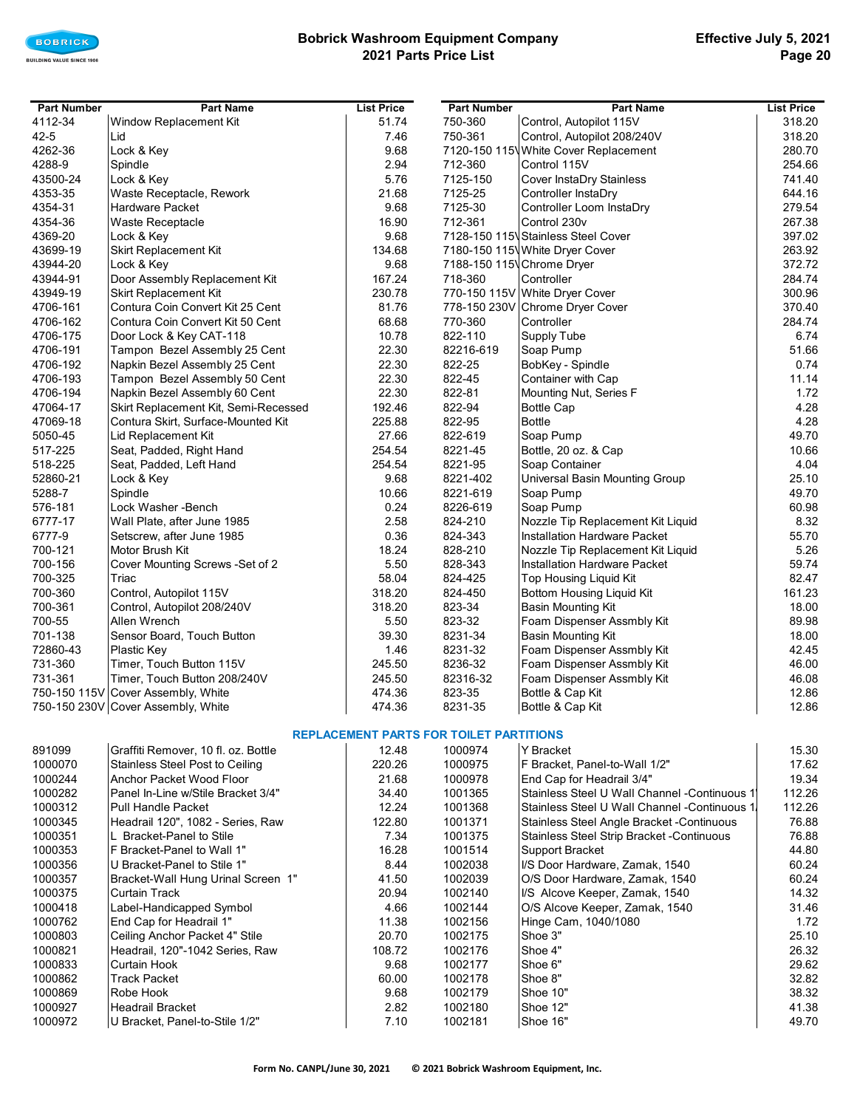

## **Bobrick Washroom Equipment Company 2021 Parts Price List**

| <b>Part Number</b> | <b>Part Name</b>                     | <b>List Price</b> | <b>Part Number</b> | <b>Part Name</b>                     | <b>List Price</b> |
|--------------------|--------------------------------------|-------------------|--------------------|--------------------------------------|-------------------|
| 4112-34            | Window Replacement Kit               | 51.74             | 750-360            | Control, Autopilot 115V              | 318.20            |
| $42 - 5$           | Lid                                  | 7.46              | 750-361            | Control, Autopilot 208/240V          | 318.20            |
| 4262-36            | Lock & Key                           | 9.68              |                    | 7120-150 115 White Cover Replacement | 280.70            |
| 4288-9             | Spindle                              | 2.94              | 712-360            | Control 115V                         | 254.66            |
| 43500-24           | Lock & Key                           | 5.76              | 7125-150           | Cover InstaDry Stainless             | 741.40            |
| 4353-35            | Waste Receptacle, Rework             | 21.68             | 7125-25            | Controller InstaDry                  | 644.16            |
| 4354-31            | Hardware Packet                      | 9.68              | 7125-30            | Controller Loom InstaDry             | 279.54            |
| 4354-36            | Waste Receptacle                     | 16.90             | 712-361            | Control 230v                         | 267.38            |
| 4369-20            | Lock & Key                           | 9.68              |                    | 7128-150 115 Stainless Steel Cover   | 397.02            |
| 43699-19           | Skirt Replacement Kit                | 134.68            |                    | 7180-150 115 White Dryer Cover       | 263.92            |
| 43944-20           | Lock & Key                           | 9.68              |                    | 7188-150 115 Chrome Dryer            | 372.72            |
| 43944-91           | Door Assembly Replacement Kit        | 167.24            | 718-360            | Controller                           | 284.74            |
| 43949-19           | Skirt Replacement Kit                | 230.78            |                    | 770-150 115V White Dryer Cover       | 300.96            |
| 4706-161           | Contura Coin Convert Kit 25 Cent     | 81.76             |                    | 778-150 230V Chrome Dryer Cover      | 370.40            |
| 4706-162           | Contura Coin Convert Kit 50 Cent     | 68.68             | 770-360            | Controller                           | 284.74            |
| 4706-175           | Door Lock & Key CAT-118              | 10.78             | 822-110            | Supply Tube                          | 6.74              |
| 4706-191           | Tampon Bezel Assembly 25 Cent        | 22.30             | 82216-619          | Soap Pump                            | 51.66             |
| 4706-192           | Napkin Bezel Assembly 25 Cent        | 22.30             | 822-25             | BobKey - Spindle                     | 0.74              |
| 4706-193           | Tampon Bezel Assembly 50 Cent        | 22.30             | 822-45             | Container with Cap                   | 11.14             |
| 4706-194           | Napkin Bezel Assembly 60 Cent        | 22.30             | 822-81             | Mounting Nut, Series F               | 1.72              |
| 47064-17           | Skirt Replacement Kit, Semi-Recessed | 192.46            | 822-94             | <b>Bottle Cap</b>                    | 4.28              |
| 47069-18           | Contura Skirt, Surface-Mounted Kit   | 225.88            | 822-95             | <b>Bottle</b>                        | 4.28              |
| 5050-45            | Lid Replacement Kit                  | 27.66             | 822-619            | Soap Pump                            | 49.70             |
| 517-225            | Seat, Padded, Right Hand             | 254.54            | 8221-45            | Bottle, 20 oz. & Cap                 | 10.66             |
| 518-225            | Seat, Padded, Left Hand              | 254.54            | 8221-95            | Soap Container                       | 4.04              |
| 52860-21           | Lock & Key                           | 9.68              | 8221-402           | Universal Basin Mounting Group       | 25.10             |
| 5288-7             | Spindle                              | 10.66             | 8221-619           | Soap Pump                            | 49.70             |
| 576-181            | Lock Washer - Bench                  | 0.24              | 8226-619           | Soap Pump                            | 60.98             |
| 6777-17            | Wall Plate, after June 1985          | 2.58              | 824-210            | Nozzle Tip Replacement Kit Liquid    | 8.32              |
| 6777-9             | Setscrew, after June 1985            | 0.36              | 824-343            | Installation Hardware Packet         | 55.70             |
| 700-121            | Motor Brush Kit                      | 18.24             | 828-210            | Nozzle Tip Replacement Kit Liquid    | 5.26              |
| 700-156            | Cover Mounting Screws - Set of 2     | 5.50              | 828-343            | Installation Hardware Packet         | 59.74             |
| 700-325            | Triac                                | 58.04             | 824-425            | Top Housing Liquid Kit               | 82.47             |
| 700-360            | Control, Autopilot 115V              | 318.20            | 824-450            | Bottom Housing Liquid Kit            | 161.23            |
| 700-361            | Control, Autopilot 208/240V          | 318.20            | 823-34             | <b>Basin Mounting Kit</b>            | 18.00             |
| 700-55             | Allen Wrench                         | 5.50              | 823-32             | Foam Dispenser Assmbly Kit           | 89.98             |
| 701-138            | Sensor Board, Touch Button           | 39.30             | 8231-34            | <b>Basin Mounting Kit</b>            | 18.00             |
| 72860-43           | Plastic Key                          | 1.46              | 8231-32            | Foam Dispenser Assmbly Kit           | 42.45             |
| 731-360            | Timer, Touch Button 115V             | 245.50            | 8236-32            | Foam Dispenser Assmbly Kit           | 46.00             |
| 731-361            | Timer, Touch Button 208/240V         | 245.50            | 82316-32           | Foam Dispenser Assmbly Kit           | 46.08             |
|                    | 750-150 115V Cover Assembly, White   | 474.36            | 823-35             | Bottle & Cap Kit                     | 12.86             |
|                    | 750-150 230V Cover Assembly, White   | 474.36            | 8231-35            | Bottle & Cap Kit                     | 12.86             |

### **REPLACEMENT PARTS FOR TOILET PARTITIONS**

| 891099  | Graffiti Remover, 10 fl. oz. Bottle | 12.48  | 1000974 | Y Bracket                                         | 15.30  |
|---------|-------------------------------------|--------|---------|---------------------------------------------------|--------|
| 1000070 | Stainless Steel Post to Ceiling     | 220.26 | 1000975 | F Bracket, Panel-to-Wall 1/2"                     | 17.62  |
| 1000244 | Anchor Packet Wood Floor            | 21.68  | 1000978 | End Cap for Headrail 3/4"                         | 19.34  |
| 1000282 | Panel In-Line w/Stile Bracket 3/4"  | 34.40  | 1001365 | Stainless Steel U Wall Channel - Continuous 1     | 112.26 |
| 1000312 | <b>Pull Handle Packet</b>           | 12.24  | 1001368 | Stainless Steel U Wall Channel - Continuous 1.    | 112.26 |
| 1000345 | Headrail 120", 1082 - Series, Raw   | 122.80 | 1001371 | Stainless Steel Angle Bracket - Continuous        | 76.88  |
| 1000351 | L Bracket-Panel to Stile            | 7.34   | 1001375 | <b>Stainless Steel Strip Bracket - Continuous</b> | 76.88  |
| 1000353 | F Bracket-Panel to Wall 1"          | 16.28  | 1001514 | Support Bracket                                   | 44.80  |
| 1000356 | U Bracket-Panel to Stile 1"         | 8.44   | 1002038 | I/S Door Hardware, Zamak, 1540                    | 60.24  |
| 1000357 | Bracket-Wall Hung Urinal Screen 1"  | 41.50  | 1002039 | O/S Door Hardware, Zamak, 1540                    | 60.24  |
| 1000375 | <b>Curtain Track</b>                | 20.94  | 1002140 | I/S Alcove Keeper, Zamak, 1540                    | 14.32  |
| 1000418 | Label-Handicapped Symbol            | 4.66   | 1002144 | O/S Alcove Keeper, Zamak, 1540                    | 31.46  |
| 1000762 | End Cap for Headrail 1"             | 11.38  | 1002156 | Hinge Cam, 1040/1080                              | 1.72   |
| 1000803 | Ceiling Anchor Packet 4" Stile      | 20.70  | 1002175 | Shoe 3"                                           | 25.10  |
| 1000821 | Headrail, 120"-1042 Series, Raw     | 108.72 | 1002176 | Shoe 4"                                           | 26.32  |
| 1000833 | Curtain Hook                        | 9.68   | 1002177 | Shoe 6"                                           | 29.62  |
| 1000862 | <b>Track Packet</b>                 | 60.00  | 1002178 | Shoe 8"                                           | 32.82  |
| 1000869 | Robe Hook                           | 9.68   | 1002179 | Shoe 10"                                          | 38.32  |
| 1000927 | <b>Headrail Bracket</b>             | 2.82   | 1002180 | Shoe 12"                                          | 41.38  |
| 1000972 | U Bracket, Panel-to-Stile 1/2"      | 7.10   | 1002181 | Shoe 16"                                          | 49.70  |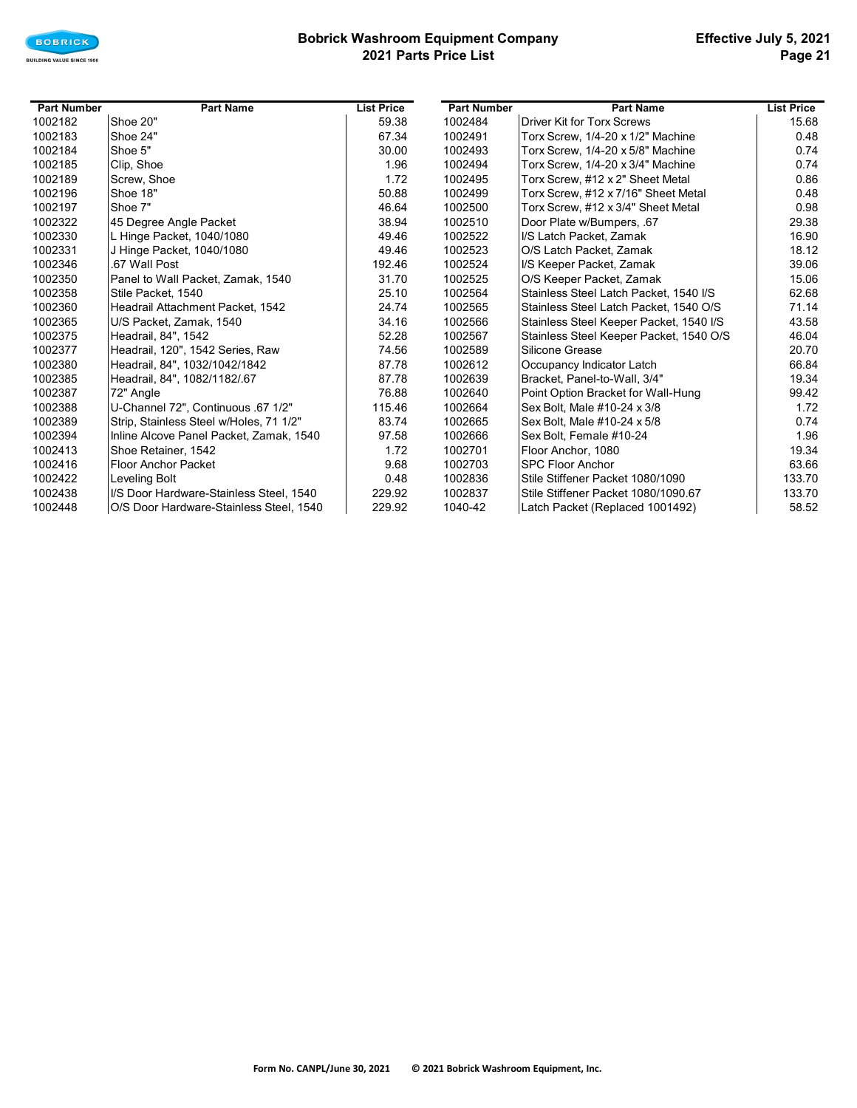

## **Bobrick Washroom Equipment Company 2021 Parts Price List**

| <b>Part Number</b> | <b>Part Name</b>                        | <b>List Price</b> | <b>Part Number</b> | <b>Part Name</b>                        | <b>List Price</b> |
|--------------------|-----------------------------------------|-------------------|--------------------|-----------------------------------------|-------------------|
| 1002182            | Shoe 20"                                | 59.38             | 1002484            | <b>Driver Kit for Torx Screws</b>       | 15.68             |
| 1002183            | Shoe 24"                                | 67.34             | 1002491            | Torx Screw, 1/4-20 x 1/2" Machine       | 0.48              |
| 1002184            | Shoe 5"                                 | 30.00             | 1002493            | Torx Screw. 1/4-20 x 5/8" Machine       | 0.74              |
| 1002185            | Clip, Shoe                              | 1.96              | 1002494            | Torx Screw, 1/4-20 x 3/4" Machine       | 0.74              |
| 1002189            | Screw, Shoe                             | 1.72              | 1002495            | Torx Screw, #12 x 2" Sheet Metal        | 0.86              |
| 1002196            | Shoe 18"                                | 50.88             | 1002499            | Torx Screw, #12 x 7/16" Sheet Metal     | 0.48              |
| 1002197            | Shoe 7"                                 | 46.64             | 1002500            | Torx Screw, #12 x 3/4" Sheet Metal      | 0.98              |
| 1002322            | 45 Degree Angle Packet                  | 38.94             | 1002510            | Door Plate w/Bumpers, .67               | 29.38             |
| 1002330            | L Hinge Packet, 1040/1080               | 49.46             | 1002522            | I/S Latch Packet, Zamak                 | 16.90             |
| 1002331            | J Hinge Packet, 1040/1080               | 49.46             | 1002523            | O/S Latch Packet, Zamak                 | 18.12             |
| 1002346            | .67 Wall Post                           | 192.46            | 1002524            | I/S Keeper Packet, Zamak                | 39.06             |
| 1002350            | Panel to Wall Packet, Zamak, 1540       | 31.70             | 1002525            | O/S Keeper Packet, Zamak                | 15.06             |
| 1002358            | Stile Packet, 1540                      | 25.10             | 1002564            | Stainless Steel Latch Packet, 1540 I/S  | 62.68             |
| 1002360            | Headrail Attachment Packet, 1542        | 24.74             | 1002565            | Stainless Steel Latch Packet, 1540 O/S  | 71.14             |
| 1002365            | U/S Packet, Zamak, 1540                 | 34.16             | 1002566            | Stainless Steel Keeper Packet, 1540 I/S | 43.58             |
| 1002375            | Headrail, 84", 1542                     | 52.28             | 1002567            | Stainless Steel Keeper Packet, 1540 O/S | 46.04             |
| 1002377            | Headrail, 120", 1542 Series, Raw        | 74.56             | 1002589            | Silicone Grease                         | 20.70             |
| 1002380            | Headrail, 84", 1032/1042/1842           | 87.78             | 1002612            | Occupancy Indicator Latch               | 66.84             |
| 1002385            | Headrail, 84", 1082/1182/.67            | 87.78             | 1002639            | Bracket, Panel-to-Wall, 3/4"            | 19.34             |
| 1002387            | 72" Angle                               | 76.88             | 1002640            | Point Option Bracket for Wall-Hung      | 99.42             |
| 1002388            | U-Channel 72", Continuous .67 1/2"      | 115.46            | 1002664            | Sex Bolt, Male #10-24 x 3/8             | 1.72              |
| 1002389            | Strip, Stainless Steel w/Holes, 71 1/2" | 83.74             | 1002665            | Sex Bolt, Male #10-24 x 5/8             | 0.74              |
| 1002394            | Inline Alcove Panel Packet, Zamak, 1540 | 97.58             | 1002666            | Sex Bolt, Female #10-24                 | 1.96              |
| 1002413            | Shoe Retainer, 1542                     | 1.72              | 1002701            | Floor Anchor, 1080                      | 19.34             |
| 1002416            | <b>Floor Anchor Packet</b>              | 9.68              | 1002703            | <b>SPC Floor Anchor</b>                 | 63.66             |
| 1002422            | Leveling Bolt                           | 0.48              | 1002836            | Stile Stiffener Packet 1080/1090        | 133.70            |
| 1002438            | I/S Door Hardware-Stainless Steel, 1540 | 229.92            | 1002837            | Stile Stiffener Packet 1080/1090.67     | 133.70            |
| 1002448            | O/S Door Hardware-Stainless Steel, 1540 | 229.92            | 1040-42            | Latch Packet (Replaced 1001492)         | 58.52             |